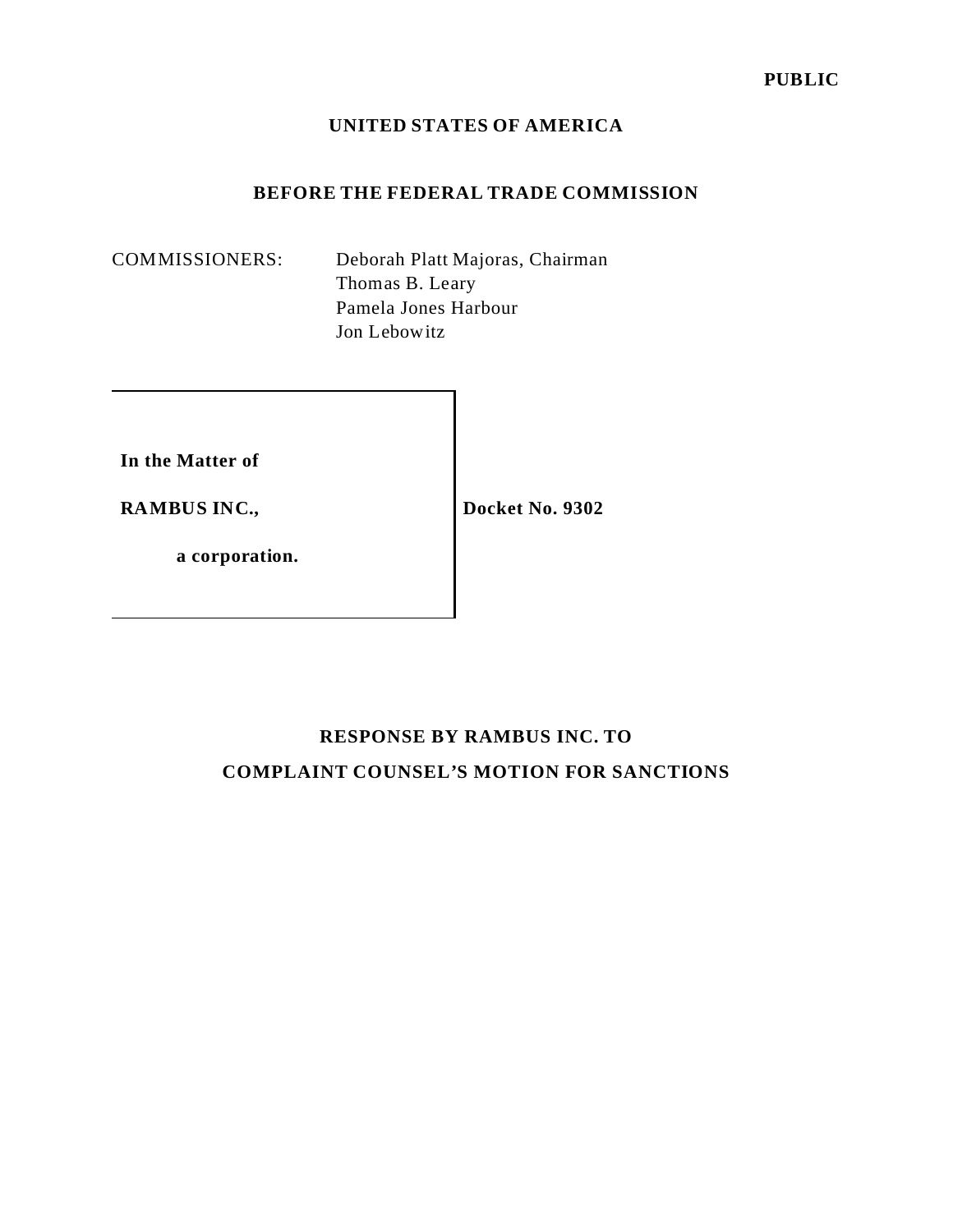#### **UNITED STATES OF AMERICA**

### **BEFORE THE FEDERAL TRADE COMMISSION**

COMMISSIONERS: Deborah Platt Majoras, Chairman Thomas B. Leary Pamela Jones Harbour Jon Lebowitz

**In the Matter of**

**RAMBUS INC.,**

**Docket No. 9302**

**a corporation.**

# **RESPONSE BY RAMBUS INC. TO COMPLAINT COUNSEL'S MOTION FOR SANCTIONS**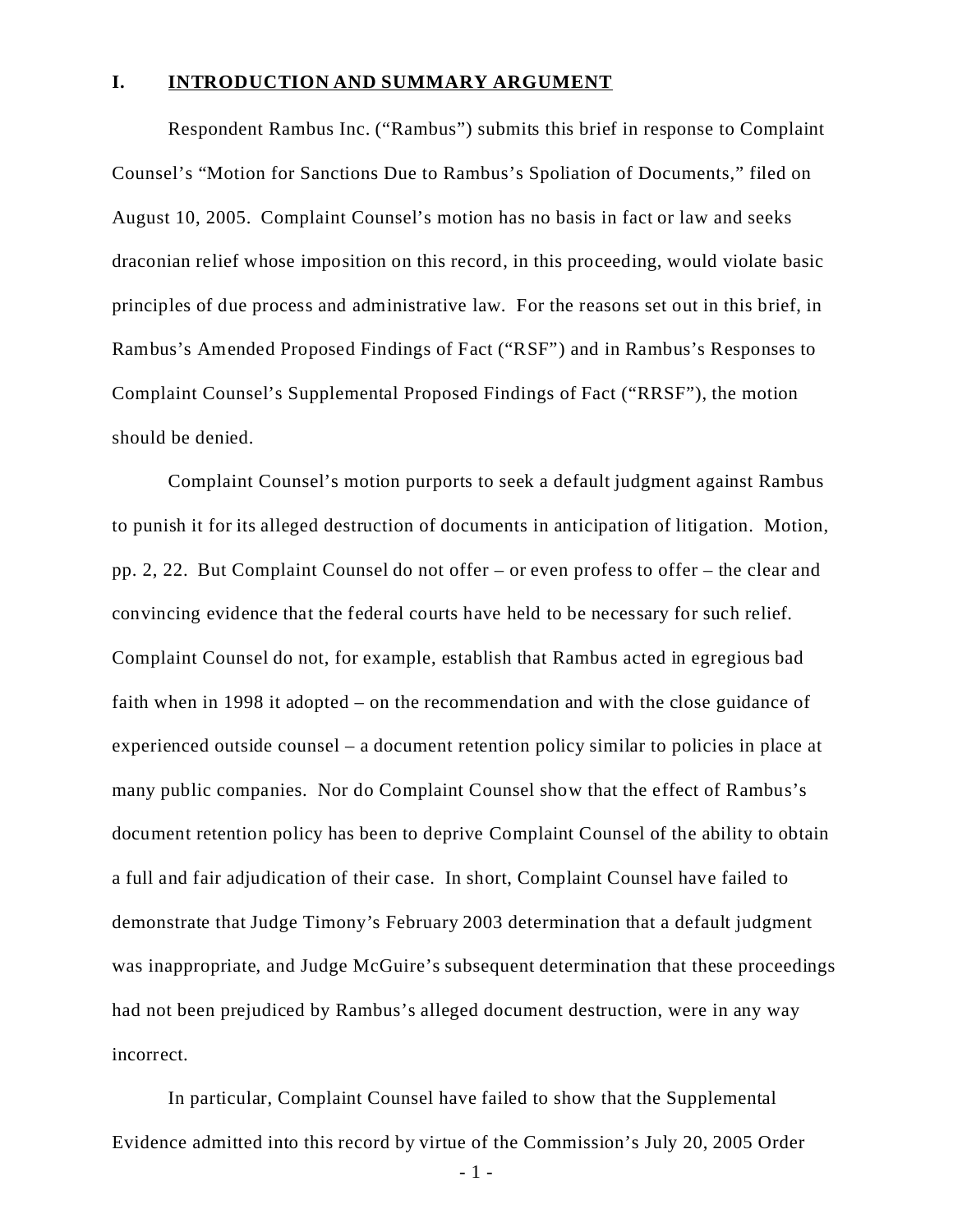#### **I. INTRODUCTION AND SUMMARY ARGUMENT**

Respondent Rambus Inc. ("Rambus") submits this brief in response to Complaint Counsel's "Motion for Sanctions Due to Rambus's Spoliation of Documents," filed on August 10, 2005. Complaint Counsel's motion has no basis in fact or law and seeks draconian relief whose imposition on this record, in this proceeding, would violate basic principles of due process and administrative law. For the reasons set out in this brief, in Rambus's Amended Proposed Findings of Fact ("RSF") and in Rambus's Responses to Complaint Counsel's Supplemental Proposed Findings of Fact ("RRSF"), the motion should be denied.

Complaint Counsel's motion purports to seek a default judgment against Rambus to punish it for its alleged destruction of documents in anticipation of litigation. Motion, pp. 2, 22. But Complaint Counsel do not offer – or even profess to offer – the clear and convincing evidence that the federal courts have held to be necessary for such relief. Complaint Counsel do not, for example, establish that Rambus acted in egregious bad faith when in 1998 it adopted – on the recommendation and with the close guidance of experienced outside counsel – a document retention policy similar to policies in place at many public companies. Nor do Complaint Counsel show that the effect of Rambus's document retention policy has been to deprive Complaint Counsel of the ability to obtain a full and fair adjudication of their case. In short, Complaint Counsel have failed to demonstrate that Judge Timony's February 2003 determination that a default judgment was inappropriate, and Judge McGuire's subsequent determination that these proceedings had not been prejudiced by Rambus's alleged document destruction, were in any way incorrect.

In particular, Complaint Counsel have failed to show that the Supplemental Evidence admitted into this record by virtue of the Commission's July 20, 2005 Order

- 1 -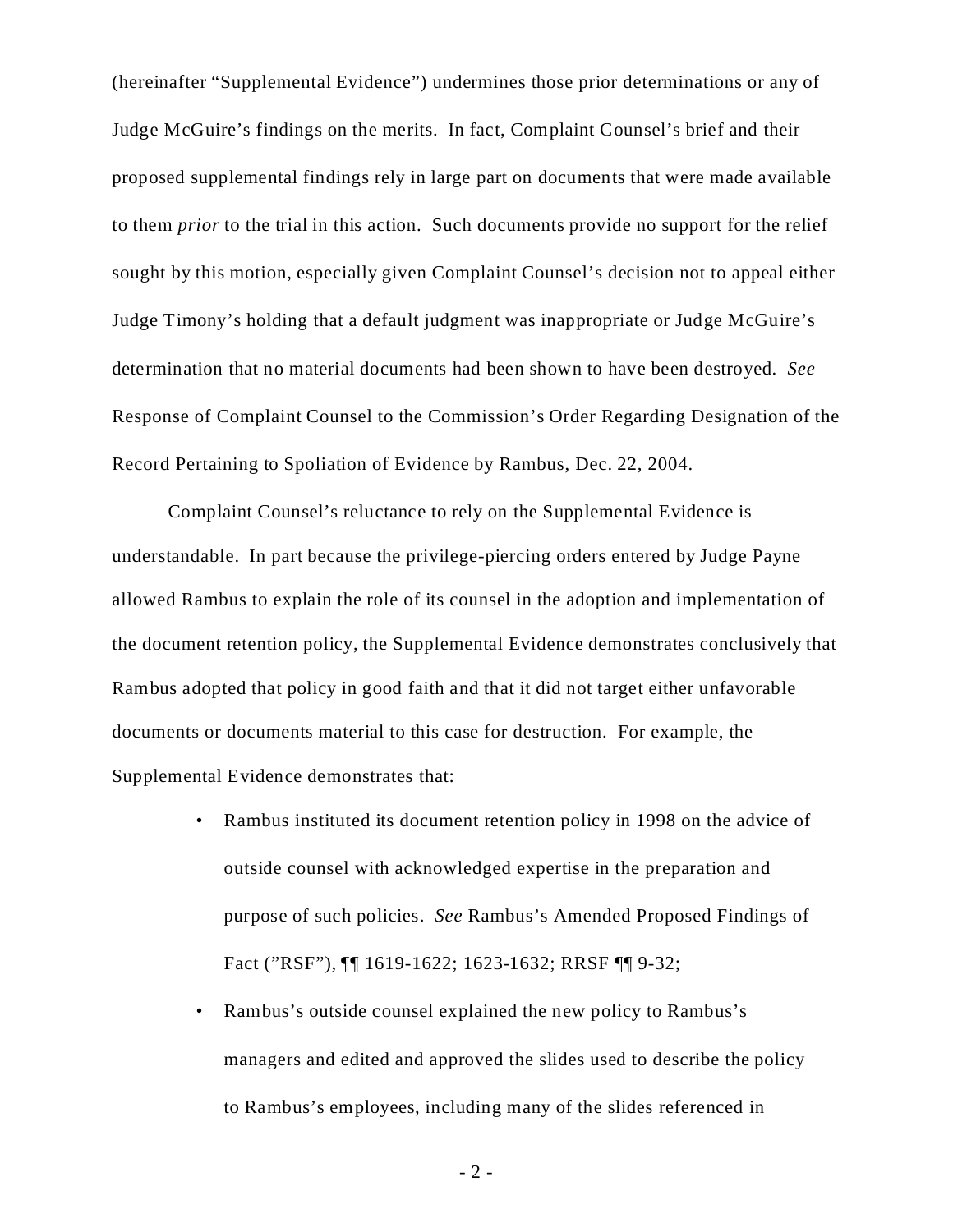(hereinafter "Supplemental Evidence") undermines those prior determinations or any of Judge McGuire's findings on the merits. In fact, Complaint Counsel's brief and their proposed supplemental findings rely in large part on documents that were made available to them *prior* to the trial in this action. Such documents provide no support for the relief sought by this motion, especially given Complaint Counsel's decision not to appeal either Judge Timony's holding that a default judgment was inappropriate or Judge McGuire's determination that no material documents had been shown to have been destroyed. *See* Response of Complaint Counsel to the Commission's Order Regarding Designation of the Record Pertaining to Spoliation of Evidence by Rambus, Dec. 22, 2004.

Complaint Counsel's reluctance to rely on the Supplemental Evidence is understandable. In part because the privilege-piercing orders entered by Judge Payne allowed Rambus to explain the role of its counsel in the adoption and implementation of the document retention policy, the Supplemental Evidence demonstrates conclusively that Rambus adopted that policy in good faith and that it did not target either unfavorable documents or documents material to this case for destruction. For example, the Supplemental Evidence demonstrates that:

- Rambus instituted its document retention policy in 1998 on the advice of outside counsel with acknowledged expertise in the preparation and purpose of such policies. *See* Rambus's Amended Proposed Findings of Fact ("RSF"), ¶¶ 1619-1622; 1623-1632; RRSF ¶¶ 9-32;
- Rambus's outside counsel explained the new policy to Rambus's managers and edited and approved the slides used to describe the policy to Rambus's employees, including many of the slides referenced in

- 2 -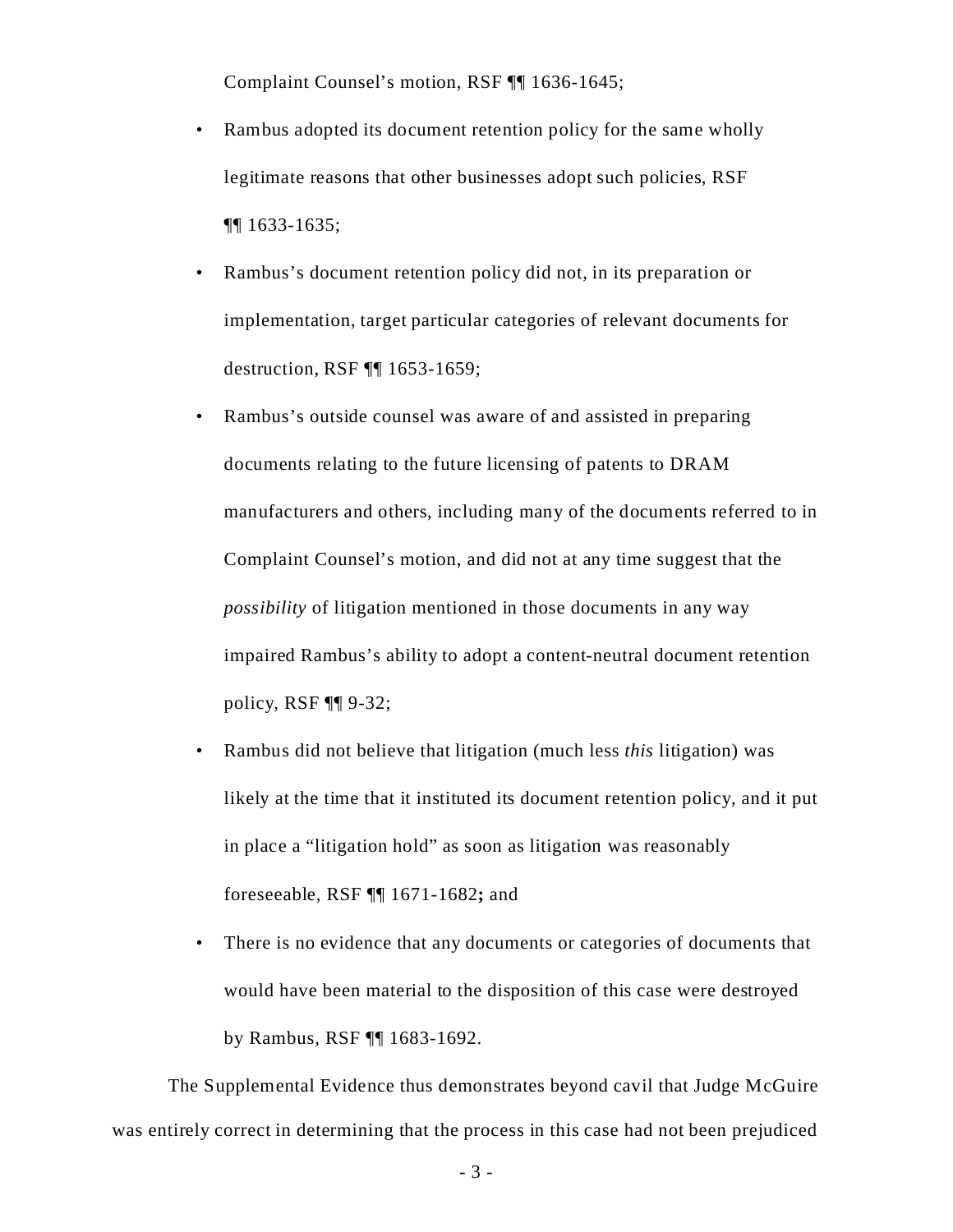Complaint Counsel's motion, RSF ¶¶ 1636-1645;

- Rambus adopted its document retention policy for the same wholly legitimate reasons that other businesses adopt such policies, RSF ¶¶ 1633-1635;
- Rambus's document retention policy did not, in its preparation or implementation, target particular categories of relevant documents for destruction, RSF ¶¶ 1653-1659;
- Rambus's outside counsel was aware of and assisted in preparing documents relating to the future licensing of patents to DRAM manufacturers and others, including many of the documents referred to in Complaint Counsel's motion, and did not at any time suggest that the *possibility* of litigation mentioned in those documents in any way impaired Rambus's ability to adopt a content-neutral document retention policy, RSF ¶¶ 9-32;
- Rambus did not believe that litigation (much less *this* litigation) was likely at the time that it instituted its document retention policy, and it put in place a "litigation hold" as soon as litigation was reasonably foreseeable, RSF ¶¶ 1671-1682**;** and
- There is no evidence that any documents or categories of documents that would have been material to the disposition of this case were destroyed by Rambus, RSF ¶¶ 1683-1692.

The Supplemental Evidence thus demonstrates beyond cavil that Judge McGuire was entirely correct in determining that the process in this case had not been prejudiced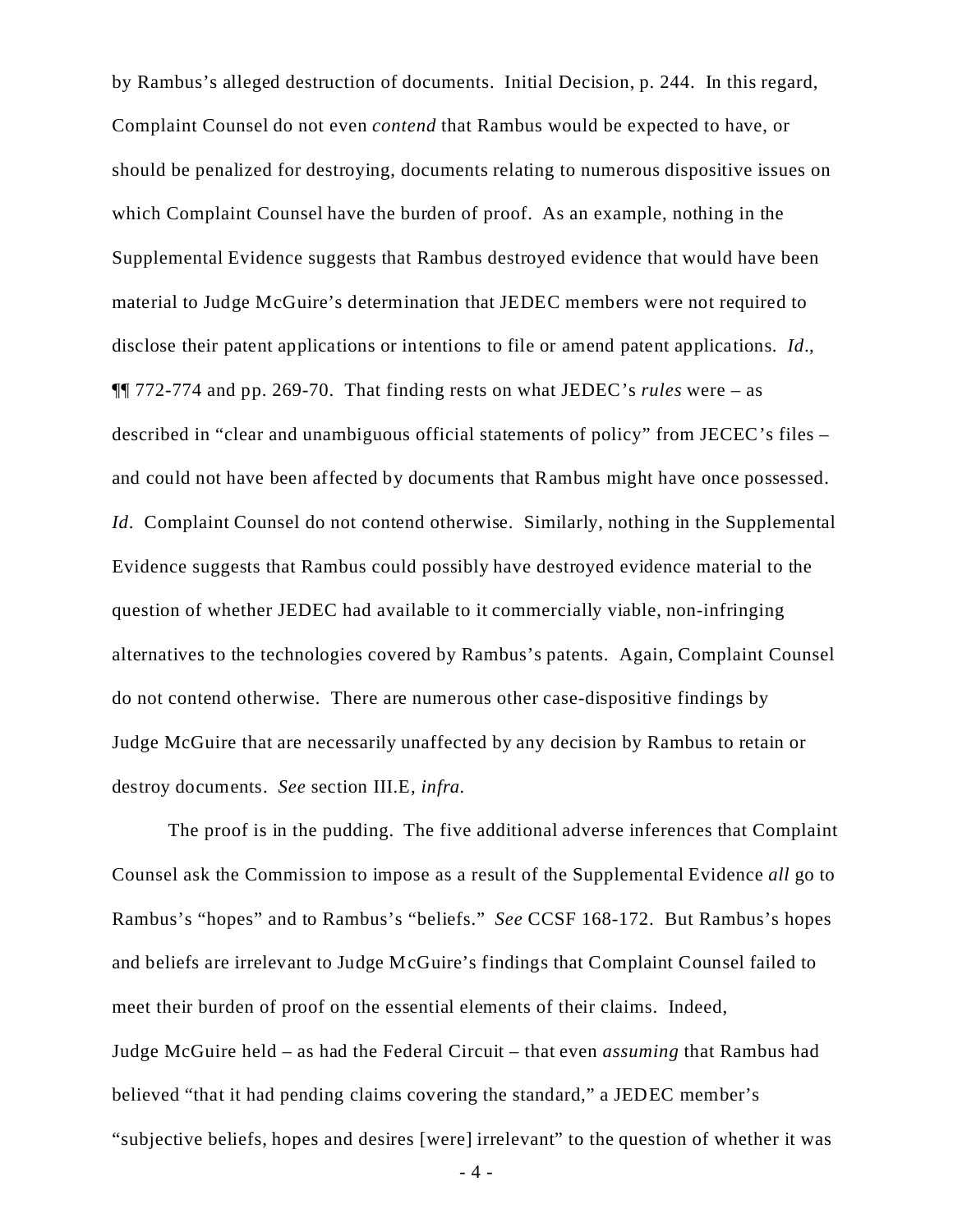by Rambus's alleged destruction of documents. Initial Decision, p. 244. In this regard, Complaint Counsel do not even *contend* that Rambus would be expected to have, or should be penalized for destroying, documents relating to numerous dispositive issues on which Complaint Counsel have the burden of proof. As an example, nothing in the Supplemental Evidence suggests that Rambus destroyed evidence that would have been material to Judge McGuire's determination that JEDEC members were not required to disclose their patent applications or intentions to file or amend patent applications. *Id*., ¶¶ 772-774 and pp. 269-70. That finding rests on what JEDEC's *rules* were – as described in "clear and unambiguous official statements of policy" from JECEC's files – and could not have been affected by documents that Rambus might have once possessed. *Id.* Complaint Counsel do not contend otherwise. Similarly, nothing in the Supplemental Evidence suggests that Rambus could possibly have destroyed evidence material to the question of whether JEDEC had available to it commercially viable, non-infringing alternatives to the technologies covered by Rambus's patents. Again, Complaint Counsel do not contend otherwise. There are numerous other case-dispositive findings by Judge McGuire that are necessarily unaffected by any decision by Rambus to retain or destroy documents. *See* section III.E, *infra.*

The proof is in the pudding. The five additional adverse inferences that Complaint Counsel ask the Commission to impose as a result of the Supplemental Evidence *all* go to Rambus's "hopes" and to Rambus's "beliefs." *See* CCSF 168-172. But Rambus's hopes and beliefs are irrelevant to Judge McGuire's findings that Complaint Counsel failed to meet their burden of proof on the essential elements of their claims. Indeed, Judge McGuire held – as had the Federal Circuit – that even *assuming* that Rambus had believed "that it had pending claims covering the standard," a JEDEC member's "subjective beliefs, hopes and desires [were] irrelevant" to the question of whether it was

- 4 -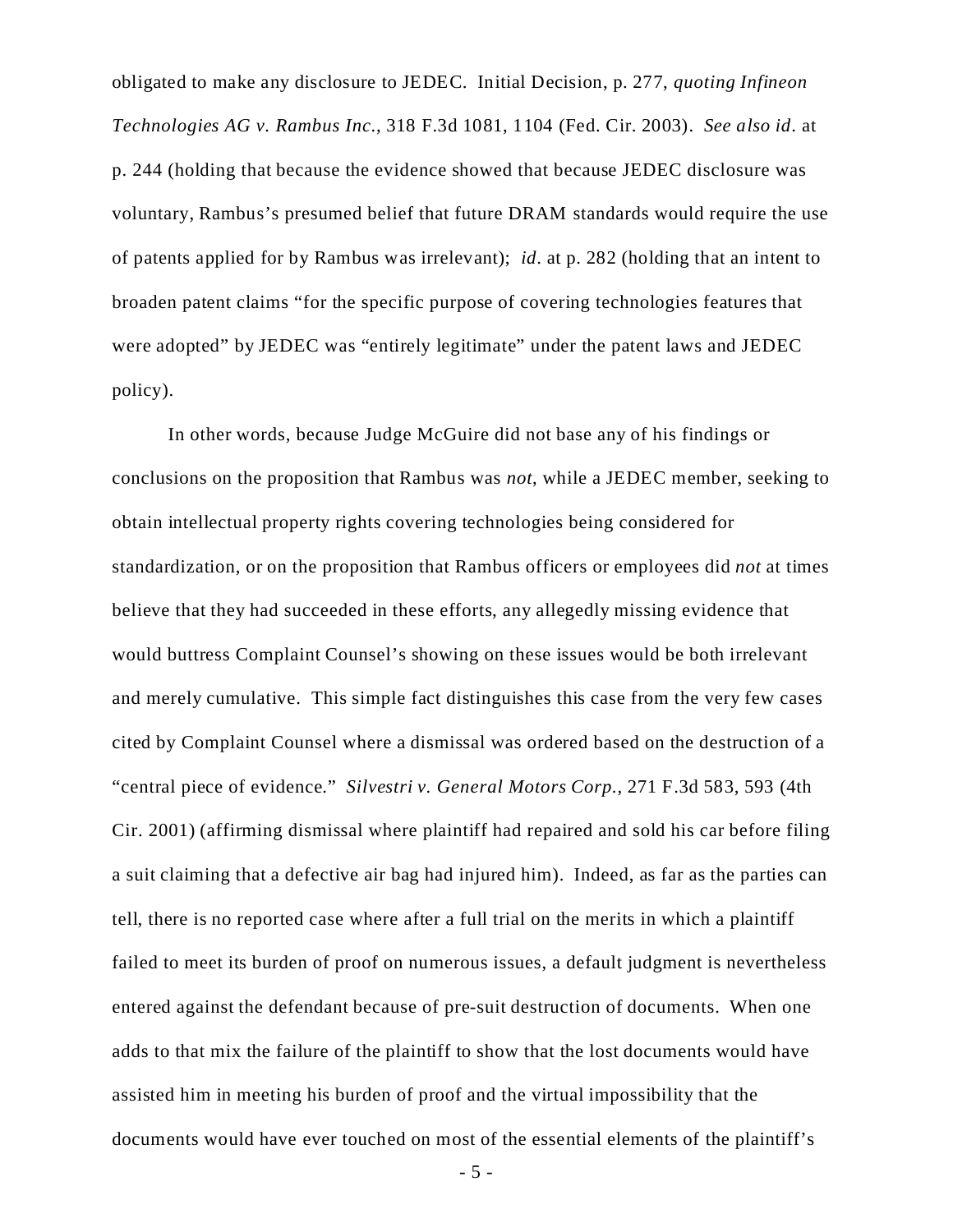obligated to make any disclosure to JEDEC. Initial Decision, p. 277, *quoting Infineon Technologies AG v. Rambus Inc.*, 318 F.3d 1081, 1104 (Fed. Cir. 2003). *See also id*. at p. 244 (holding that because the evidence showed that because JEDEC disclosure was voluntary, Rambus's presumed belief that future DRAM standards would require the use of patents applied for by Rambus was irrelevant); *id*. at p. 282 (holding that an intent to broaden patent claims "for the specific purpose of covering technologies features that were adopted" by JEDEC was "entirely legitimate" under the patent laws and JEDEC policy).

In other words, because Judge McGuire did not base any of his findings or conclusions on the proposition that Rambus was *not*, while a JEDEC member, seeking to obtain intellectual property rights covering technologies being considered for standardization, or on the proposition that Rambus officers or employees did *not* at times believe that they had succeeded in these efforts, any allegedly missing evidence that would buttress Complaint Counsel's showing on these issues would be both irrelevant and merely cumulative. This simple fact distinguishes this case from the very few cases cited by Complaint Counsel where a dismissal was ordered based on the destruction of a "central piece of evidence." *Silvestri v. General Motors Corp.*, 271 F.3d 583, 593 (4th Cir. 2001) (affirming dismissal where plaintiff had repaired and sold his car before filing a suit claiming that a defective air bag had injured him). Indeed, as far as the parties can tell, there is no reported case where after a full trial on the merits in which a plaintiff failed to meet its burden of proof on numerous issues, a default judgment is nevertheless entered against the defendant because of pre-suit destruction of documents. When one adds to that mix the failure of the plaintiff to show that the lost documents would have assisted him in meeting his burden of proof and the virtual impossibility that the documents would have ever touched on most of the essential elements of the plaintiff's

- 5 -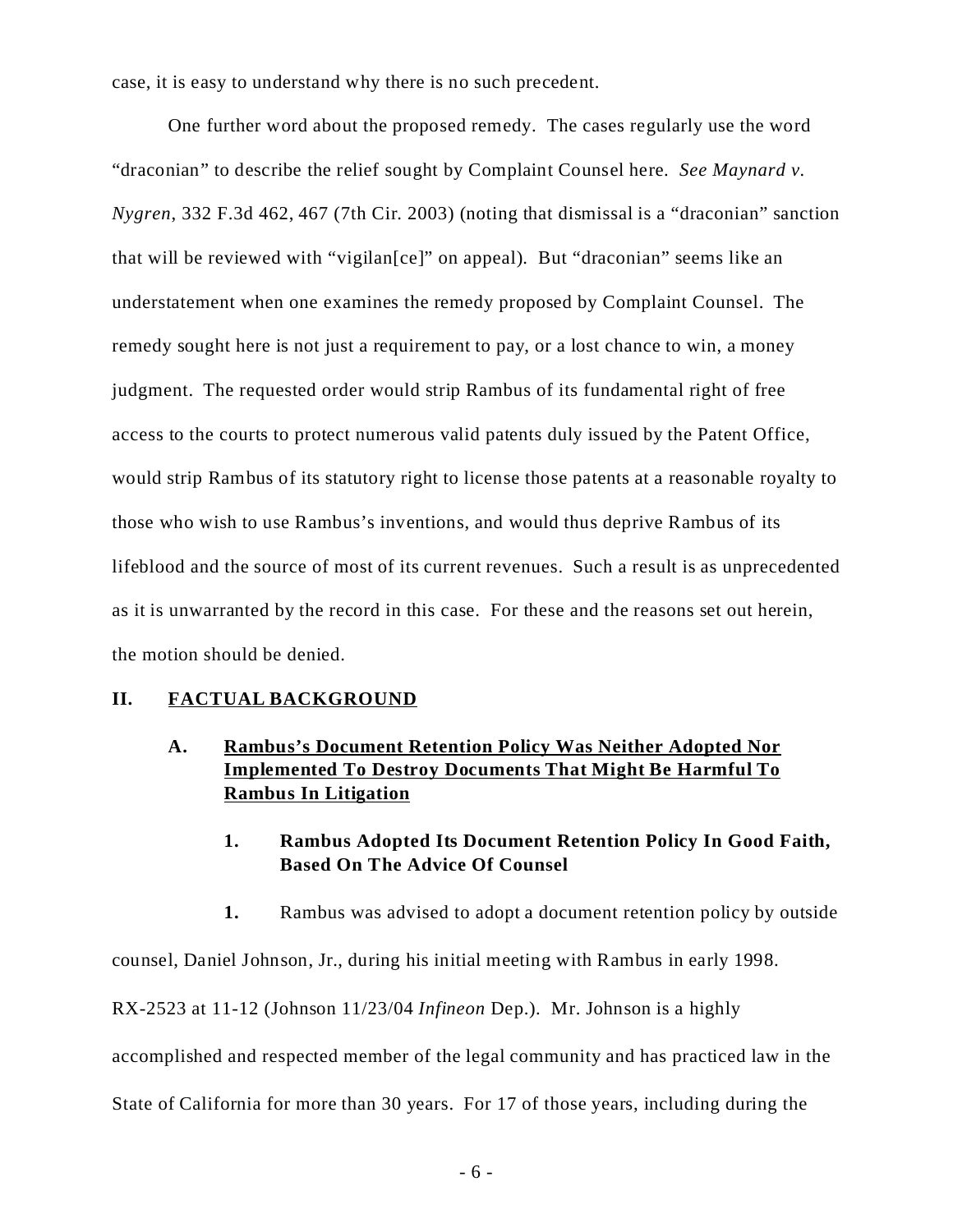case, it is easy to understand why there is no such precedent.

One further word about the proposed remedy. The cases regularly use the word "draconian" to describe the relief sought by Complaint Counsel here. *See Maynard v. Nygren*, 332 F.3d 462, 467 (7th Cir. 2003) (noting that dismissal is a "draconian" sanction that will be reviewed with "vigilan[ce]" on appeal). But "draconian" seems like an understatement when one examines the remedy proposed by Complaint Counsel. The remedy sought here is not just a requirement to pay, or a lost chance to win, a money judgment. The requested order would strip Rambus of its fundamental right of free access to the courts to protect numerous valid patents duly issued by the Patent Office, would strip Rambus of its statutory right to license those patents at a reasonable royalty to those who wish to use Rambus's inventions, and would thus deprive Rambus of its lifeblood and the source of most of its current revenues. Such a result is as unprecedented as it is unwarranted by the record in this case. For these and the reasons set out herein, the motion should be denied.

#### **II. FACTUAL BACKGROUND**

# **A. Rambus's Document Retention Policy Was Neither Adopted Nor Implemented To Destroy Documents That Might Be Harmful To Rambus In Litigation**

# **1. Rambus Adopted Its Document Retention Policy In Good Faith, Based On The Advice Of Counsel**

**1.** Rambus was advised to adopt a document retention policy by outside

counsel, Daniel Johnson, Jr., during his initial meeting with Rambus in early 1998.

RX-2523 at 11-12 (Johnson 11/23/04 *Infineon* Dep.). Mr. Johnson is a highly

accomplished and respected member of the legal community and has practiced law in the

State of California for more than 30 years. For 17 of those years, including during the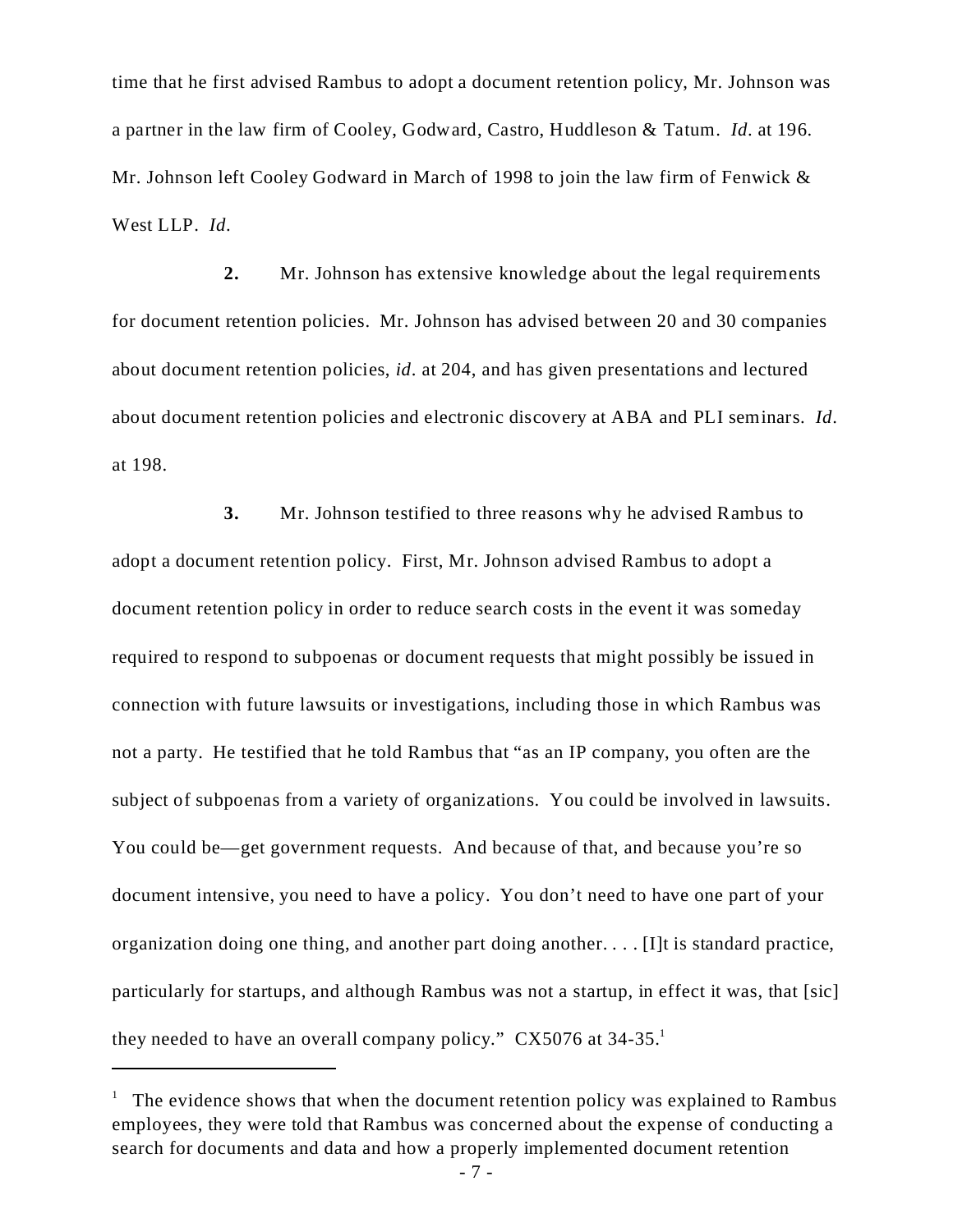time that he first advised Rambus to adopt a document retention policy, Mr. Johnson was a partner in the law firm of Cooley, Godward, Castro, Huddleson & Tatum. *Id*. at 196. Mr. Johnson left Cooley Godward in March of 1998 to join the law firm of Fenwick & West LLP. *Id*.

**2.** Mr. Johnson has extensive knowledge about the legal requirements for document retention policies. Mr. Johnson has advised between 20 and 30 companies about document retention policies, *id*. at 204, and has given presentations and lectured about document retention policies and electronic discovery at ABA and PLI seminars. *Id*. at 198.

**3.** Mr. Johnson testified to three reasons why he advised Rambus to adopt a document retention policy. First, Mr. Johnson advised Rambus to adopt a document retention policy in order to reduce search costs in the event it was someday required to respond to subpoenas or document requests that might possibly be issued in connection with future lawsuits or investigations, including those in which Rambus was not a party. He testified that he told Rambus that "as an IP company, you often are the subject of subpoenas from a variety of organizations. You could be involved in lawsuits. You could be—get government requests. And because of that, and because you're so document intensive, you need to have a policy. You don't need to have one part of your organization doing one thing, and another part doing another....  $[I]$  is standard practice, particularly for startups, and although Rambus was not a startup, in effect it was, that [sic] they needed to have an overall company policy."  $CX5076$  at  $34-35$ .<sup>1</sup>

 $1$  The evidence shows that when the document retention policy was explained to Rambus employees, they were told that Rambus was concerned about the expense of conducting a search for documents and data and how a properly implemented document retention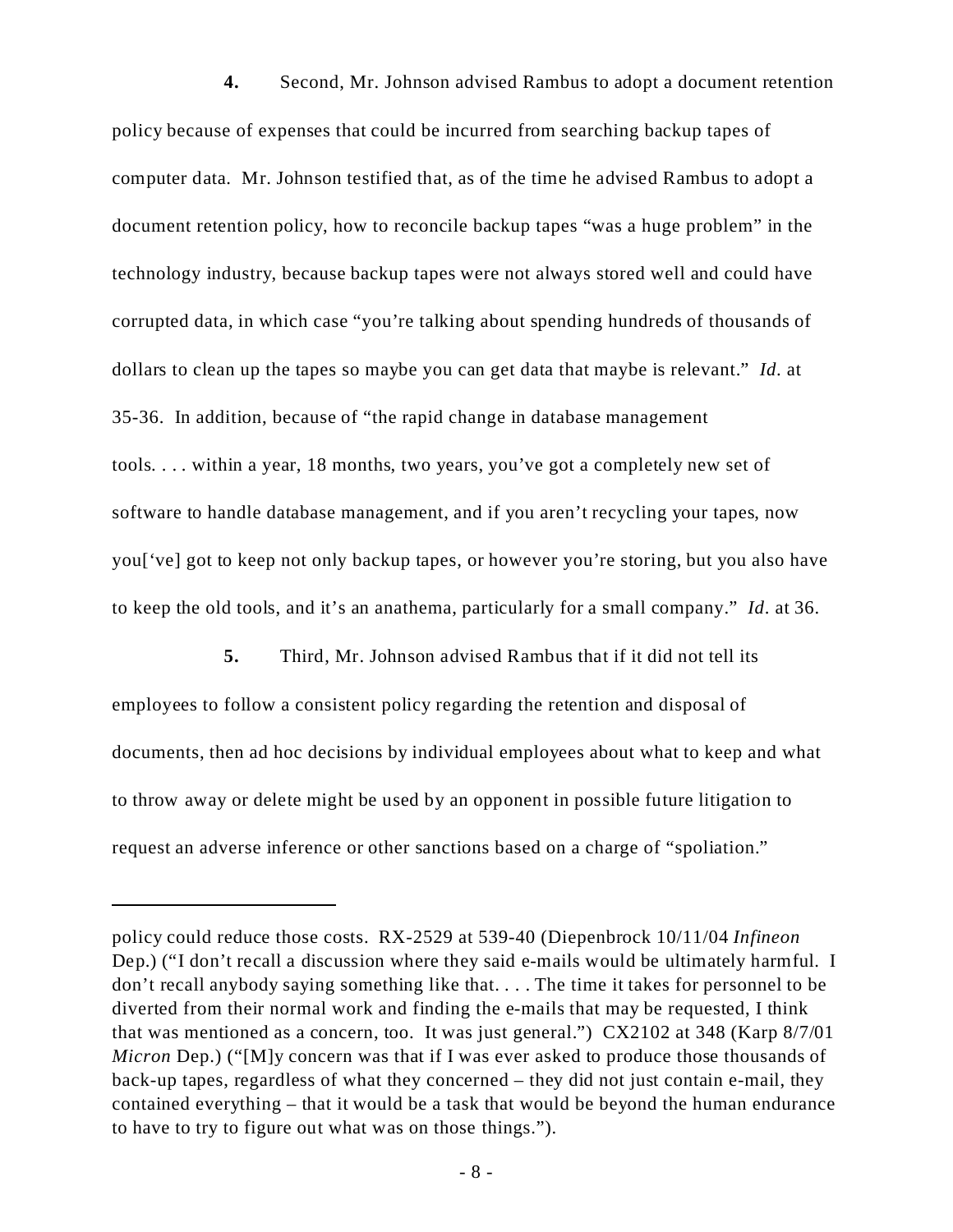**4.** Second, Mr. Johnson advised Rambus to adopt a document retention policy because of expenses that could be incurred from searching backup tapes of computer data. Mr. Johnson testified that, as of the time he advised Rambus to adopt a document retention policy, how to reconcile backup tapes "was a huge problem" in the technology industry, because backup tapes were not always stored well and could have corrupted data, in which case "you're talking about spending hundreds of thousands of dollars to clean up the tapes so maybe you can get data that maybe is relevant." *Id*. at 35-36. In addition, because of "the rapid change in database management tools. . . . within a year, 18 months, two years, you've got a completely new set of software to handle database management, and if you aren't recycling your tapes, now you['ve] got to keep not only backup tapes, or however you're storing, but you also have to keep the old tools, and it's an anathema, particularly for a small company." *Id*. at 36.

**5.** Third, Mr. Johnson advised Rambus that if it did not tell its employees to follow a consistent policy regarding the retention and disposal of documents, then ad hoc decisions by individual employees about what to keep and what to throw away or delete might be used by an opponent in possible future litigation to request an adverse inference or other sanctions based on a charge of "spoliation."

policy could reduce those costs. RX-2529 at 539-40 (Diepenbrock 10/11/04 *Infineon* Dep.) ("I don't recall a discussion where they said e-mails would be ultimately harmful. I don't recall anybody saying something like that. . . . The time it takes for personnel to be diverted from their normal work and finding the e-mails that may be requested, I think that was mentioned as a concern, too. It was just general.") CX2102 at 348 (Karp 8/7/01 *Micron* Dep.) ("[M]y concern was that if I was ever asked to produce those thousands of back-up tapes, regardless of what they concerned – they did not just contain e-mail, they contained everything – that it would be a task that would be beyond the human endurance to have to try to figure out what was on those things.").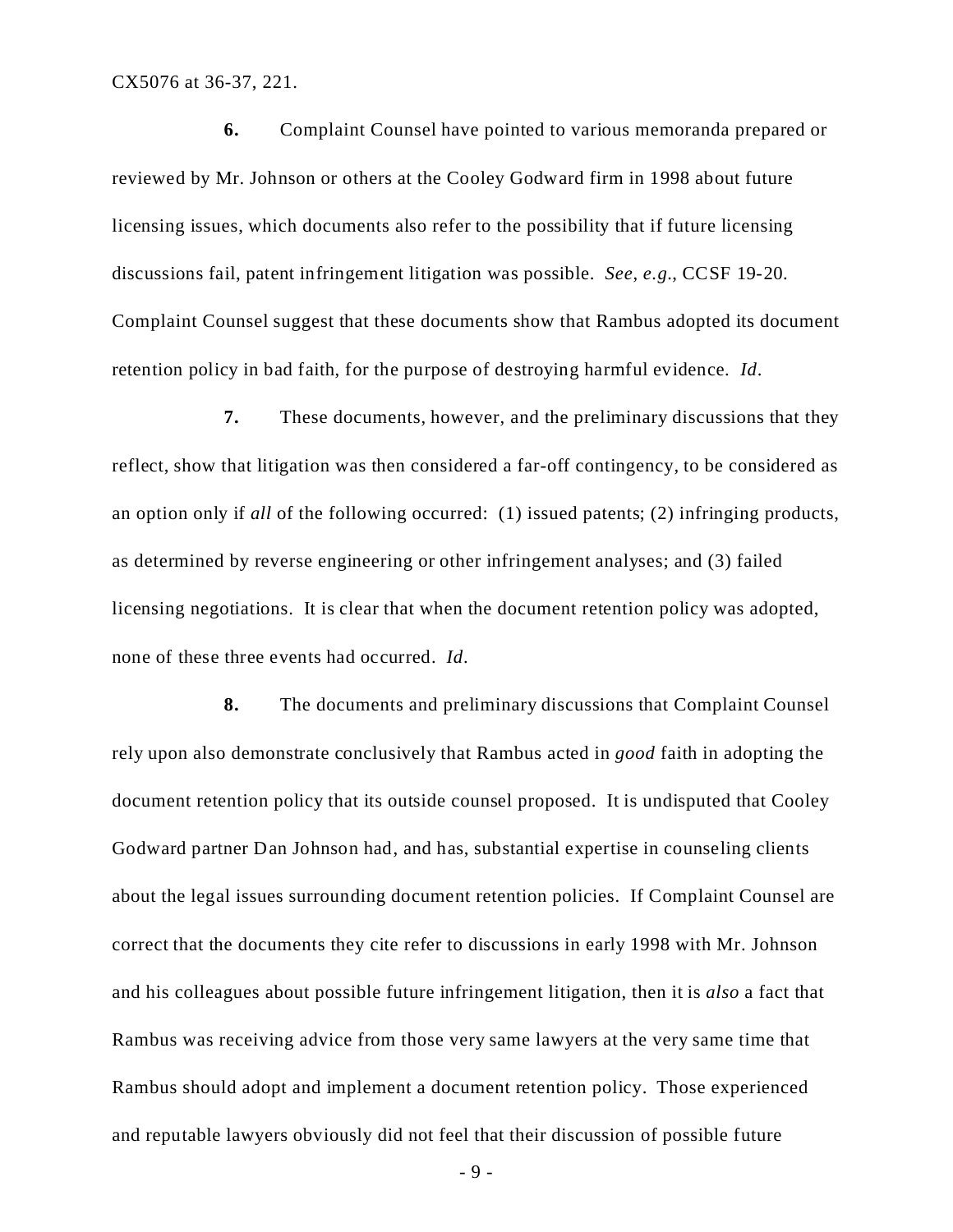CX5076 at 36-37, 221.

**6.** Complaint Counsel have pointed to various memoranda prepared or reviewed by Mr. Johnson or others at the Cooley Godward firm in 1998 about future licensing issues, which documents also refer to the possibility that if future licensing discussions fail, patent infringement litigation was possible. *See*, *e.g.*, CCSF 19-20. Complaint Counsel suggest that these documents show that Rambus adopted its document retention policy in bad faith, for the purpose of destroying harmful evidence. *Id*.

**7.** These documents, however, and the preliminary discussions that they reflect, show that litigation was then considered a far-off contingency, to be considered as an option only if *all* of the following occurred: (1) issued patents; (2) infringing products, as determined by reverse engineering or other infringement analyses; and (3) failed licensing negotiations. It is clear that when the document retention policy was adopted, none of these three events had occurred. *Id*.

**8.** The documents and preliminary discussions that Complaint Counsel rely upon also demonstrate conclusively that Rambus acted in *good* faith in adopting the document retention policy that its outside counsel proposed. It is undisputed that Cooley Godward partner Dan Johnson had, and has, substantial expertise in counseling clients about the legal issues surrounding document retention policies. If Complaint Counsel are correct that the documents they cite refer to discussions in early 1998 with Mr. Johnson and his colleagues about possible future infringement litigation, then it is *also* a fact that Rambus was receiving advice from those very same lawyers at the very same time that Rambus should adopt and implement a document retention policy. Those experienced and reputable lawyers obviously did not feel that their discussion of possible future

- 9 -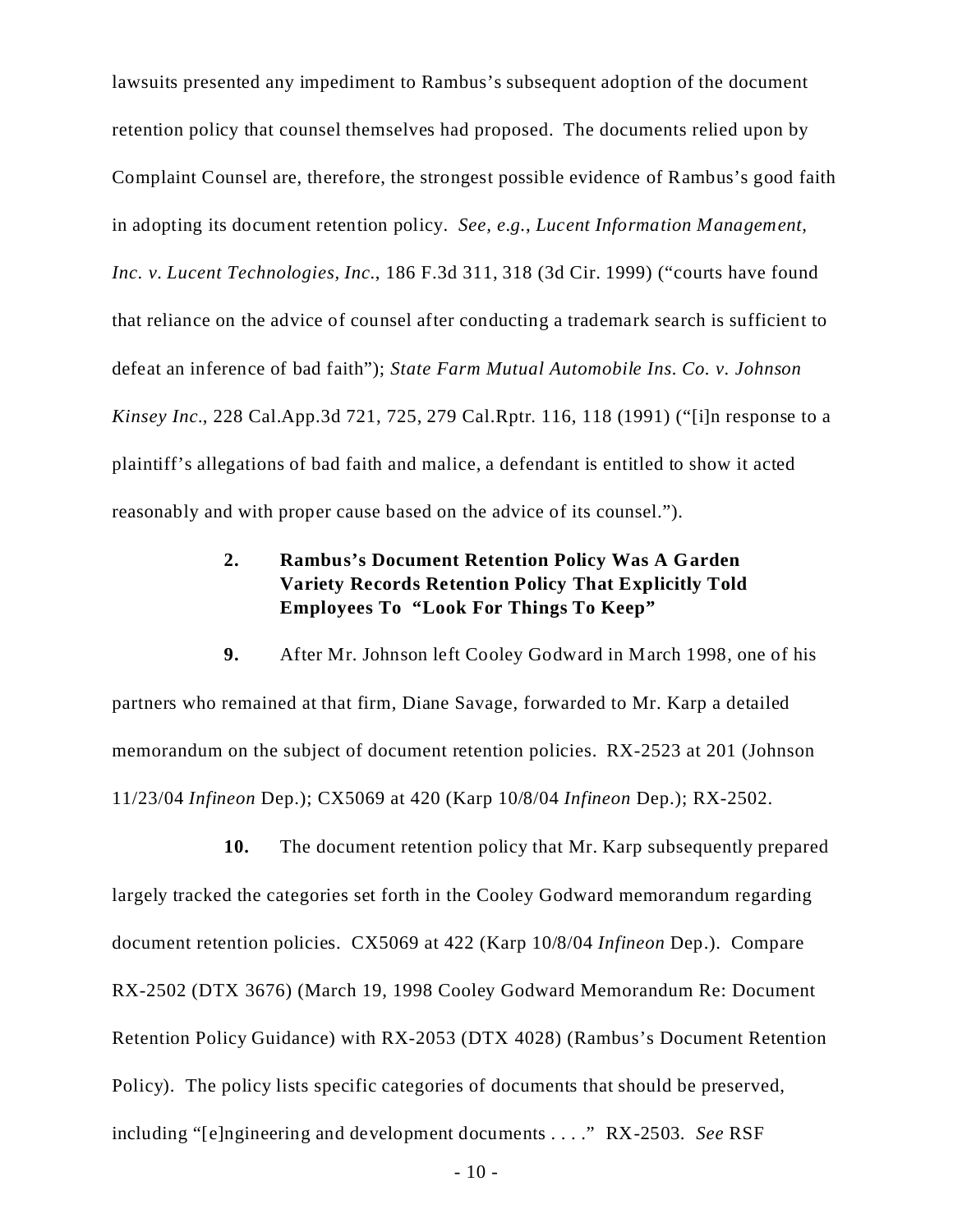lawsuits presented any impediment to Rambus's subsequent adoption of the document retention policy that counsel themselves had proposed. The documents relied upon by Complaint Counsel are, therefore, the strongest possible evidence of Rambus's good faith in adopting its document retention policy. *See, e.g.*, *Lucent Information Management, Inc. v. Lucent Technologies, Inc.*, 186 F.3d 311, 318 (3d Cir. 1999) ("courts have found that reliance on the advice of counsel after conducting a trademark search is sufficient to defeat an inference of bad faith"); *State Farm Mutual Automobile Ins. Co. v. Johnson Kinsey Inc.*, 228 Cal.App.3d 721, 725, 279 Cal.Rptr. 116, 118 (1991) ("[i]n response to a plaintiff's allegations of bad faith and malice, a defendant is entitled to show it acted reasonably and with proper cause based on the advice of its counsel.").

# **2. Rambus's Document Retention Policy Was A Garden Variety Records Retention Policy That Explicitly Told Employees To "Look For Things To Keep"**

**9.** After Mr. Johnson left Cooley Godward in March 1998, one of his partners who remained at that firm, Diane Savage, forwarded to Mr. Karp a detailed memorandum on the subject of document retention policies. RX-2523 at 201 (Johnson 11/23/04 *Infineon* Dep.); CX5069 at 420 (Karp 10/8/04 *Infineon* Dep.); RX-2502.

**10.** The document retention policy that Mr. Karp subsequently prepared largely tracked the categories set forth in the Cooley Godward memorandum regarding document retention policies. CX5069 at 422 (Karp 10/8/04 *Infineon* Dep.). Compare RX-2502 (DTX 3676) (March 19, 1998 Cooley Godward Memorandum Re: Document Retention Policy Guidance) with RX-2053 (DTX 4028) (Rambus's Document Retention Policy). The policy lists specific categories of documents that should be preserved, including "[e]ngineering and development documents . . . ." RX-2503. *See* RSF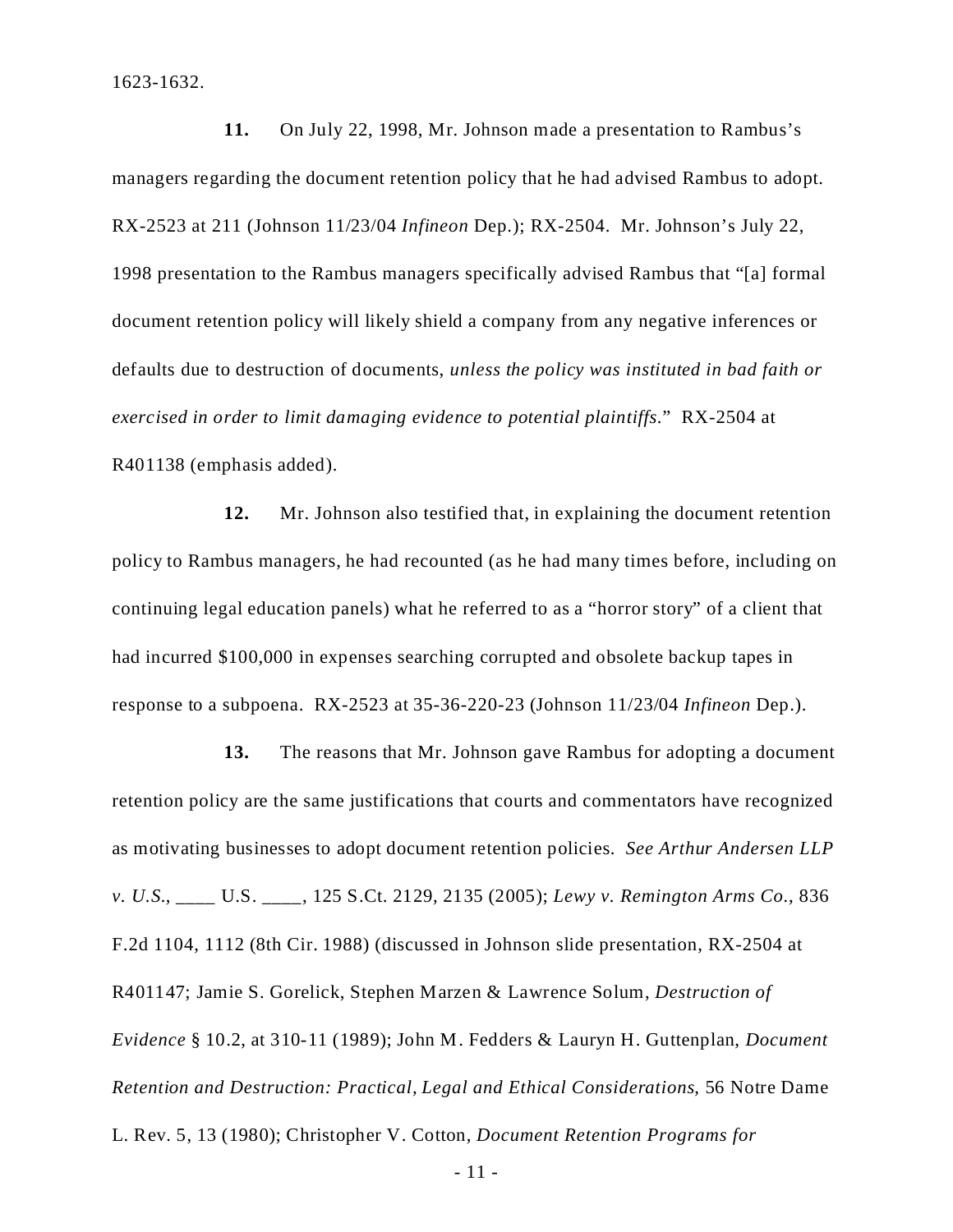1623-1632.

**11.** On July 22, 1998, Mr. Johnson made a presentation to Rambus's managers regarding the document retention policy that he had advised Rambus to adopt. RX-2523 at 211 (Johnson 11/23/04 *Infineon* Dep.); RX-2504. Mr. Johnson's July 22, 1998 presentation to the Rambus managers specifically advised Rambus that "[a] formal document retention policy will likely shield a company from any negative inferences or defaults due to destruction of documents, *unless the policy was instituted in bad faith or exercised in order to limit damaging evidence to potential plaintiffs*." RX-2504 at R401138 (emphasis added).

**12.** Mr. Johnson also testified that, in explaining the document retention policy to Rambus managers, he had recounted (as he had many times before, including on continuing legal education panels) what he referred to as a "horror story" of a client that had incurred \$100,000 in expenses searching corrupted and obsolete backup tapes in response to a subpoena. RX-2523 at 35-36-220-23 (Johnson 11/23/04 *Infineon* Dep.).

**13.** The reasons that Mr. Johnson gave Rambus for adopting a document retention policy are the same justifications that courts and commentators have recognized as motivating businesses to adopt document retention policies. *See Arthur Andersen LLP v. U.S.*, \_\_\_\_ U.S. \_\_\_\_, 125 S.Ct. 2129, 2135 (2005); *Lewy v. Remington Arms Co.*, 836 F.2d 1104, 1112 (8th Cir. 1988) (discussed in Johnson slide presentation, RX-2504 at R401147; Jamie S. Gorelick, Stephen Marzen & Lawrence Solum, *Destruction of Evidence* § 10.2, at 310-11 (1989); John M. Fedders & Lauryn H. Guttenplan, *Document Retention and Destruction: Practical, Legal and Ethical Considerations*, 56 Notre Dame L. Rev. 5, 13 (1980); Christopher V. Cotton, *Document Retention Programs for*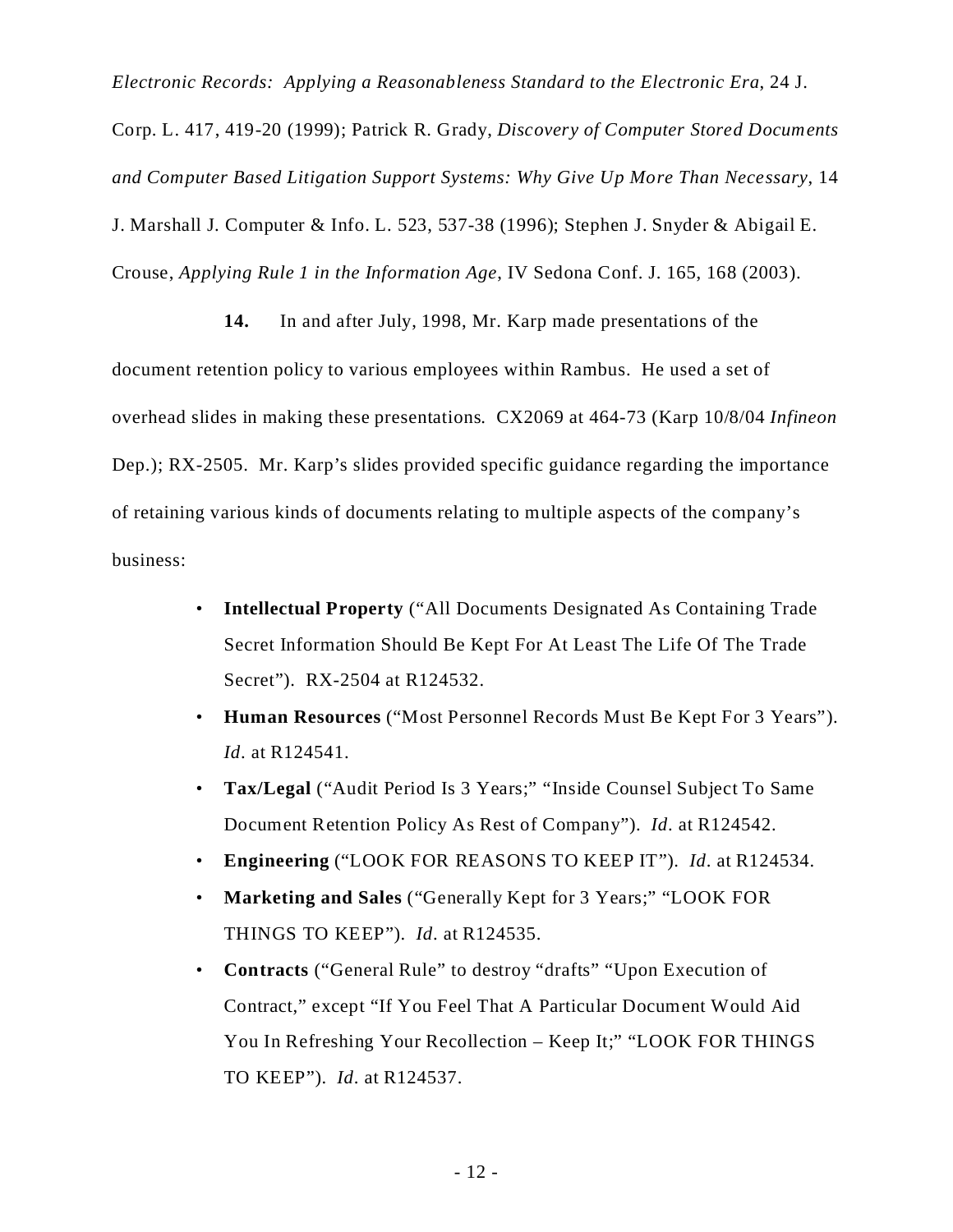*Electronic Records: Applying a Reasonableness Standard to the Electronic Era*, 24 J. Corp. L. 417, 419-20 (1999); Patrick R. Grady, *Discovery of Computer Stored Documents and Computer Based Litigation Support Systems: Why Give Up More Than Necessary*, 14 J. Marshall J. Computer & Info. L. 523, 537-38 (1996); Stephen J. Snyder & Abigail E. Crouse, *Applying Rule 1 in the Information Age*, IV Sedona Conf. J. 165, 168 (2003).

**14.** In and after July, 1998, Mr. Karp made presentations of the document retention policy to various employees within Rambus. He used a set of overhead slides in making these presentations. CX2069 at 464-73 (Karp 10/8/04 *Infineon* Dep.); RX-2505. Mr. Karp's slides provided specific guidance regarding the importance of retaining various kinds of documents relating to multiple aspects of the company's business:

- **Intellectual Property** ("All Documents Designated As Containing Trade Secret Information Should Be Kept For At Least The Life Of The Trade Secret"). RX-2504 at R124532.
- **Human Resources** ("Most Personnel Records Must Be Kept For 3 Years"). *Id*. at R124541.
- **Tax/Legal** ("Audit Period Is 3 Years;" "Inside Counsel Subject To Same Document Retention Policy As Rest of Company"). *Id*. at R124542.
- **Engineering** ("LOOK FOR REASONS TO KEEP IT"). *Id*. at R124534.
- **Marketing and Sales** ("Generally Kept for 3 Years;" "LOOK FOR THINGS TO KEEP"). *Id*. at R124535.
- **Contracts** ("General Rule" to destroy "drafts" "Upon Execution of Contract," except "If You Feel That A Particular Document Would Aid You In Refreshing Your Recollection – Keep It;" "LOOK FOR THINGS TO KEEP"). *Id*. at R124537.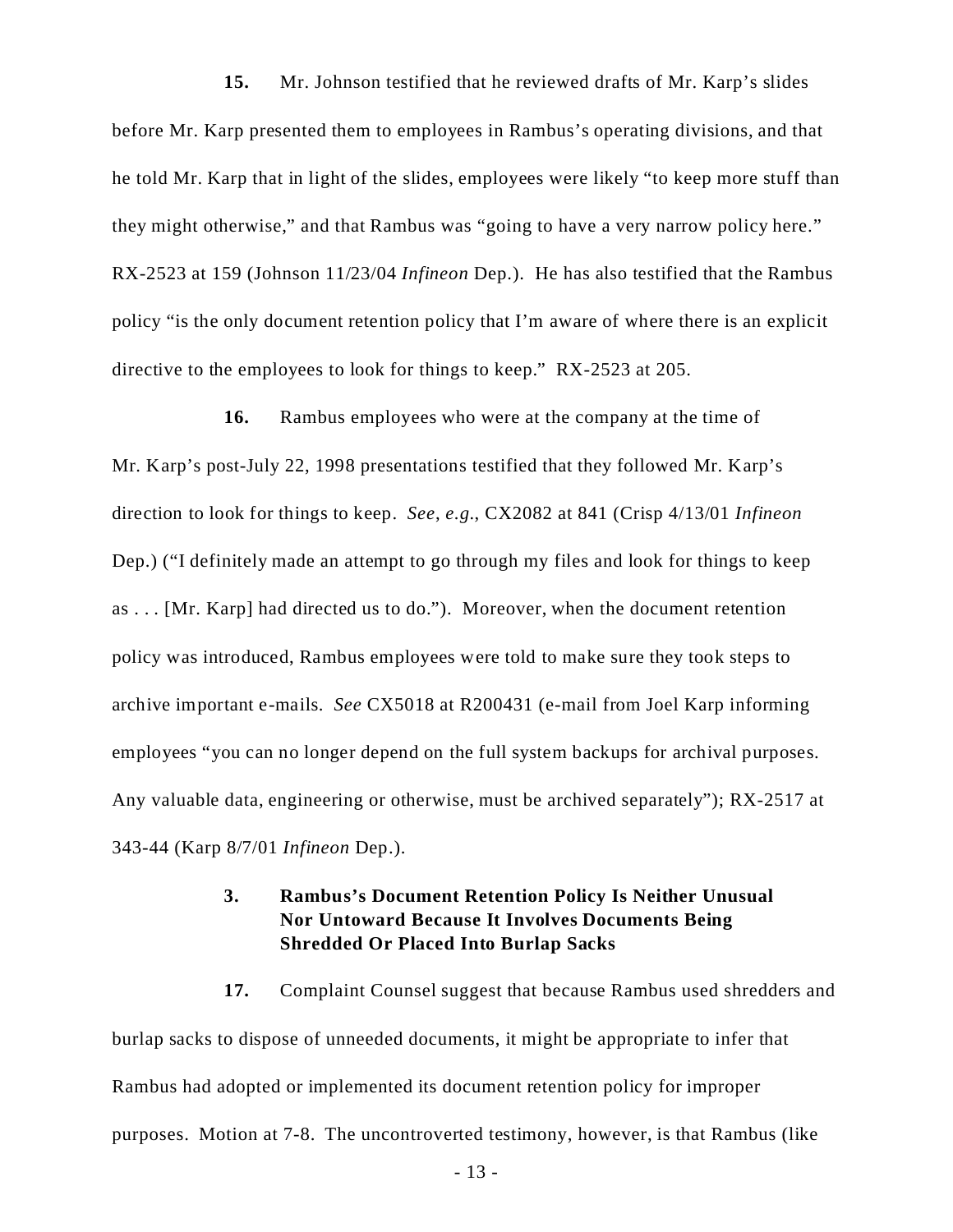**15.** Mr. Johnson testified that he reviewed drafts of Mr. Karp's slides before Mr. Karp presented them to employees in Rambus's operating divisions, and that he told Mr. Karp that in light of the slides, employees were likely "to keep more stuff than they might otherwise," and that Rambus was "going to have a very narrow policy here." RX-2523 at 159 (Johnson 11/23/04 *Infineon* Dep.). He has also testified that the Rambus policy "is the only document retention policy that I'm aware of where there is an explicit directive to the employees to look for things to keep." RX-2523 at 205.

**16.** Rambus employees who were at the company at the time of Mr. Karp's post-July 22, 1998 presentations testified that they followed Mr. Karp's direction to look for things to keep. *See*, *e.g.*, CX2082 at 841 (Crisp 4/13/01 *Infineon* Dep.) ("I definitely made an attempt to go through my files and look for things to keep as . . . [Mr. Karp] had directed us to do."). Moreover, when the document retention policy was introduced, Rambus employees were told to make sure they took steps to archive important e-mails. *See* CX5018 at R200431 (e-mail from Joel Karp informing employees "you can no longer depend on the full system backups for archival purposes. Any valuable data, engineering or otherwise, must be archived separately"); RX-2517 at 343-44 (Karp 8/7/01 *Infineon* Dep.).

# **3. Rambus's Document Retention Policy Is Neither Unusual Nor Untoward Because It Involves Documents Being Shredded Or Placed Into Burlap Sacks**

**17.** Complaint Counsel suggest that because Rambus used shredders and burlap sacks to dispose of unneeded documents, it might be appropriate to infer that Rambus had adopted or implemented its document retention policy for improper purposes. Motion at 7-8. The uncontroverted testimony, however, is that Rambus (like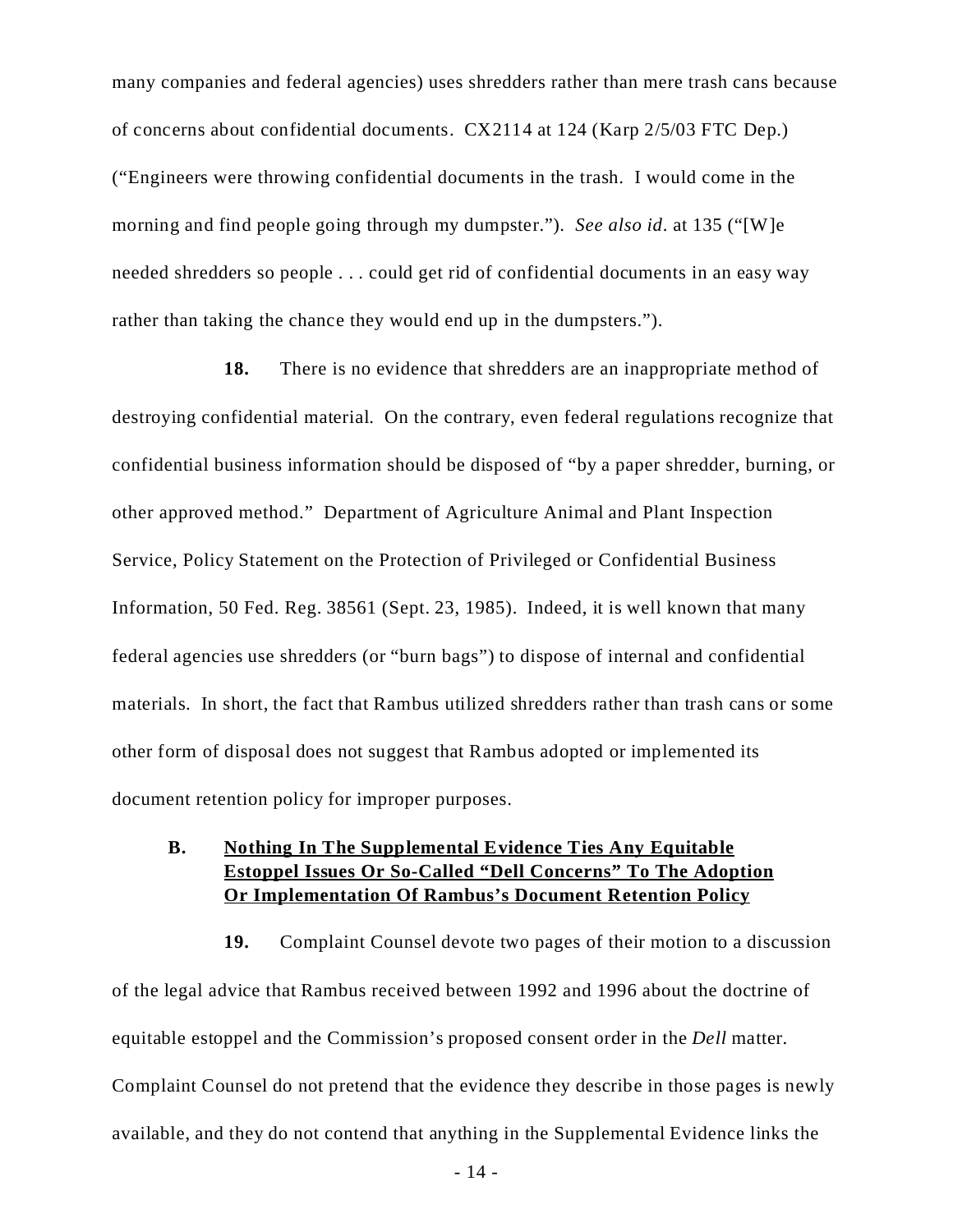many companies and federal agencies) uses shredders rather than mere trash cans because of concerns about confidential documents. CX2114 at 124 (Karp 2/5/03 FTC Dep.) ("Engineers were throwing confidential documents in the trash. I would come in the morning and find people going through my dumpster."). *See also id*. at 135 ("[W]e needed shredders so people . . . could get rid of confidential documents in an easy way rather than taking the chance they would end up in the dumpsters.").

**18.** There is no evidence that shredders are an inappropriate method of destroying confidential material. On the contrary, even federal regulations recognize that confidential business information should be disposed of "by a paper shredder, burning, or other approved method." Department of Agriculture Animal and Plant Inspection Service, Policy Statement on the Protection of Privileged or Confidential Business Information, 50 Fed. Reg. 38561 (Sept. 23, 1985). Indeed, it is well known that many federal agencies use shredders (or "burn bags") to dispose of internal and confidential materials. In short, the fact that Rambus utilized shredders rather than trash cans or some other form of disposal does not suggest that Rambus adopted or implemented its document retention policy for improper purposes.

### **B. Nothing In The Supplemental Evidence Ties Any Equitable Estoppel Issues Or So-Called "Dell Concerns" To The Adoption Or Implementation Of Rambus's Document Retention Policy**

**19.** Complaint Counsel devote two pages of their motion to a discussion of the legal advice that Rambus received between 1992 and 1996 about the doctrine of equitable estoppel and the Commission's proposed consent order in the *Dell* matter. Complaint Counsel do not pretend that the evidence they describe in those pages is newly available, and they do not contend that anything in the Supplemental Evidence links the

- 14 -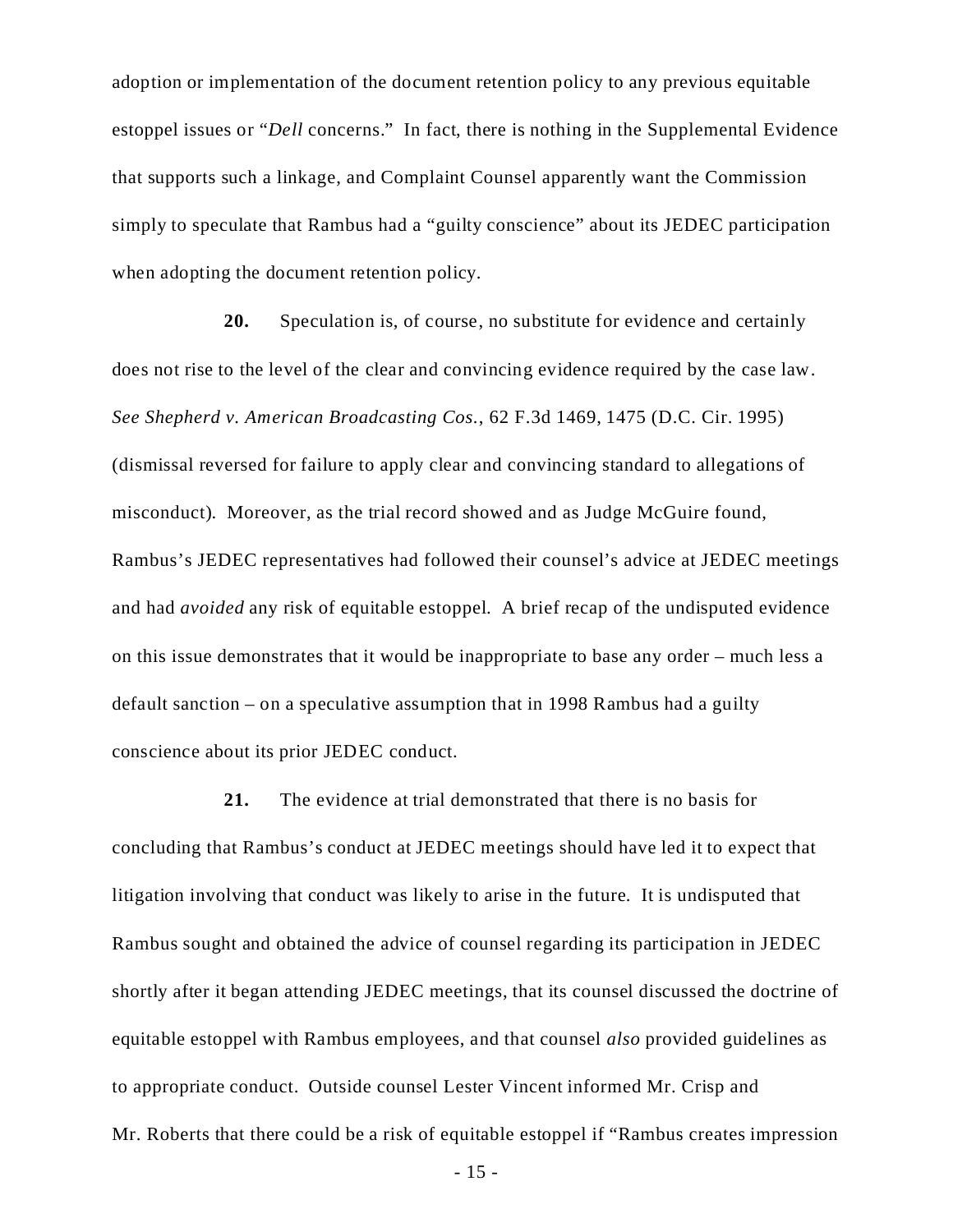adoption or implementation of the document retention policy to any previous equitable estoppel issues or "*Dell* concerns." In fact, there is nothing in the Supplemental Evidence that supports such a linkage, and Complaint Counsel apparently want the Commission simply to speculate that Rambus had a "guilty conscience" about its JEDEC participation when adopting the document retention policy.

**20.** Speculation is, of course, no substitute for evidence and certainly does not rise to the level of the clear and convincing evidence required by the case law. *See Shepherd v. American Broadcasting Cos.*, 62 F.3d 1469, 1475 (D.C. Cir. 1995) (dismissal reversed for failure to apply clear and convincing standard to allegations of misconduct). Moreover, as the trial record showed and as Judge McGuire found, Rambus's JEDEC representatives had followed their counsel's advice at JEDEC meetings and had *avoided* any risk of equitable estoppel. A brief recap of the undisputed evidence on this issue demonstrates that it would be inappropriate to base any order – much less a default sanction – on a speculative assumption that in 1998 Rambus had a guilty conscience about its prior JEDEC conduct.

**21.** The evidence at trial demonstrated that there is no basis for concluding that Rambus's conduct at JEDEC meetings should have led it to expect that litigation involving that conduct was likely to arise in the future. It is undisputed that Rambus sought and obtained the advice of counsel regarding its participation in JEDEC shortly after it began attending JEDEC meetings, that its counsel discussed the doctrine of equitable estoppel with Rambus employees, and that counsel *also* provided guidelines as to appropriate conduct. Outside counsel Lester Vincent informed Mr. Crisp and Mr. Roberts that there could be a risk of equitable estoppel if "Rambus creates impression

- 15 -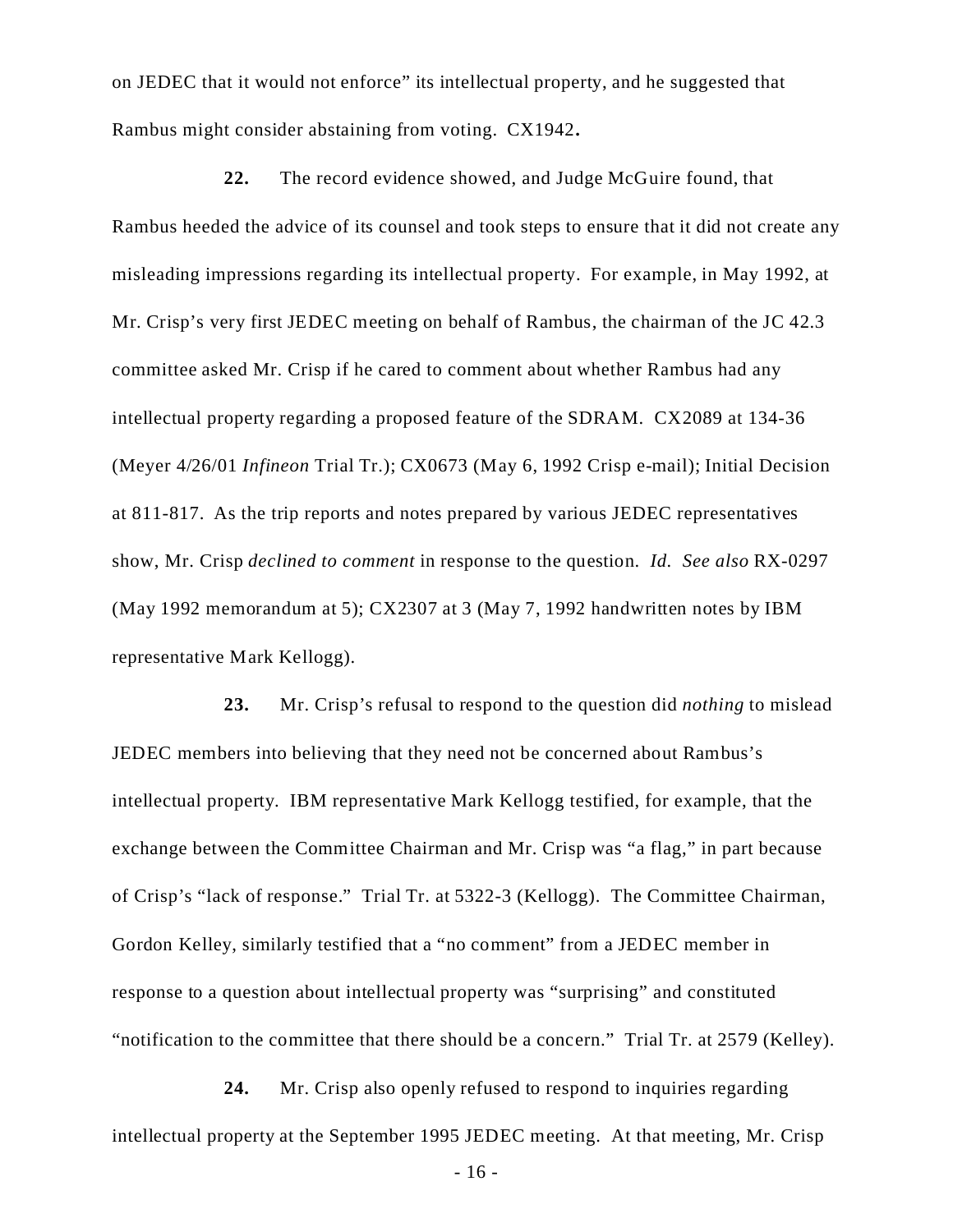on JEDEC that it would not enforce" its intellectual property, and he suggested that Rambus might consider abstaining from voting. CX1942**.**

**22.** The record evidence showed, and Judge McGuire found, that Rambus heeded the advice of its counsel and took steps to ensure that it did not create any misleading impressions regarding its intellectual property. For example, in May 1992, at Mr. Crisp's very first JEDEC meeting on behalf of Rambus, the chairman of the JC 42.3 committee asked Mr. Crisp if he cared to comment about whether Rambus had any intellectual property regarding a proposed feature of the SDRAM. CX2089 at 134-36 (Meyer 4/26/01 *Infineon* Trial Tr.); CX0673 (May 6, 1992 Crisp e-mail); Initial Decision at 811-817. As the trip reports and notes prepared by various JEDEC representatives show, Mr. Crisp *declined to comment* in response to the question. *Id. See also* RX-0297 (May 1992 memorandum at 5); CX2307 at 3 (May 7, 1992 handwritten notes by IBM representative Mark Kellogg).

**23.** Mr. Crisp's refusal to respond to the question did *nothing* to mislead JEDEC members into believing that they need not be concerned about Rambus's intellectual property. IBM representative Mark Kellogg testified, for example, that the exchange between the Committee Chairman and Mr. Crisp was "a flag," in part because of Crisp's "lack of response." Trial Tr. at 5322-3 (Kellogg). The Committee Chairman, Gordon Kelley, similarly testified that a "no comment" from a JEDEC member in response to a question about intellectual property was "surprising" and constituted "notification to the committee that there should be a concern." Trial Tr. at 2579 (Kelley).

**24.** Mr. Crisp also openly refused to respond to inquiries regarding intellectual property at the September 1995 JEDEC meeting. At that meeting, Mr. Crisp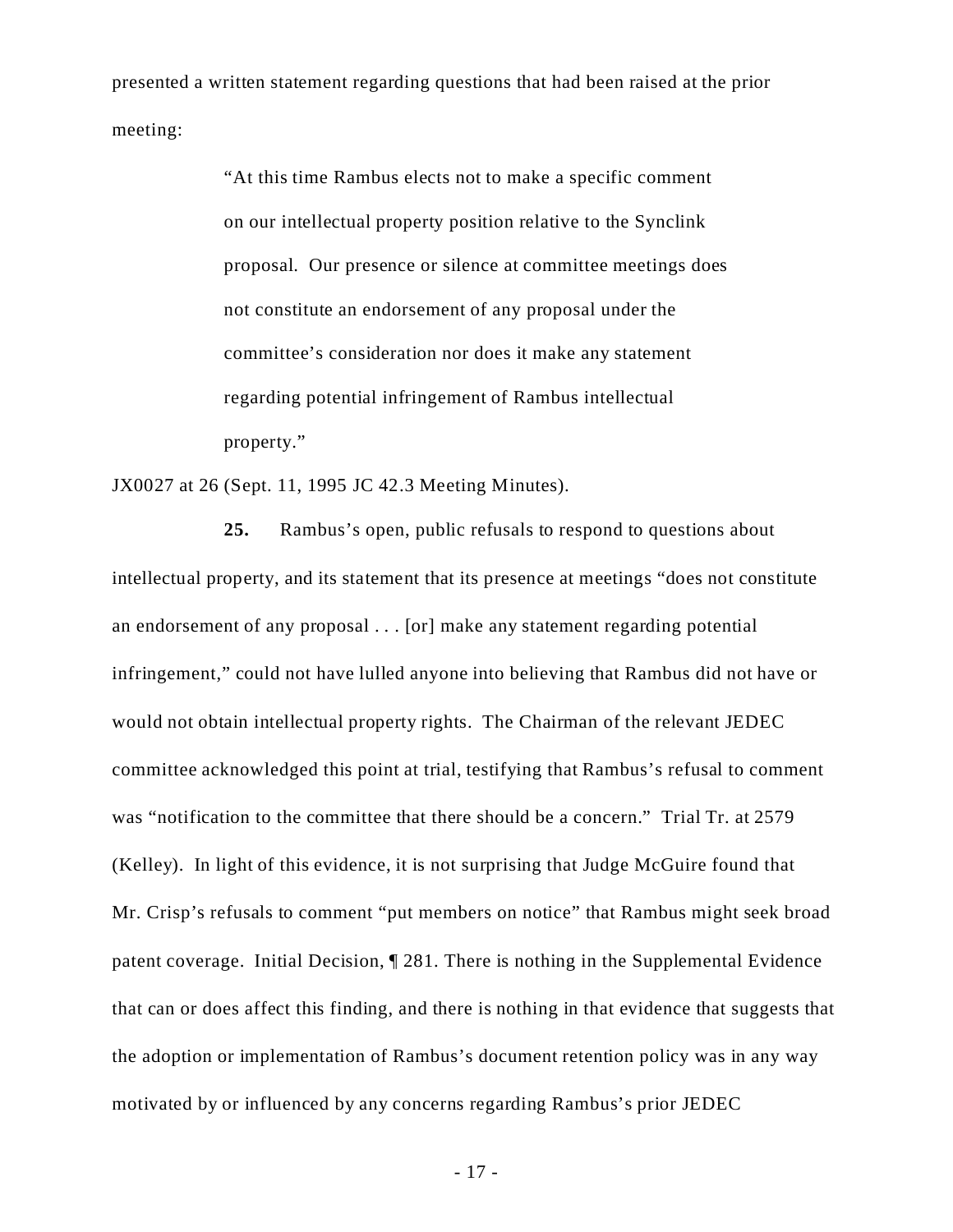presented a written statement regarding questions that had been raised at the prior meeting:

> "At this time Rambus elects not to make a specific comment on our intellectual property position relative to the Synclink proposal. Our presence or silence at committee meetings does not constitute an endorsement of any proposal under the committee's consideration nor does it make any statement regarding potential infringement of Rambus intellectual property."

JX0027 at 26 (Sept. 11, 1995 JC 42.3 Meeting Minutes).

**25.** Rambus's open, public refusals to respond to questions about intellectual property, and its statement that its presence at meetings "does not constitute an endorsement of any proposal . . . [or] make any statement regarding potential infringement," could not have lulled anyone into believing that Rambus did not have or would not obtain intellectual property rights. The Chairman of the relevant JEDEC committee acknowledged this point at trial, testifying that Rambus's refusal to comment was "notification to the committee that there should be a concern." Trial Tr. at 2579 (Kelley). In light of this evidence, it is not surprising that Judge McGuire found that Mr. Crisp's refusals to comment "put members on notice" that Rambus might seek broad patent coverage. Initial Decision, ¶ 281. There is nothing in the Supplemental Evidence that can or does affect this finding, and there is nothing in that evidence that suggests that the adoption or implementation of Rambus's document retention policy was in any way motivated by or influenced by any concerns regarding Rambus's prior JEDEC

- 17 -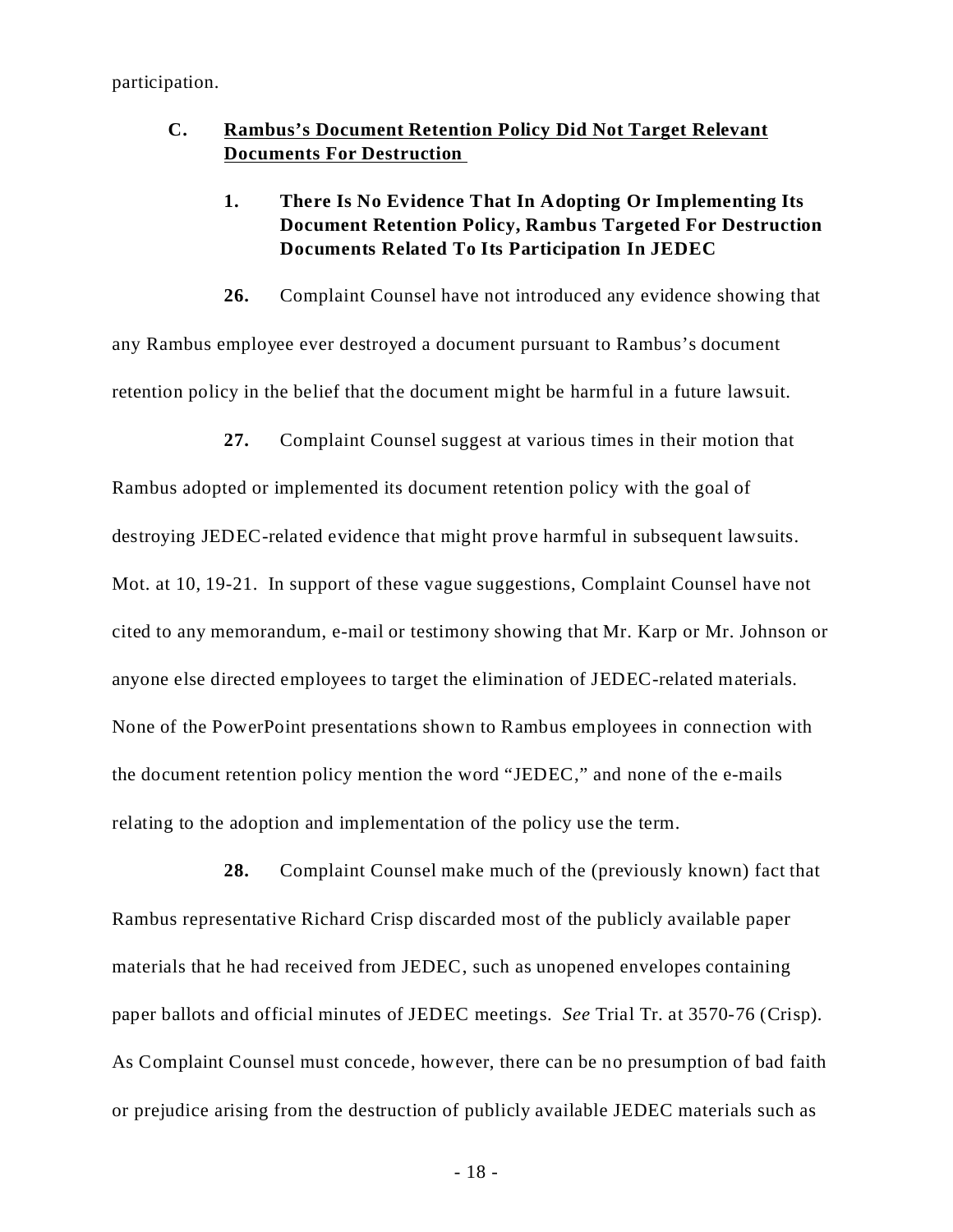participation.

## **C. Rambus's Document Retention Policy Did Not Target Relevant Documents For Destruction**

# **1. There Is No Evidence That In Adopting Or Implementing Its Document Retention Policy, Rambus Targeted For Destruction Documents Related To Its Participation In JEDEC**

**26.** Complaint Counsel have not introduced any evidence showing that any Rambus employee ever destroyed a document pursuant to Rambus's document

retention policy in the belief that the document might be harmful in a future lawsuit.

**27.** Complaint Counsel suggest at various times in their motion that

Rambus adopted or implemented its document retention policy with the goal of destroying JEDEC-related evidence that might prove harmful in subsequent lawsuits. Mot. at 10, 19-21. In support of these vague suggestions, Complaint Counsel have not cited to any memorandum, e-mail or testimony showing that Mr. Karp or Mr. Johnson or anyone else directed employees to target the elimination of JEDEC-related materials. None of the PowerPoint presentations shown to Rambus employees in connection with the document retention policy mention the word "JEDEC," and none of the e-mails relating to the adoption and implementation of the policy use the term.

**28.** Complaint Counsel make much of the (previously known) fact that Rambus representative Richard Crisp discarded most of the publicly available paper materials that he had received from JEDEC, such as unopened envelopes containing paper ballots and official minutes of JEDEC meetings. *See* Trial Tr. at 3570-76 (Crisp). As Complaint Counsel must concede, however, there can be no presumption of bad faith or prejudice arising from the destruction of publicly available JEDEC materials such as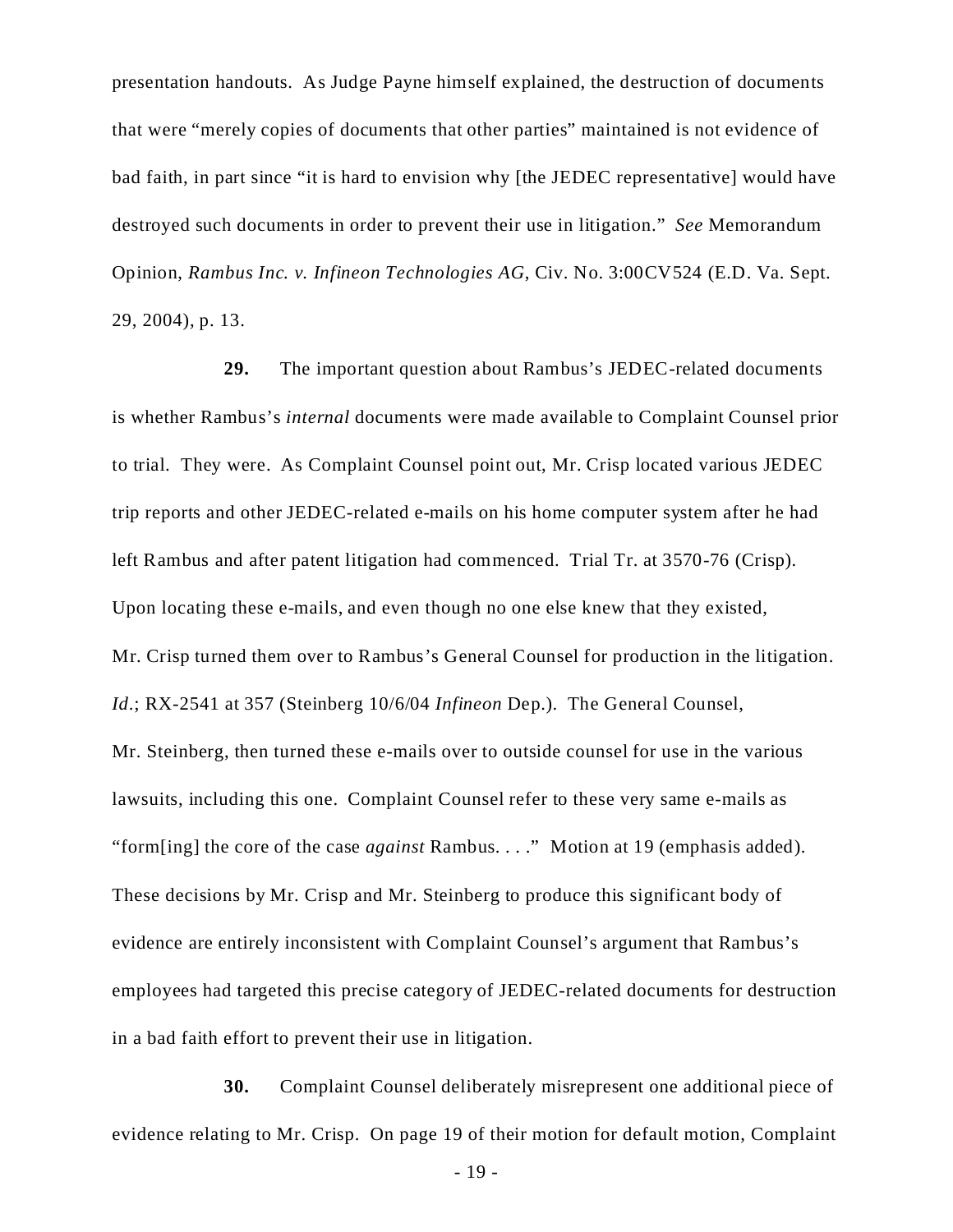presentation handouts. As Judge Payne himself explained, the destruction of documents that were "merely copies of documents that other parties" maintained is not evidence of bad faith, in part since "it is hard to envision why [the JEDEC representative] would have destroyed such documents in order to prevent their use in litigation." *See* Memorandum Opinion, *Rambus Inc. v. Infineon Technologies AG*, Civ. No. 3:00CV524 (E.D. Va. Sept. 29, 2004), p. 13.

**29.** The important question about Rambus's JEDEC-related documents is whether Rambus's *internal* documents were made available to Complaint Counsel prior to trial. They were. As Complaint Counsel point out, Mr. Crisp located various JEDEC trip reports and other JEDEC-related e-mails on his home computer system after he had left Rambus and after patent litigation had commenced. Trial Tr. at 3570-76 (Crisp). Upon locating these e-mails, and even though no one else knew that they existed, Mr. Crisp turned them over to Rambus's General Counsel for production in the litigation. *Id*.; RX-2541 at 357 (Steinberg 10/6/04 *Infineon* Dep.). The General Counsel, Mr. Steinberg, then turned these e-mails over to outside counsel for use in the various lawsuits, including this one. Complaint Counsel refer to these very same e-mails as "form[ing] the core of the case *against* Rambus. . . ." Motion at 19 (emphasis added). These decisions by Mr. Crisp and Mr. Steinberg to produce this significant body of evidence are entirely inconsistent with Complaint Counsel's argument that Rambus's employees had targeted this precise category of JEDEC-related documents for destruction in a bad faith effort to prevent their use in litigation.

**30.** Complaint Counsel deliberately misrepresent one additional piece of evidence relating to Mr. Crisp. On page 19 of their motion for default motion, Complaint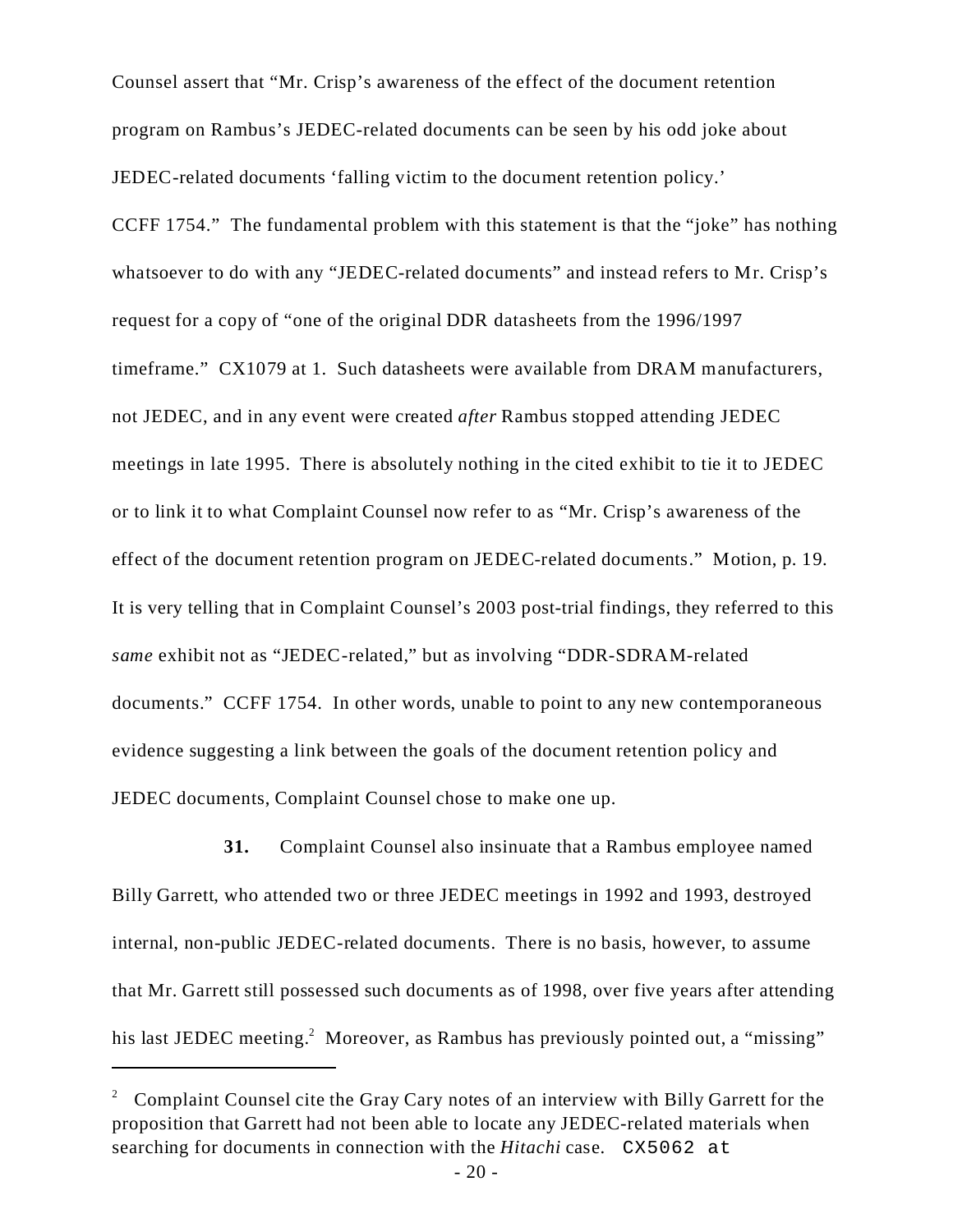Counsel assert that "Mr. Crisp's awareness of the effect of the document retention program on Rambus's JEDEC-related documents can be seen by his odd joke about JEDEC-related documents 'falling victim to the document retention policy.' CCFF 1754." The fundamental problem with this statement is that the "joke" has nothing whatsoever to do with any "JEDEC-related documents" and instead refers to Mr. Crisp's request for a copy of "one of the original DDR datasheets from the 1996/1997 timeframe." CX1079 at 1. Such datasheets were available from DRAM manufacturers, not JEDEC, and in any event were created *after* Rambus stopped attending JEDEC meetings in late 1995. There is absolutely nothing in the cited exhibit to tie it to JEDEC or to link it to what Complaint Counsel now refer to as "Mr. Crisp's awareness of the effect of the document retention program on JEDEC-related documents." Motion, p. 19. It is very telling that in Complaint Counsel's 2003 post-trial findings, they referred to this *same* exhibit not as "JEDEC-related," but as involving "DDR-SDRAM-related documents." CCFF 1754. In other words, unable to point to any new contemporaneous evidence suggesting a link between the goals of the document retention policy and JEDEC documents, Complaint Counsel chose to make one up.

**31.** Complaint Counsel also insinuate that a Rambus employee named Billy Garrett, who attended two or three JEDEC meetings in 1992 and 1993, destroyed internal, non-public JEDEC-related documents. There is no basis, however, to assume that Mr. Garrett still possessed such documents as of 1998, over five years after attending his last JEDEC meeting.<sup>2</sup> Moreover, as Rambus has previously pointed out, a "missing"

<sup>&</sup>lt;sup>2</sup> Complaint Counsel cite the Gray Cary notes of an interview with Billy Garrett for the proposition that Garrett had not been able to locate any JEDEC-related materials when searching for documents in connection with the *Hitachi* case. CX5062 at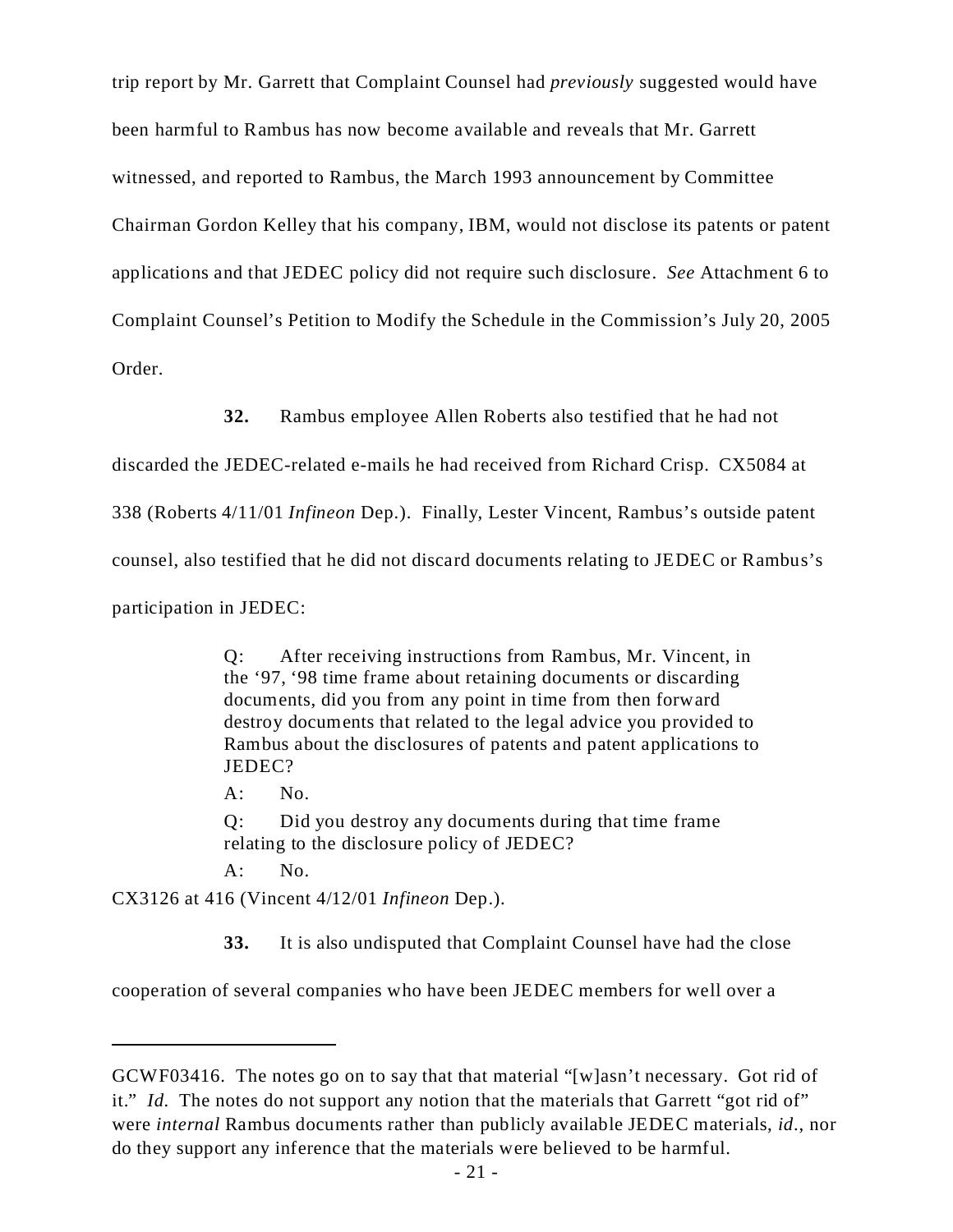trip report by Mr. Garrett that Complaint Counsel had *previously* suggested would have been harmful to Rambus has now become available and reveals that Mr. Garrett witnessed, and reported to Rambus, the March 1993 announcement by Committee Chairman Gordon Kelley that his company, IBM, would not disclose its patents or patent applications and that JEDEC policy did not require such disclosure. *See* Attachment 6 to Complaint Counsel's Petition to Modify the Schedule in the Commission's July 20, 2005 Order.

**32.** Rambus employee Allen Roberts also testified that he had not

discarded the JEDEC-related e-mails he had received from Richard Crisp. CX5084 at 338 (Roberts 4/11/01 *Infineon* Dep.). Finally, Lester Vincent, Rambus's outside patent counsel, also testified that he did not discard documents relating to JEDEC or Rambus's participation in JEDEC:

> Q: After receiving instructions from Rambus, Mr. Vincent, in the '97, '98 time frame about retaining documents or discarding documents, did you from any point in time from then forward destroy documents that related to the legal advice you provided to Rambus about the disclosures of patents and patent applications to JEDEC?

 $A:$  No.

Q: Did you destroy any documents during that time frame relating to the disclosure policy of JEDEC?

A: No.

CX3126 at 416 (Vincent 4/12/01 *Infineon* Dep.).

**33.** It is also undisputed that Complaint Counsel have had the close

cooperation of several companies who have been JEDEC members for well over a

GCWF03416. The notes go on to say that that material "[w]asn't necessary. Got rid of it." *Id.* The notes do not support any notion that the materials that Garrett "got rid of" were *internal* Rambus documents rather than publicly available JEDEC materials, *id*., nor do they support any inference that the materials were believed to be harmful.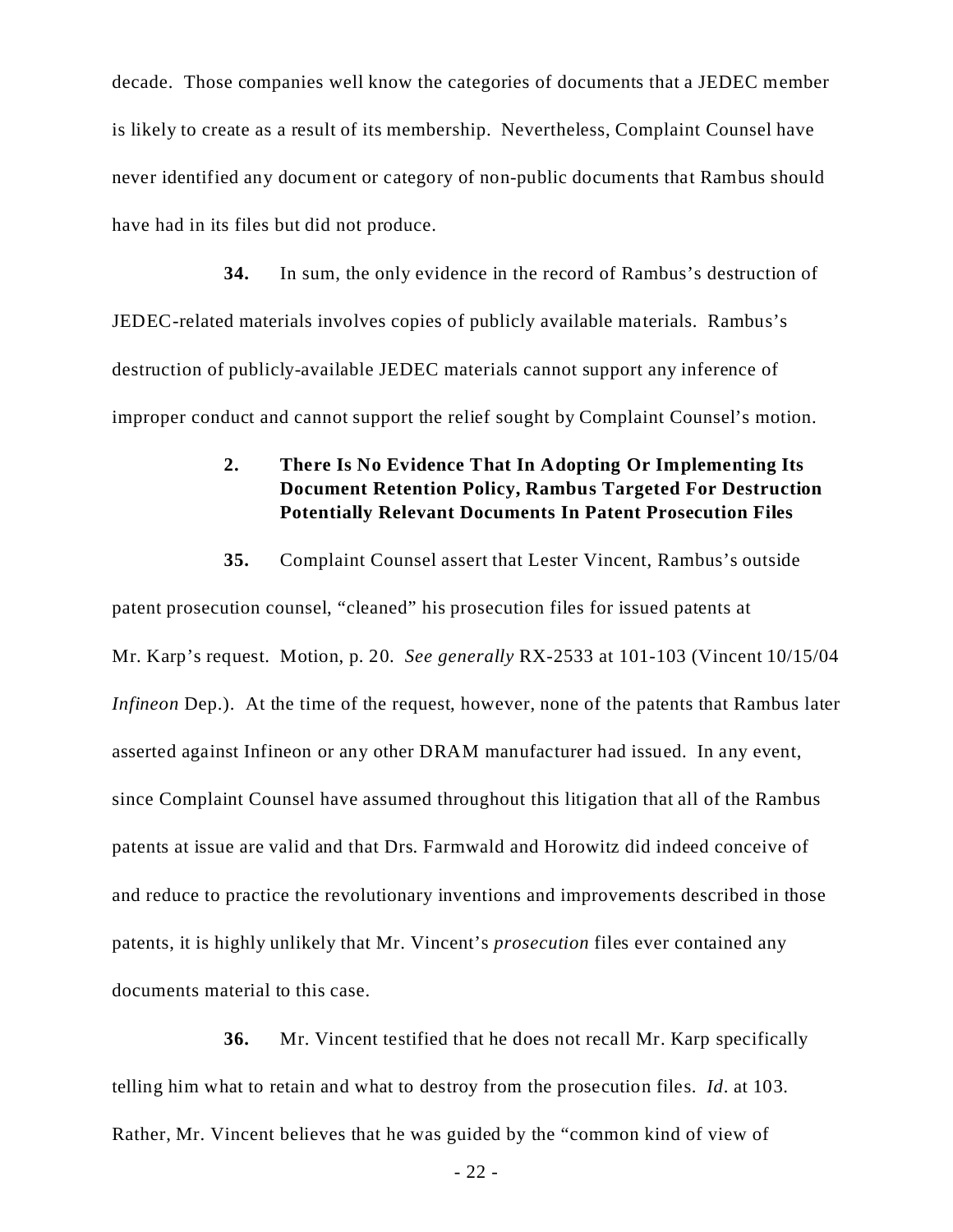decade. Those companies well know the categories of documents that a JEDEC member is likely to create as a result of its membership. Nevertheless, Complaint Counsel have never identified any document or category of non-public documents that Rambus should have had in its files but did not produce.

**34.** In sum, the only evidence in the record of Rambus's destruction of JEDEC-related materials involves copies of publicly available materials. Rambus's destruction of publicly-available JEDEC materials cannot support any inference of improper conduct and cannot support the relief sought by Complaint Counsel's motion.

# **2. There Is No Evidence That In Adopting Or Implementing Its Document Retention Policy, Rambus Targeted For Destruction Potentially Relevant Documents In Patent Prosecution Files**

**35.** Complaint Counsel assert that Lester Vincent, Rambus's outside patent prosecution counsel, "cleaned" his prosecution files for issued patents at Mr. Karp's request. Motion, p. 20. *See generally* RX-2533 at 101-103 (Vincent 10/15/04 *Infineon* Dep.). At the time of the request, however, none of the patents that Rambus later asserted against Infineon or any other DRAM manufacturer had issued. In any event, since Complaint Counsel have assumed throughout this litigation that all of the Rambus patents at issue are valid and that Drs. Farmwald and Horowitz did indeed conceive of and reduce to practice the revolutionary inventions and improvements described in those patents, it is highly unlikely that Mr. Vincent's *prosecution* files ever contained any documents material to this case.

**36.** Mr. Vincent testified that he does not recall Mr. Karp specifically telling him what to retain and what to destroy from the prosecution files. *Id*. at 103. Rather, Mr. Vincent believes that he was guided by the "common kind of view of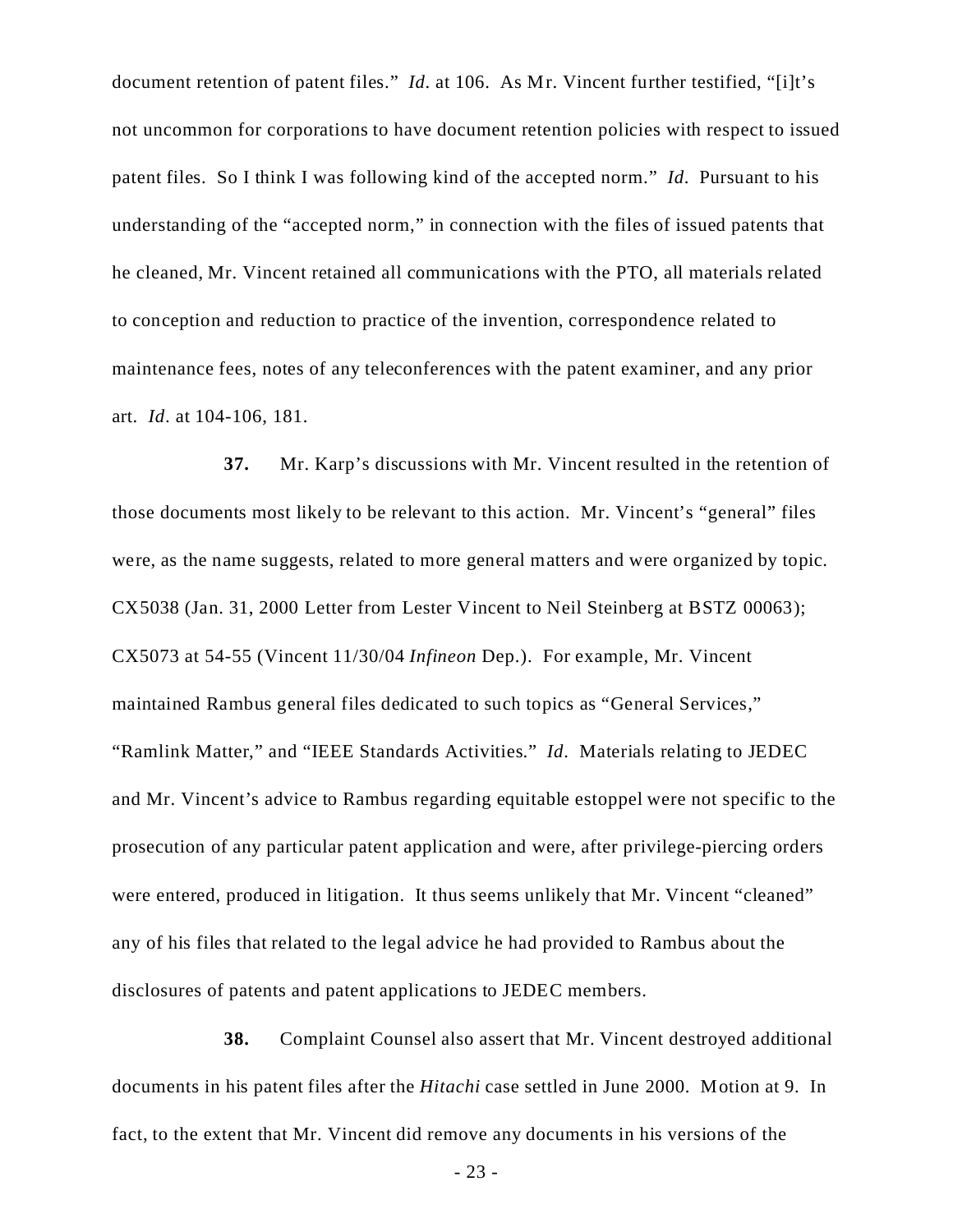document retention of patent files." *Id*. at 106. As Mr. Vincent further testified, "[i]t's not uncommon for corporations to have document retention policies with respect to issued patent files. So I think I was following kind of the accepted norm." *Id*. Pursuant to his understanding of the "accepted norm," in connection with the files of issued patents that he cleaned, Mr. Vincent retained all communications with the PTO, all materials related to conception and reduction to practice of the invention, correspondence related to maintenance fees, notes of any teleconferences with the patent examiner, and any prior art. *Id*. at 104-106, 181.

**37.** Mr. Karp's discussions with Mr. Vincent resulted in the retention of those documents most likely to be relevant to this action. Mr. Vincent's "general" files were, as the name suggests, related to more general matters and were organized by topic. CX5038 (Jan. 31, 2000 Letter from Lester Vincent to Neil Steinberg at BSTZ 00063); CX5073 at 54-55 (Vincent 11/30/04 *Infineon* Dep.). For example, Mr. Vincent maintained Rambus general files dedicated to such topics as "General Services," "Ramlink Matter," and "IEEE Standards Activities." *Id*. Materials relating to JEDEC and Mr. Vincent's advice to Rambus regarding equitable estoppel were not specific to the prosecution of any particular patent application and were, after privilege-piercing orders were entered, produced in litigation. It thus seems unlikely that Mr. Vincent "cleaned" any of his files that related to the legal advice he had provided to Rambus about the disclosures of patents and patent applications to JEDEC members.

**38.** Complaint Counsel also assert that Mr. Vincent destroyed additional documents in his patent files after the *Hitachi* case settled in June 2000. Motion at 9. In fact, to the extent that Mr. Vincent did remove any documents in his versions of the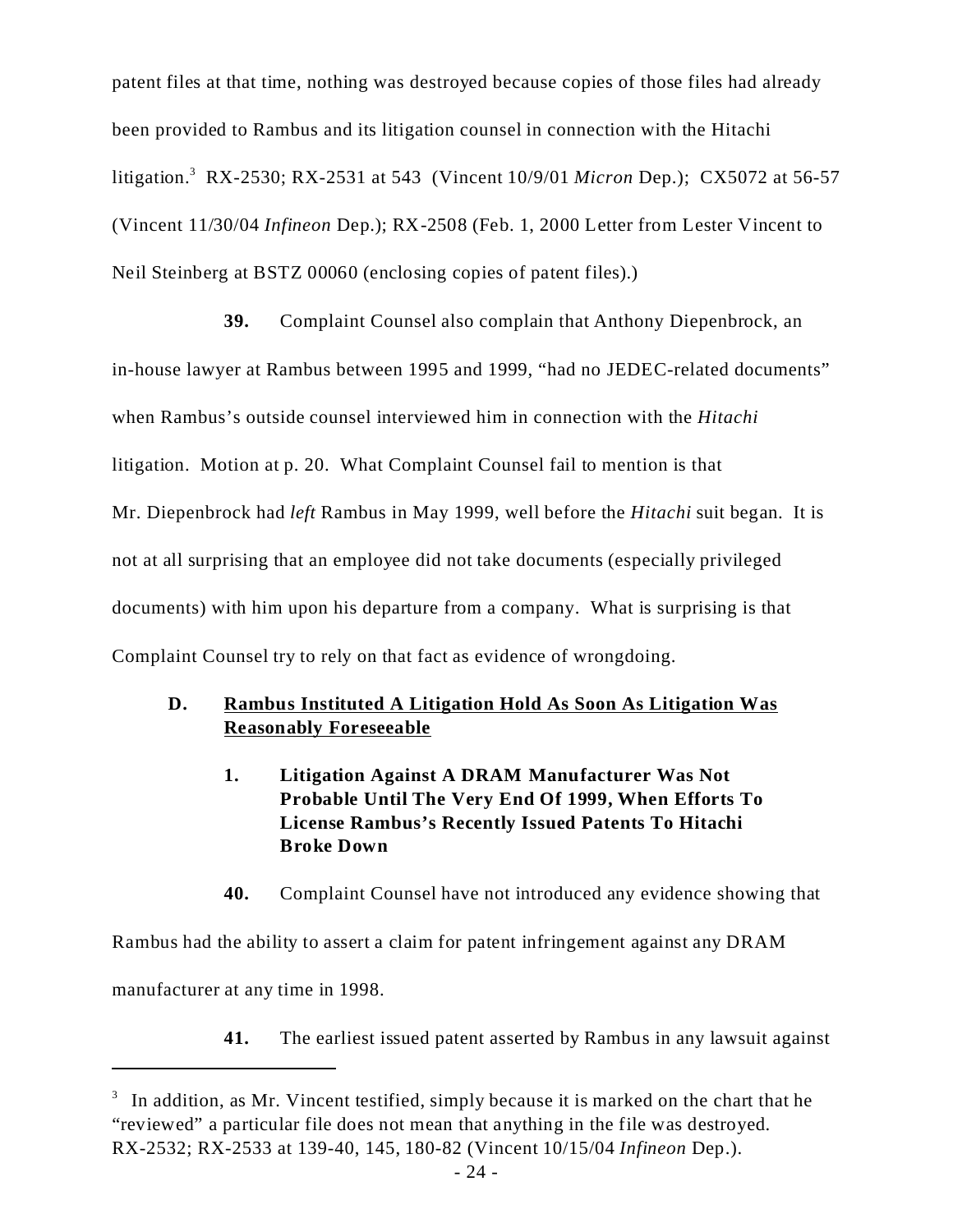patent files at that time, nothing was destroyed because copies of those files had already been provided to Rambus and its litigation counsel in connection with the Hitachi litigation.<sup>3</sup> RX-2530; RX-2531 at 543 (Vincent 10/9/01 *Micron* Dep.); CX5072 at 56-57 (Vincent 11/30/04 *Infineon* Dep.); RX-2508 (Feb. 1, 2000 Letter from Lester Vincent to Neil Steinberg at BSTZ 00060 (enclosing copies of patent files).)

**39.** Complaint Counsel also complain that Anthony Diepenbrock, an in-house lawyer at Rambus between 1995 and 1999, "had no JEDEC-related documents" when Rambus's outside counsel interviewed him in connection with the *Hitachi* litigation. Motion at p. 20. What Complaint Counsel fail to mention is that Mr. Diepenbrock had *left* Rambus in May 1999, well before the *Hitachi* suit began. It is not at all surprising that an employee did not take documents (especially privileged documents) with him upon his departure from a company. What is surprising is that Complaint Counsel try to rely on that fact as evidence of wrongdoing.

## **D. Rambus Instituted A Litigation Hold As Soon As Litigation Was Reasonably Foreseeable**

- **1. Litigation Against A DRAM Manufacturer Was Not Probable Until The Very End Of 1999, When Efforts To License Rambus's Recently Issued Patents To Hitachi Broke Down**
- **40.** Complaint Counsel have not introduced any evidence showing that

Rambus had the ability to assert a claim for patent infringement against any DRAM manufacturer at any time in 1998.

**41.** The earliest issued patent asserted by Rambus in any lawsuit against

 $3$  In addition, as Mr. Vincent testified, simply because it is marked on the chart that he "reviewed" a particular file does not mean that anything in the file was destroyed. RX-2532; RX-2533 at 139-40, 145, 180-82 (Vincent 10/15/04 *Infineon* Dep.).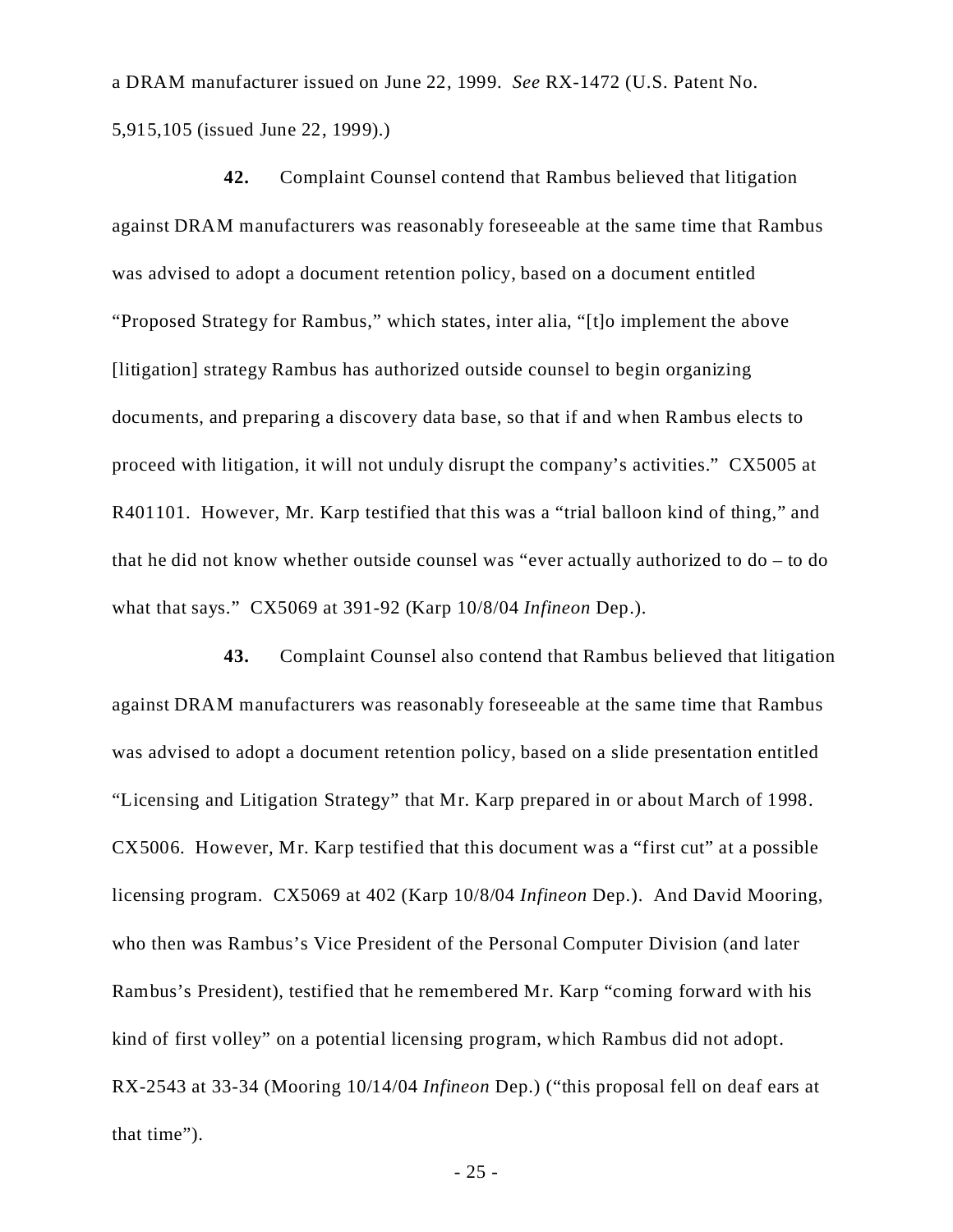a DRAM manufacturer issued on June 22, 1999. *See* RX-1472 (U.S. Patent No. 5,915,105 (issued June 22, 1999).)

**42.** Complaint Counsel contend that Rambus believed that litigation against DRAM manufacturers was reasonably foreseeable at the same time that Rambus was advised to adopt a document retention policy, based on a document entitled "Proposed Strategy for Rambus," which states, inter alia, "[t]o implement the above [litigation] strategy Rambus has authorized outside counsel to begin organizing documents, and preparing a discovery data base, so that if and when Rambus elects to proceed with litigation, it will not unduly disrupt the company's activities." CX5005 at R401101. However, Mr. Karp testified that this was a "trial balloon kind of thing," and that he did not know whether outside counsel was "ever actually authorized to do – to do what that says." CX5069 at 391-92 (Karp 10/8/04 *Infineon* Dep.).

**43.** Complaint Counsel also contend that Rambus believed that litigation against DRAM manufacturers was reasonably foreseeable at the same time that Rambus was advised to adopt a document retention policy, based on a slide presentation entitled "Licensing and Litigation Strategy" that Mr. Karp prepared in or about March of 1998. CX5006. However, Mr. Karp testified that this document was a "first cut" at a possible licensing program. CX5069 at 402 (Karp 10/8/04 *Infineon* Dep.). And David Mooring, who then was Rambus's Vice President of the Personal Computer Division (and later Rambus's President), testified that he remembered Mr. Karp "coming forward with his kind of first volley" on a potential licensing program, which Rambus did not adopt. RX-2543 at 33-34 (Mooring 10/14/04 *Infineon* Dep.) ("this proposal fell on deaf ears at that time").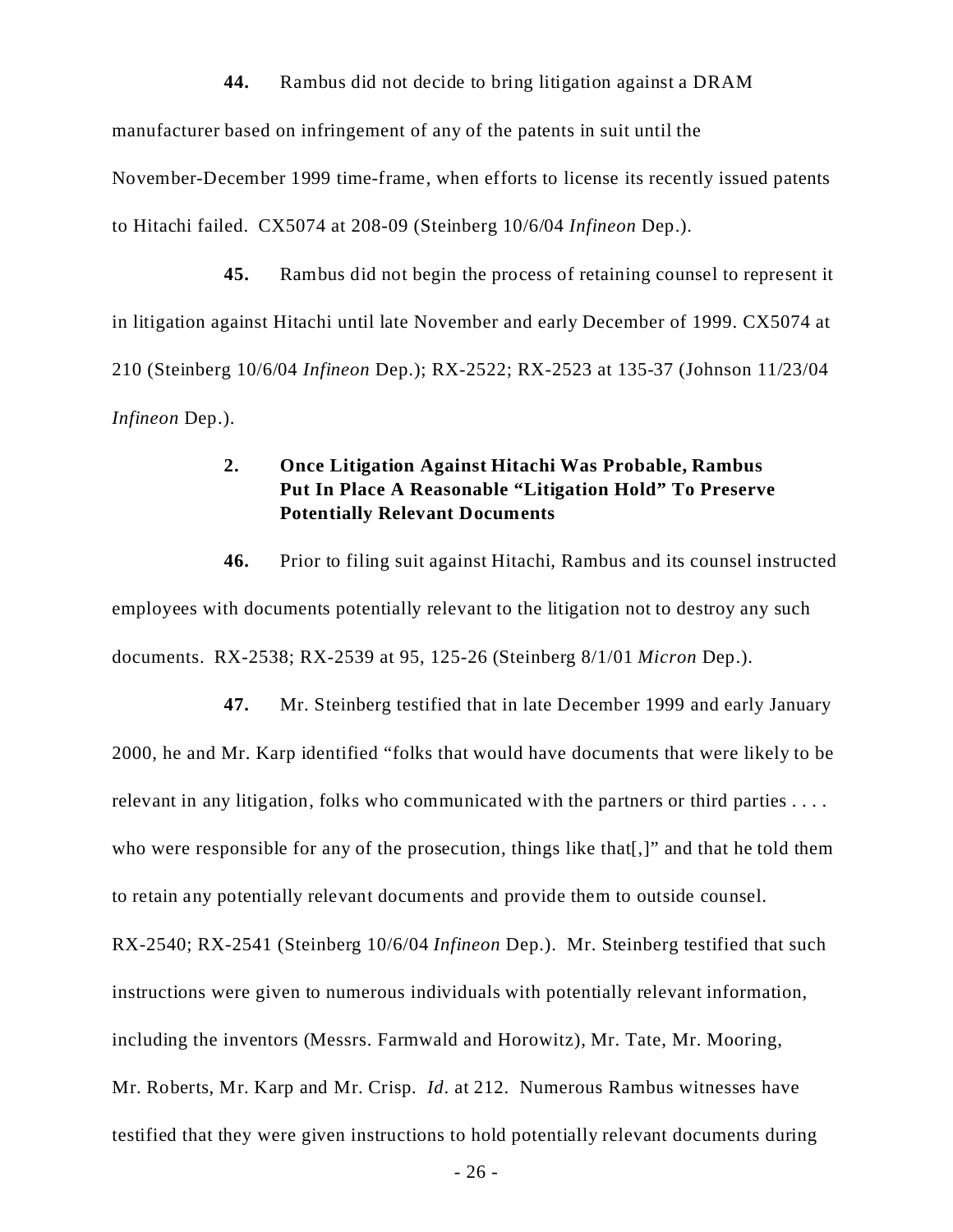**44.** Rambus did not decide to bring litigation against a DRAM manufacturer based on infringement of any of the patents in suit until the November-December 1999 time-frame, when efforts to license its recently issued patents to Hitachi failed. CX5074 at 208-09 (Steinberg 10/6/04 *Infineon* Dep.).

**45.** Rambus did not begin the process of retaining counsel to represent it in litigation against Hitachi until late November and early December of 1999. CX5074 at 210 (Steinberg 10/6/04 *Infineon* Dep.); RX-2522; RX-2523 at 135-37 (Johnson 11/23/04 *Infineon* Dep.).

### **2. Once Litigation Against Hitachi Was Probable, Rambus Put In Place A Reasonable "Litigation Hold" To Preserve Potentially Relevant Documents**

**46.** Prior to filing suit against Hitachi, Rambus and its counsel instructed employees with documents potentially relevant to the litigation not to destroy any such documents. RX-2538; RX-2539 at 95, 125-26 (Steinberg 8/1/01 *Micron* Dep.).

**47.** Mr. Steinberg testified that in late December 1999 and early January 2000, he and Mr. Karp identified "folks that would have documents that were likely to be relevant in any litigation, folks who communicated with the partners or third parties . . . . who were responsible for any of the prosecution, things like that  $[$ ,  $]$ " and that he told them to retain any potentially relevant documents and provide them to outside counsel. RX-2540; RX-2541 (Steinberg 10/6/04 *Infineon* Dep.). Mr. Steinberg testified that such instructions were given to numerous individuals with potentially relevant information, including the inventors (Messrs. Farmwald and Horowitz), Mr. Tate, Mr. Mooring, Mr. Roberts, Mr. Karp and Mr. Crisp. *Id*. at 212. Numerous Rambus witnesses have testified that they were given instructions to hold potentially relevant documents during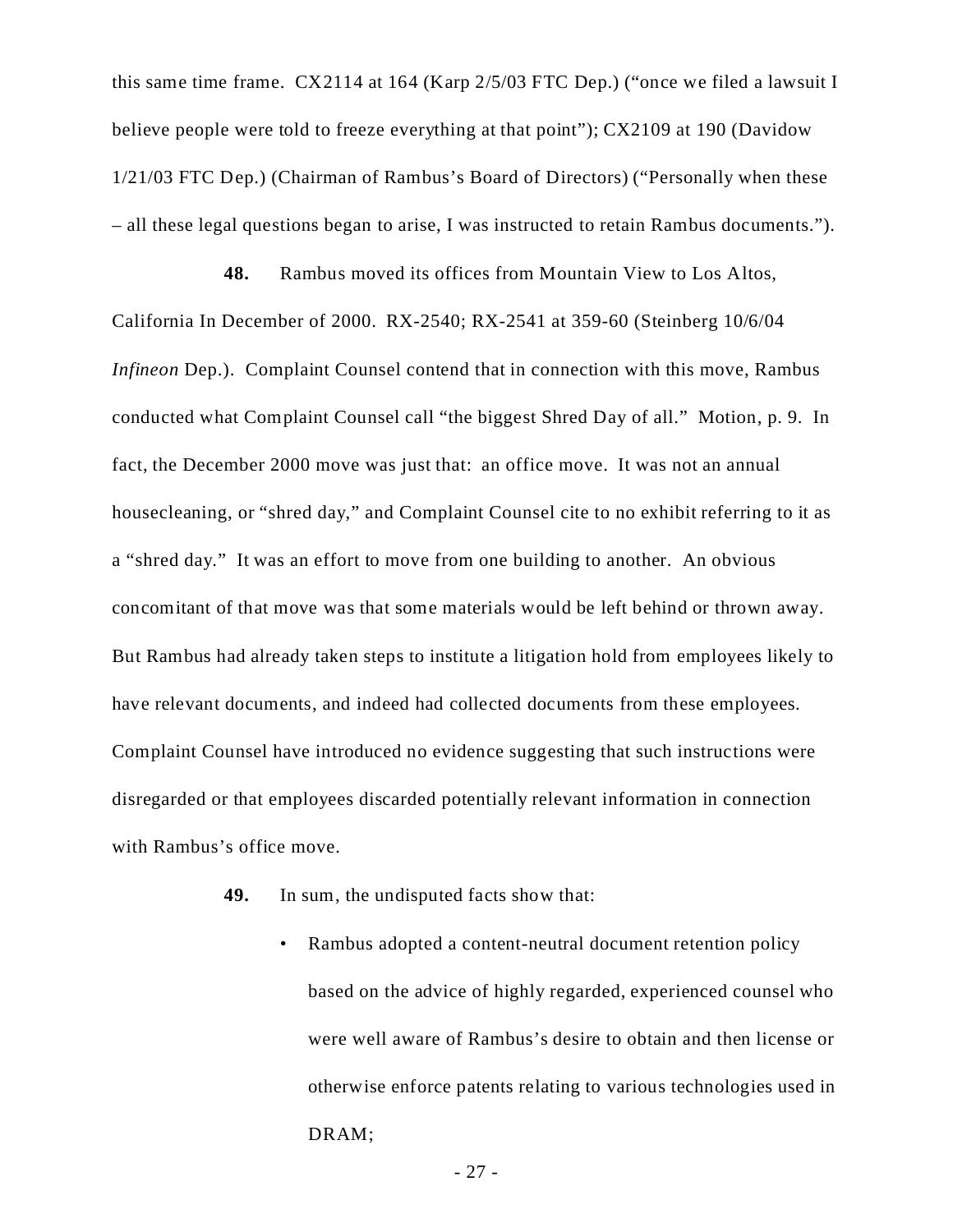this same time frame. CX2114 at 164 (Karp 2/5/03 FTC Dep.) ("once we filed a lawsuit I believe people were told to freeze everything at that point"); CX2109 at 190 (Davidow 1/21/03 FTC Dep.) (Chairman of Rambus's Board of Directors) ("Personally when these – all these legal questions began to arise, I was instructed to retain Rambus documents.").

**48.** Rambus moved its offices from Mountain View to Los Altos, California In December of 2000. RX-2540; RX-2541 at 359-60 (Steinberg 10/6/04 *Infineon* Dep.). Complaint Counsel contend that in connection with this move, Rambus conducted what Complaint Counsel call "the biggest Shred Day of all." Motion, p. 9. In fact, the December 2000 move was just that: an office move. It was not an annual housecleaning, or "shred day," and Complaint Counsel cite to no exhibit referring to it as a "shred day." It was an effort to move from one building to another. An obvious concomitant of that move was that some materials would be left behind or thrown away. But Rambus had already taken steps to institute a litigation hold from employees likely to have relevant documents, and indeed had collected documents from these employees. Complaint Counsel have introduced no evidence suggesting that such instructions were disregarded or that employees discarded potentially relevant information in connection with Rambus's office move.

- **49.** In sum, the undisputed facts show that:
	- Rambus adopted a content-neutral document retention policy based on the advice of highly regarded, experienced counsel who were well aware of Rambus's desire to obtain and then license or otherwise enforce patents relating to various technologies used in DRAM;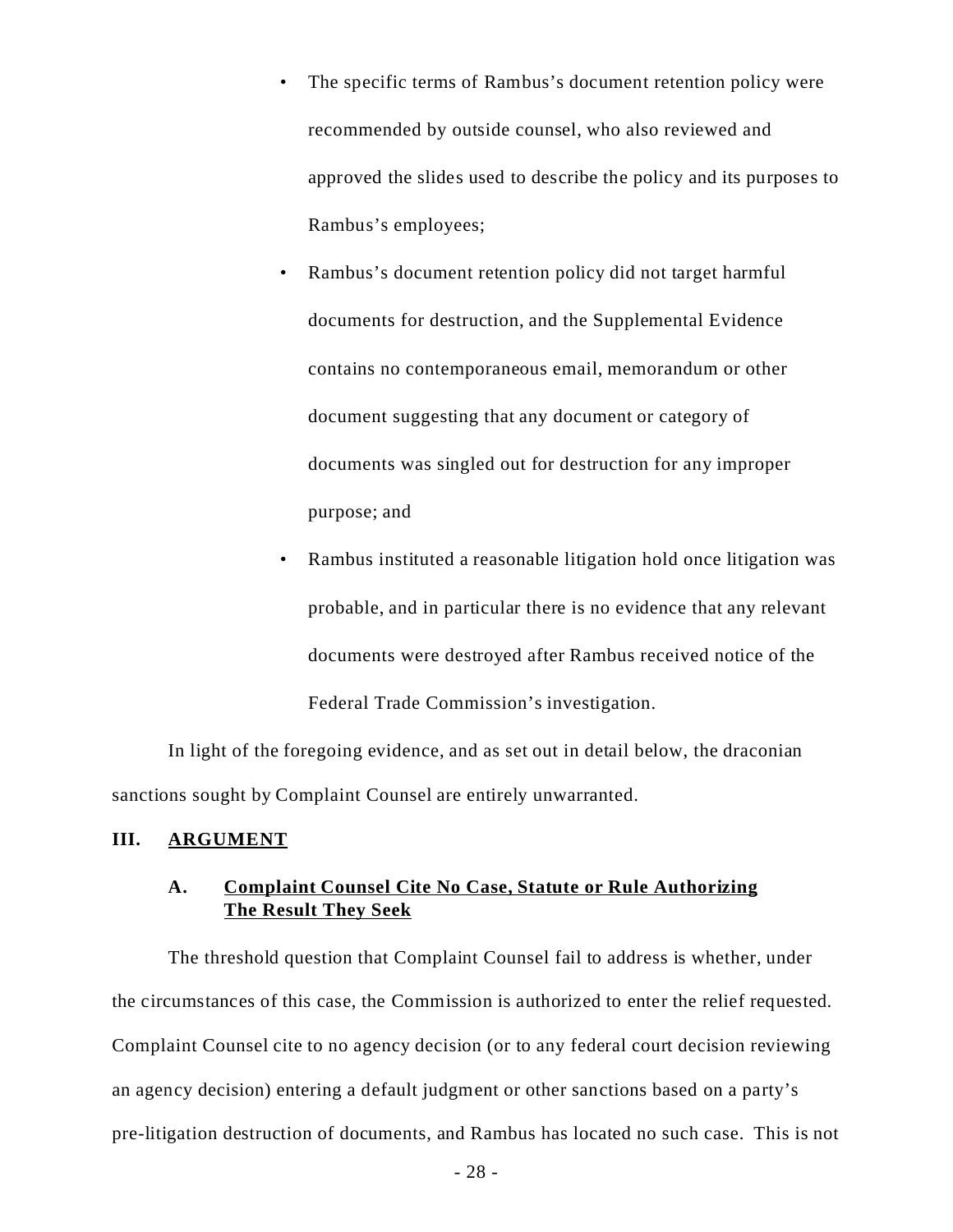- The specific terms of Rambus's document retention policy were recommended by outside counsel, who also reviewed and approved the slides used to describe the policy and its purposes to Rambus's employees;
- Rambus's document retention policy did not target harmful documents for destruction, and the Supplemental Evidence contains no contemporaneous email, memorandum or other document suggesting that any document or category of documents was singled out for destruction for any improper purpose; and
- Rambus instituted a reasonable litigation hold once litigation was probable, and in particular there is no evidence that any relevant documents were destroyed after Rambus received notice of the Federal Trade Commission's investigation.

In light of the foregoing evidence, and as set out in detail below, the draconian sanctions sought by Complaint Counsel are entirely unwarranted.

#### **III. ARGUMENT**

# **A. Complaint Counsel Cite No Case, Statute or Rule Authorizing The Result They Seek**

The threshold question that Complaint Counsel fail to address is whether, under the circumstances of this case, the Commission is authorized to enter the relief requested. Complaint Counsel cite to no agency decision (or to any federal court decision reviewing an agency decision) entering a default judgment or other sanctions based on a party's pre-litigation destruction of documents, and Rambus has located no such case. This is not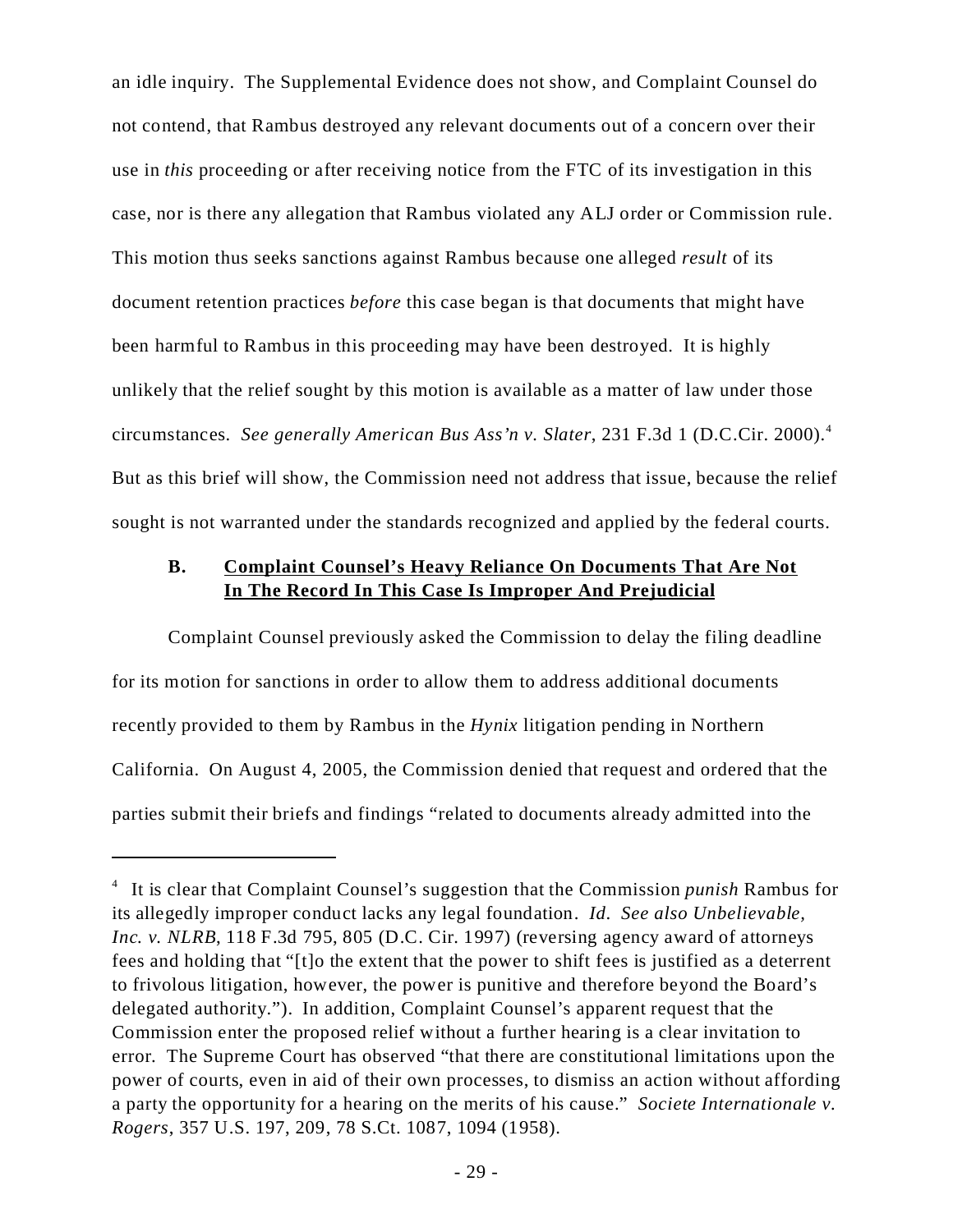an idle inquiry. The Supplemental Evidence does not show, and Complaint Counsel do not contend, that Rambus destroyed any relevant documents out of a concern over their use in *this* proceeding or after receiving notice from the FTC of its investigation in this case, nor is there any allegation that Rambus violated any ALJ order or Commission rule. This motion thus seeks sanctions against Rambus because one alleged *result* of its document retention practices *before* this case began is that documents that might have been harmful to Rambus in this proceeding may have been destroyed. It is highly unlikely that the relief sought by this motion is available as a matter of law under those circumstances. *See generally American Bus Ass'n v. Slater*, 231 F.3d 1 (D.C.Cir. 2000).<sup>4</sup> But as this brief will show, the Commission need not address that issue, because the relief sought is not warranted under the standards recognized and applied by the federal courts.

### **B. Complaint Counsel's Heavy Reliance On Documents That Are Not In The Record In This Case Is Improper And Prejudicial**

Complaint Counsel previously asked the Commission to delay the filing deadline for its motion for sanctions in order to allow them to address additional documents recently provided to them by Rambus in the *Hynix* litigation pending in Northern California. On August 4, 2005, the Commission denied that request and ordered that the parties submit their briefs and findings "related to documents already admitted into the

<sup>&</sup>lt;sup>4</sup> It is clear that Complaint Counsel's suggestion that the Commission *punish* Rambus for its allegedly improper conduct lacks any legal foundation. *Id*. *See also Unbelievable, Inc. v. NLRB*, 118 F.3d 795, 805 (D.C. Cir. 1997) (reversing agency award of attorneys fees and holding that "[t]o the extent that the power to shift fees is justified as a deterrent to frivolous litigation, however, the power is punitive and therefore beyond the Board's delegated authority."). In addition, Complaint Counsel's apparent request that the Commission enter the proposed relief without a further hearing is a clear invitation to error. The Supreme Court has observed "that there are constitutional limitations upon the power of courts, even in aid of their own processes, to dismiss an action without affording a party the opportunity for a hearing on the merits of his cause." *Societe Internationale v. Rogers*, 357 U.S. 197, 209, 78 S.Ct. 1087, 1094 (1958).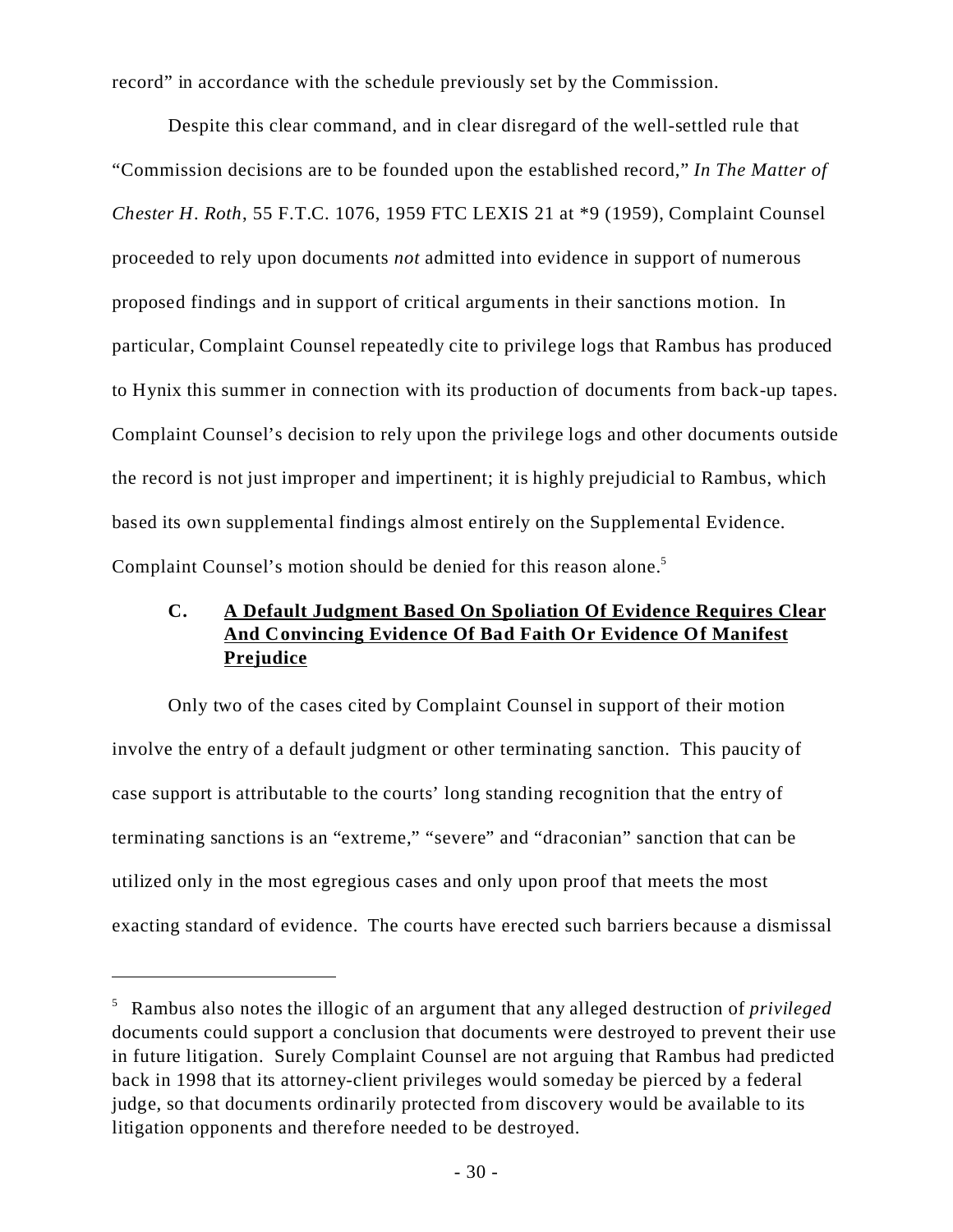record" in accordance with the schedule previously set by the Commission.

Despite this clear command, and in clear disregard of the well-settled rule that "Commission decisions are to be founded upon the established record," *In The Matter of Chester H. Roth*, 55 F.T.C. 1076, 1959 FTC LEXIS 21 at \*9 (1959), Complaint Counsel proceeded to rely upon documents *not* admitted into evidence in support of numerous proposed findings and in support of critical arguments in their sanctions motion. In particular, Complaint Counsel repeatedly cite to privilege logs that Rambus has produced to Hynix this summer in connection with its production of documents from back-up tapes. Complaint Counsel's decision to rely upon the privilege logs and other documents outside the record is not just improper and impertinent; it is highly prejudicial to Rambus, which based its own supplemental findings almost entirely on the Supplemental Evidence. Complaint Counsel's motion should be denied for this reason alone.<sup>5</sup>

# **C. A Default Judgment Based On Spoliation Of Evidence Requires Clear And Convincing Evidence Of Bad Faith Or Evidence Of Manifest Prejudice**

Only two of the cases cited by Complaint Counsel in support of their motion involve the entry of a default judgment or other terminating sanction. This paucity of case support is attributable to the courts' long standing recognition that the entry of terminating sanctions is an "extreme," "severe" and "draconian" sanction that can be utilized only in the most egregious cases and only upon proof that meets the most exacting standard of evidence. The courts have erected such barriers because a dismissal

<sup>5</sup>Rambus also notes the illogic of an argument that any alleged destruction of *privileged* documents could support a conclusion that documents were destroyed to prevent their use in future litigation. Surely Complaint Counsel are not arguing that Rambus had predicted back in 1998 that its attorney-client privileges would someday be pierced by a federal judge, so that documents ordinarily protected from discovery would be available to its litigation opponents and therefore needed to be destroyed.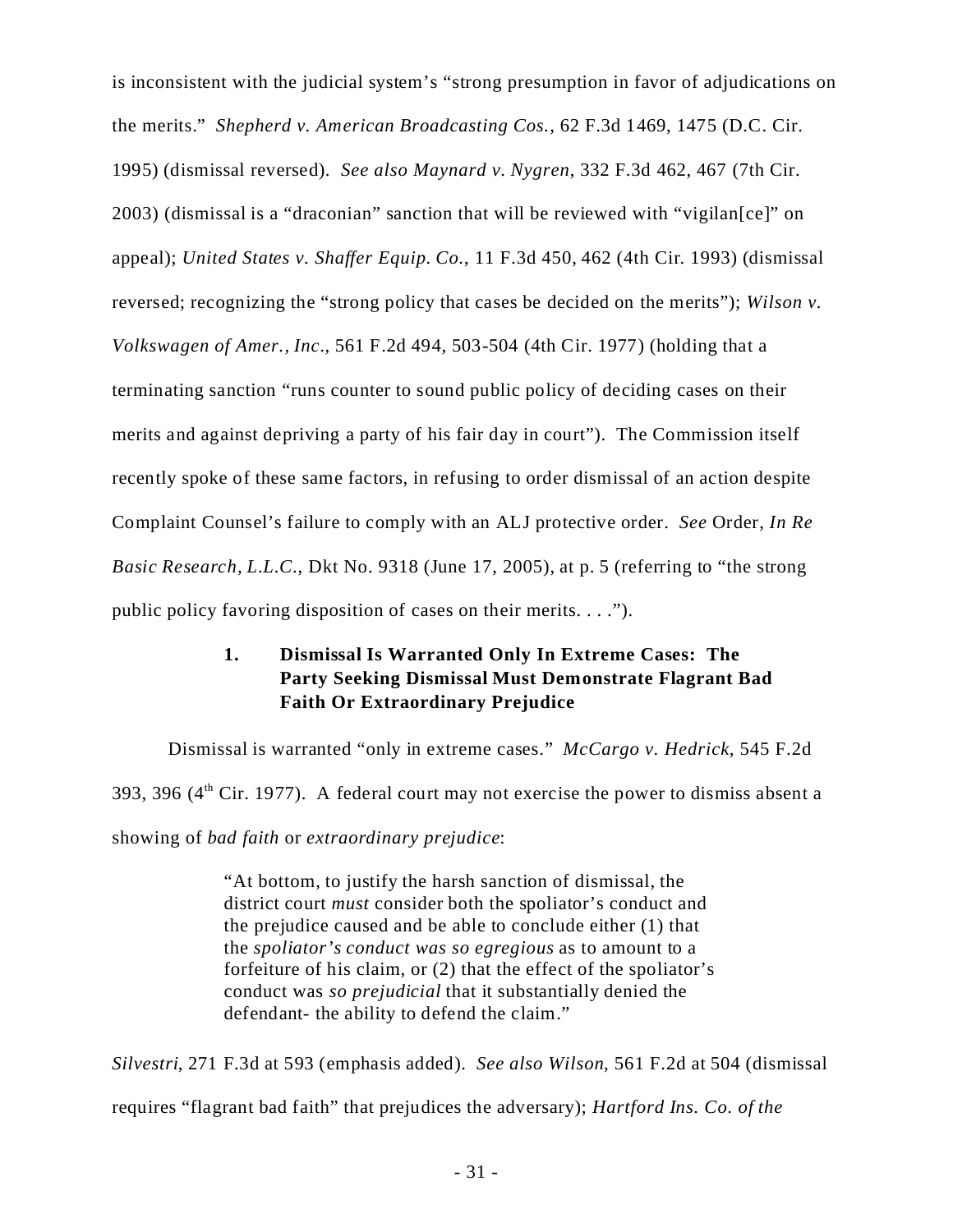is inconsistent with the judicial system's "strong presumption in favor of adjudications on the merits." *Shepherd v. American Broadcasting Cos.*, 62 F.3d 1469, 1475 (D.C. Cir. 1995) (dismissal reversed). *See also Maynard v. Nygren*, 332 F.3d 462, 467 (7th Cir. 2003) (dismissal is a "draconian" sanction that will be reviewed with "vigilan[ce]" on appeal); *United States v. Shaffer Equip. Co.*, 11 F.3d 450, 462 (4th Cir. 1993) (dismissal reversed; recognizing the "strong policy that cases be decided on the merits"); *Wilson v. Volkswagen of Amer., Inc*., 561 F.2d 494, 503-504 (4th Cir. 1977) (holding that a terminating sanction "runs counter to sound public policy of deciding cases on their merits and against depriving a party of his fair day in court"). The Commission itself recently spoke of these same factors, in refusing to order dismissal of an action despite Complaint Counsel's failure to comply with an ALJ protective order. *See* Order, *In Re Basic Research, L.L.C., Dkt No.* 9318 (June 17, 2005), at p. 5 (referring to "the strong public policy favoring disposition of cases on their merits. . . .").

# **1. Dismissal Is Warranted Only In Extreme Cases: The Party Seeking Dismissal Must Demonstrate Flagrant Bad Faith Or Extraordinary Prejudice**

Dismissal is warranted "only in extreme cases." *McCargo v. Hedrick*, 545 F.2d 393, 396  $(4<sup>th</sup> Cir. 1977)$ . A federal court may not exercise the power to dismiss absent a showing of *bad faith* or *extraordinary prejudice*:

> "At bottom, to justify the harsh sanction of dismissal, the district court *must* consider both the spoliator's conduct and the prejudice caused and be able to conclude either (1) that the *spoliator's conduct was so egregious* as to amount to a forfeiture of his claim, or (2) that the effect of the spoliator's conduct was *so prejudicial* that it substantially denied the defendant- the ability to defend the claim."

*Silvestri*, 271 F.3d at 593 (emphasis added). *See also Wilson*, 561 F.2d at 504 (dismissal requires "flagrant bad faith" that prejudices the adversary); *Hartford Ins. Co. of the*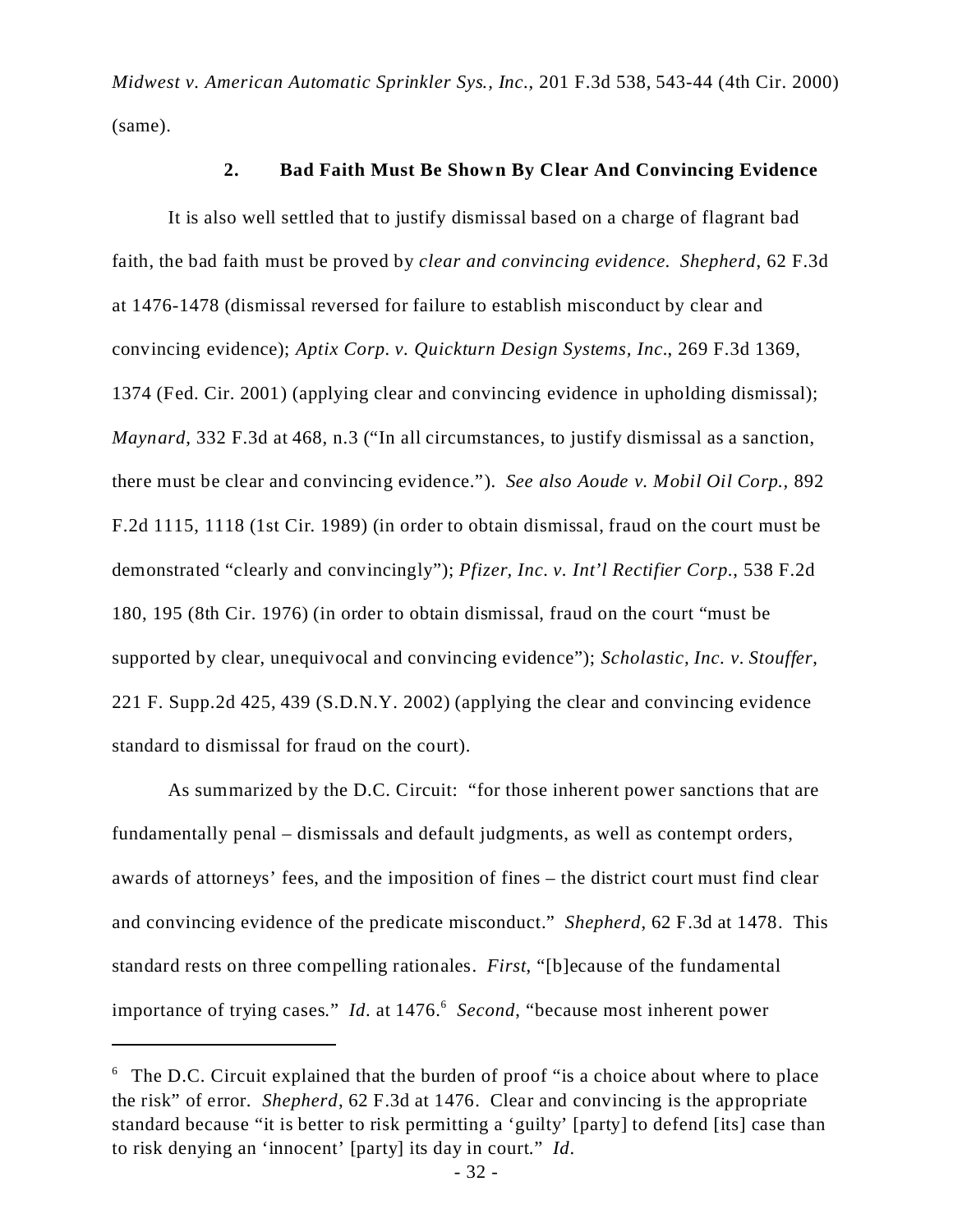*Midwest v. American Automatic Sprinkler Sys., Inc.*, 201 F.3d 538, 543-44 (4th Cir. 2000) (same).

#### **2. Bad Faith Must Be Shown By Clear And Convincing Evidence**

It is also well settled that to justify dismissal based on a charge of flagrant bad faith, the bad faith must be proved by *clear and convincing evidence*. *Shepherd*, 62 F.3d at 1476-1478 (dismissal reversed for failure to establish misconduct by clear and convincing evidence); *Aptix Corp. v. Quickturn Design Systems, Inc.*, 269 F.3d 1369, 1374 (Fed. Cir. 2001) (applying clear and convincing evidence in upholding dismissal); *Maynard*, 332 F.3d at 468, n.3 ("In all circumstances, to justify dismissal as a sanction, there must be clear and convincing evidence."). *See also Aoude v. Mobil Oil Corp.,* 892 F.2d 1115, 1118 (1st Cir. 1989) (in order to obtain dismissal, fraud on the court must be demonstrated "clearly and convincingly"); *Pfizer, Inc. v. Int'l Rectifier Corp.*, 538 F.2d 180, 195 (8th Cir. 1976) (in order to obtain dismissal, fraud on the court "must be supported by clear, unequivocal and convincing evidence"); *Scholastic, Inc. v. Stouffer*, 221 F. Supp.2d 425, 439 (S.D.N.Y. 2002) (applying the clear and convincing evidence standard to dismissal for fraud on the court).

As summarized by the D.C. Circuit: "for those inherent power sanctions that are fundamentally penal – dismissals and default judgments, as well as contempt orders, awards of attorneys' fees, and the imposition of fines – the district court must find clear and convincing evidence of the predicate misconduct." *Shepherd*, 62 F.3d at 1478. This standard rests on three compelling rationales. *First*, "[b]ecause of the fundamental importance of trying cases." *Id.* at 1476.<sup>6</sup> Second, "because most inherent power

 $6$  The D.C. Circuit explained that the burden of proof "is a choice about where to place the risk" of error. *Shepherd*, 62 F.3d at 1476. Clear and convincing is the appropriate standard because "it is better to risk permitting a 'guilty' [party] to defend [its] case than to risk denying an 'innocent' [party] its day in court." *Id*.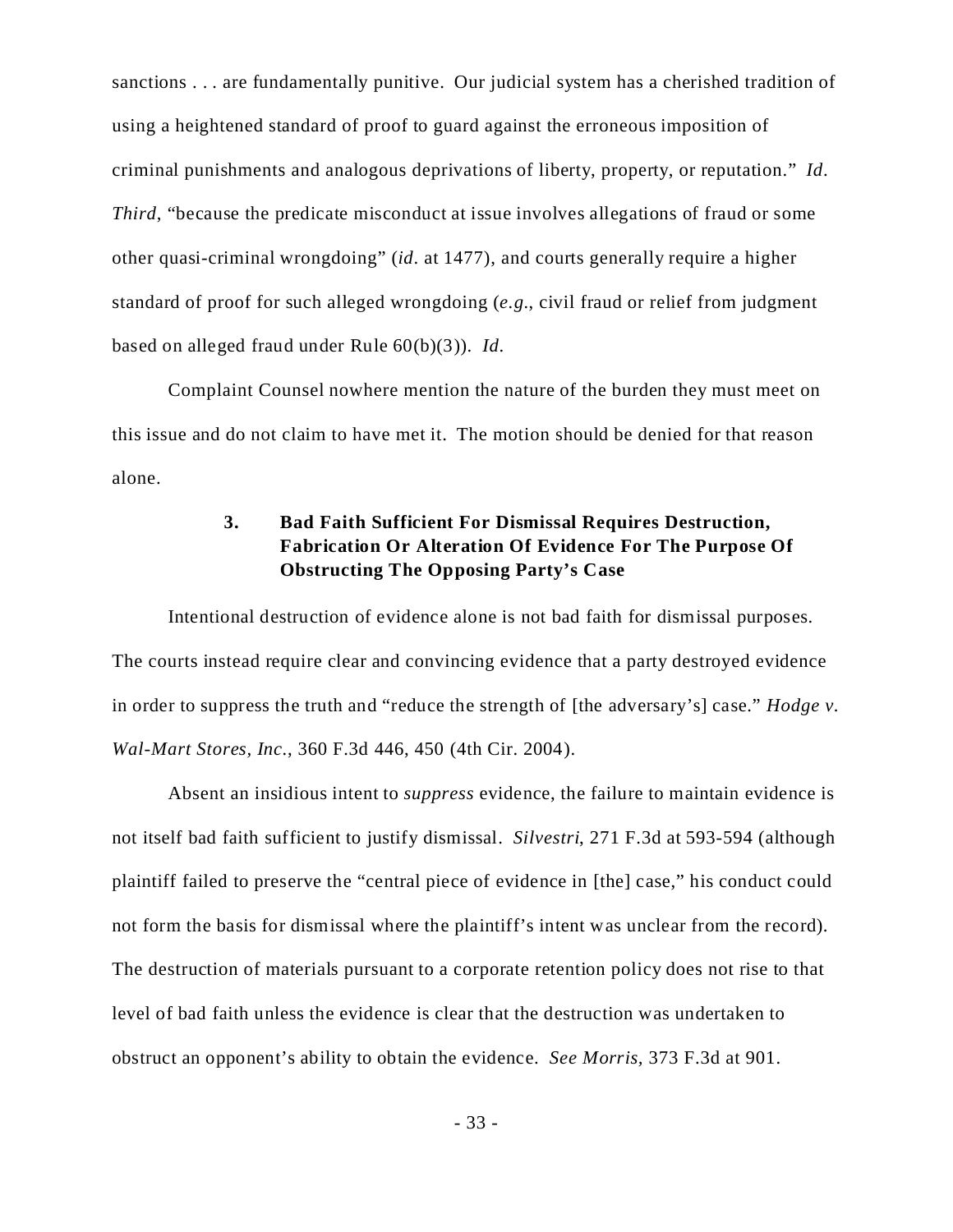sanctions . . . are fundamentally punitive. Our judicial system has a cherished tradition of using a heightened standard of proof to guard against the erroneous imposition of criminal punishments and analogous deprivations of liberty, property, or reputation." *Id*. *Third*, "because the predicate misconduct at issue involves allegations of fraud or some other quasi-criminal wrongdoing" (*id*. at 1477), and courts generally require a higher standard of proof for such alleged wrongdoing (*e.g.*, civil fraud or relief from judgment based on alleged fraud under Rule 60(b)(3)). *Id*.

Complaint Counsel nowhere mention the nature of the burden they must meet on this issue and do not claim to have met it. The motion should be denied for that reason alone.

# **3. Bad Faith Sufficient For Dismissal Requires Destruction, Fabrication Or Alteration Of Evidence For The Purpose Of Obstructing The Opposing Party's Case**

Intentional destruction of evidence alone is not bad faith for dismissal purposes. The courts instead require clear and convincing evidence that a party destroyed evidence in order to suppress the truth and "reduce the strength of [the adversary's] case." *Hodge v. Wal-Mart Stores, Inc.*, 360 F.3d 446, 450 (4th Cir. 2004).

Absent an insidious intent to *suppress* evidence, the failure to maintain evidence is not itself bad faith sufficient to justify dismissal. *Silvestri*, 271 F.3d at 593-594 (although plaintiff failed to preserve the "central piece of evidence in [the] case," his conduct could not form the basis for dismissal where the plaintiff's intent was unclear from the record). The destruction of materials pursuant to a corporate retention policy does not rise to that level of bad faith unless the evidence is clear that the destruction was undertaken to obstruct an opponent's ability to obtain the evidence. *See Morris,* 373 F.3d at 901.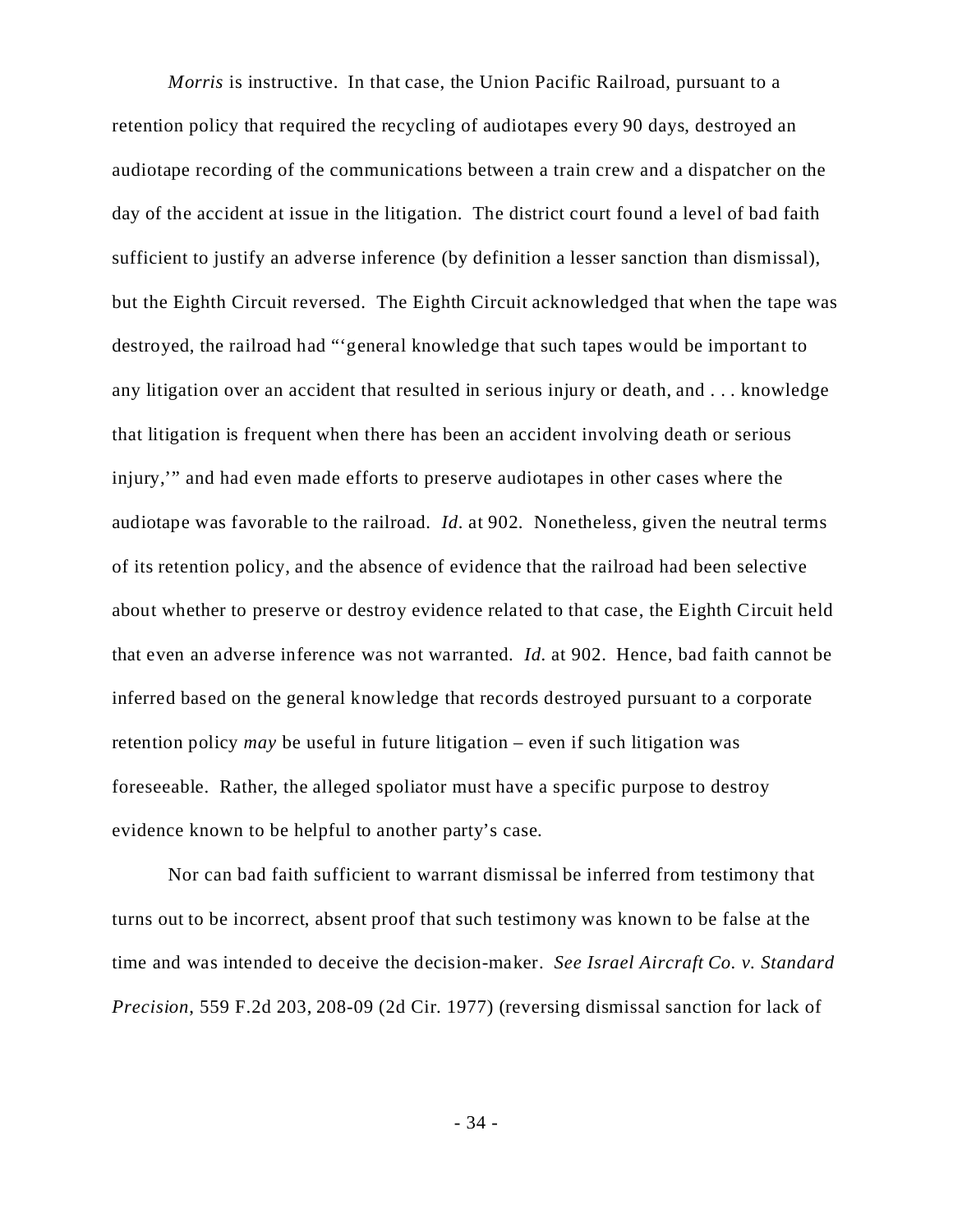*Morris* is instructive. In that case, the Union Pacific Railroad, pursuant to a retention policy that required the recycling of audiotapes every 90 days, destroyed an audiotape recording of the communications between a train crew and a dispatcher on the day of the accident at issue in the litigation. The district court found a level of bad faith sufficient to justify an adverse inference (by definition a lesser sanction than dismissal), but the Eighth Circuit reversed. The Eighth Circuit acknowledged that when the tape was destroyed, the railroad had "'general knowledge that such tapes would be important to any litigation over an accident that resulted in serious injury or death, and . . . knowledge that litigation is frequent when there has been an accident involving death or serious injury,'" and had even made efforts to preserve audiotapes in other cases where the audiotape was favorable to the railroad. *Id.* at 902. Nonetheless, given the neutral terms of its retention policy, and the absence of evidence that the railroad had been selective about whether to preserve or destroy evidence related to that case, the Eighth Circuit held that even an adverse inference was not warranted. *Id.* at 902. Hence, bad faith cannot be inferred based on the general knowledge that records destroyed pursuant to a corporate retention policy *may* be useful in future litigation – even if such litigation was foreseeable. Rather, the alleged spoliator must have a specific purpose to destroy evidence known to be helpful to another party's case.

Nor can bad faith sufficient to warrant dismissal be inferred from testimony that turns out to be incorrect, absent proof that such testimony was known to be false at the time and was intended to deceive the decision-maker. *See Israel Aircraft Co. v. Standard Precision*, 559 F.2d 203, 208-09 (2d Cir. 1977) (reversing dismissal sanction for lack of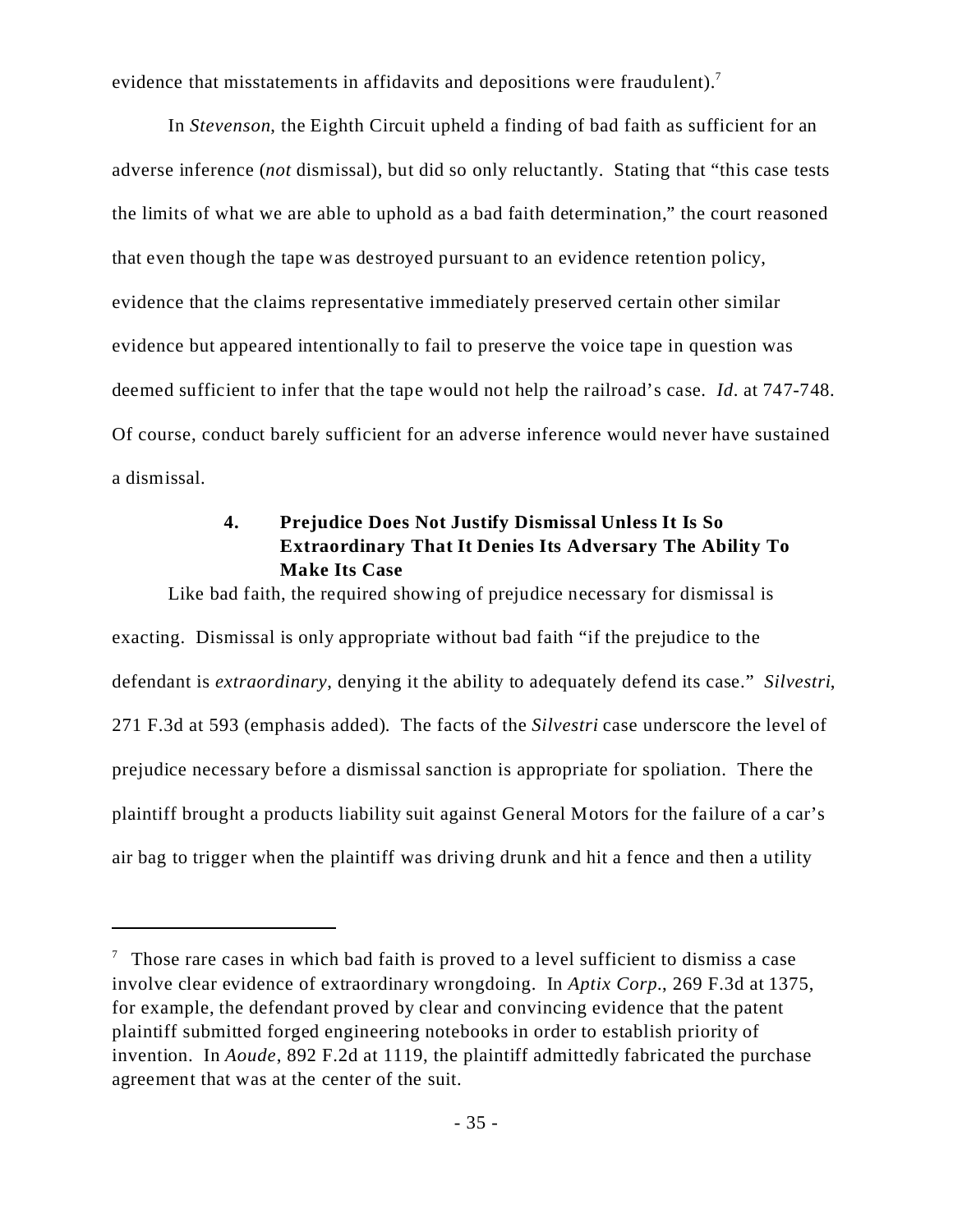evidence that misstatements in affidavits and depositions were fraudulent).<sup>7</sup>

In *Stevenson*, the Eighth Circuit upheld a finding of bad faith as sufficient for an adverse inference (*not* dismissal), but did so only reluctantly. Stating that "this case tests the limits of what we are able to uphold as a bad faith determination," the court reasoned that even though the tape was destroyed pursuant to an evidence retention policy, evidence that the claims representative immediately preserved certain other similar evidence but appeared intentionally to fail to preserve the voice tape in question was deemed sufficient to infer that the tape would not help the railroad's case. *Id*. at 747-748. Of course, conduct barely sufficient for an adverse inference would never have sustained a dismissal.

# **4. Prejudice Does Not Justify Dismissal Unless It Is So Extraordinary That It Denies Its Adversary The Ability To Make Its Case**

Like bad faith, the required showing of prejudice necessary for dismissal is exacting. Dismissal is only appropriate without bad faith "if the prejudice to the defendant is *extraordinary*, denying it the ability to adequately defend its case." *Silvestri*, 271 F.3d at 593 (emphasis added). The facts of the *Silvestri* case underscore the level of prejudice necessary before a dismissal sanction is appropriate for spoliation. There the plaintiff brought a products liability suit against General Motors for the failure of a car's air bag to trigger when the plaintiff was driving drunk and hit a fence and then a utility

 $\frac{7}{7}$  Those rare cases in which bad faith is proved to a level sufficient to dismiss a case involve clear evidence of extraordinary wrongdoing. In *Aptix Corp.*, 269 F.3d at 1375, for example, the defendant proved by clear and convincing evidence that the patent plaintiff submitted forged engineering notebooks in order to establish priority of invention. In *Aoude*, 892 F.2d at 1119, the plaintiff admittedly fabricated the purchase agreement that was at the center of the suit.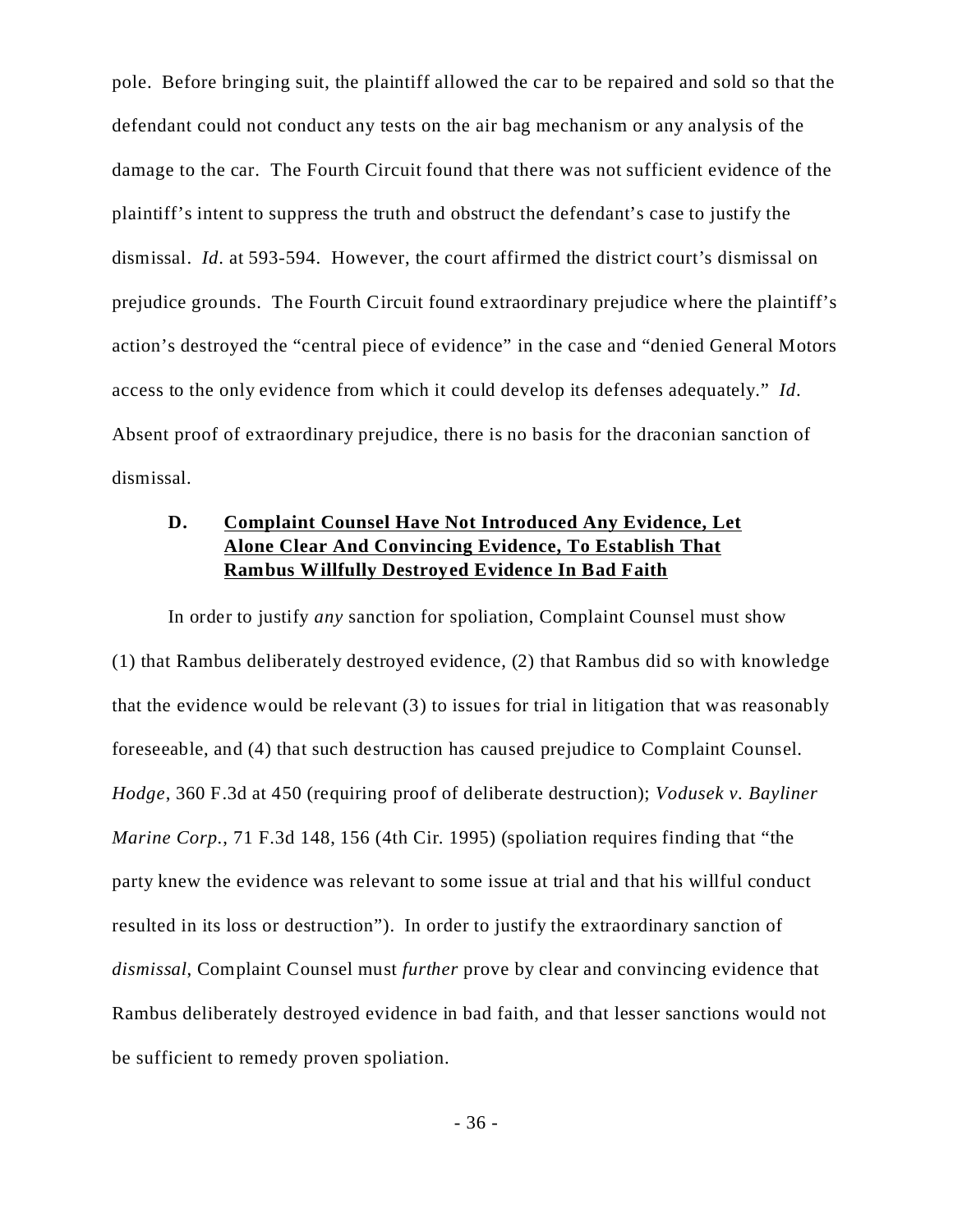pole. Before bringing suit, the plaintiff allowed the car to be repaired and sold so that the defendant could not conduct any tests on the air bag mechanism or any analysis of the damage to the car. The Fourth Circuit found that there was not sufficient evidence of the plaintiff's intent to suppress the truth and obstruct the defendant's case to justify the dismissal. *Id*. at 593-594. However, the court affirmed the district court's dismissal on prejudice grounds. The Fourth Circuit found extraordinary prejudice where the plaintiff's action's destroyed the "central piece of evidence" in the case and "denied General Motors access to the only evidence from which it could develop its defenses adequately." *Id*. Absent proof of extraordinary prejudice, there is no basis for the draconian sanction of dismissal.

# **D. Complaint Counsel Have Not Introduced Any Evidence, Let Alone Clear And Convincing Evidence, To Establish That Rambus Willfully Destroyed Evidence In Bad Faith**

In order to justify *any* sanction for spoliation, Complaint Counsel must show (1) that Rambus deliberately destroyed evidence, (2) that Rambus did so with knowledge that the evidence would be relevant (3) to issues for trial in litigation that was reasonably foreseeable, and (4) that such destruction has caused prejudice to Complaint Counsel. *Hodge*, 360 F.3d at 450 (requiring proof of deliberate destruction); *Vodusek v. Bayliner Marine Corp.*, 71 F.3d 148, 156 (4th Cir. 1995) (spoliation requires finding that "the party knew the evidence was relevant to some issue at trial and that his willful conduct resulted in its loss or destruction"). In order to justify the extraordinary sanction of *dismissal*, Complaint Counsel must *further* prove by clear and convincing evidence that Rambus deliberately destroyed evidence in bad faith, and that lesser sanctions would not be sufficient to remedy proven spoliation.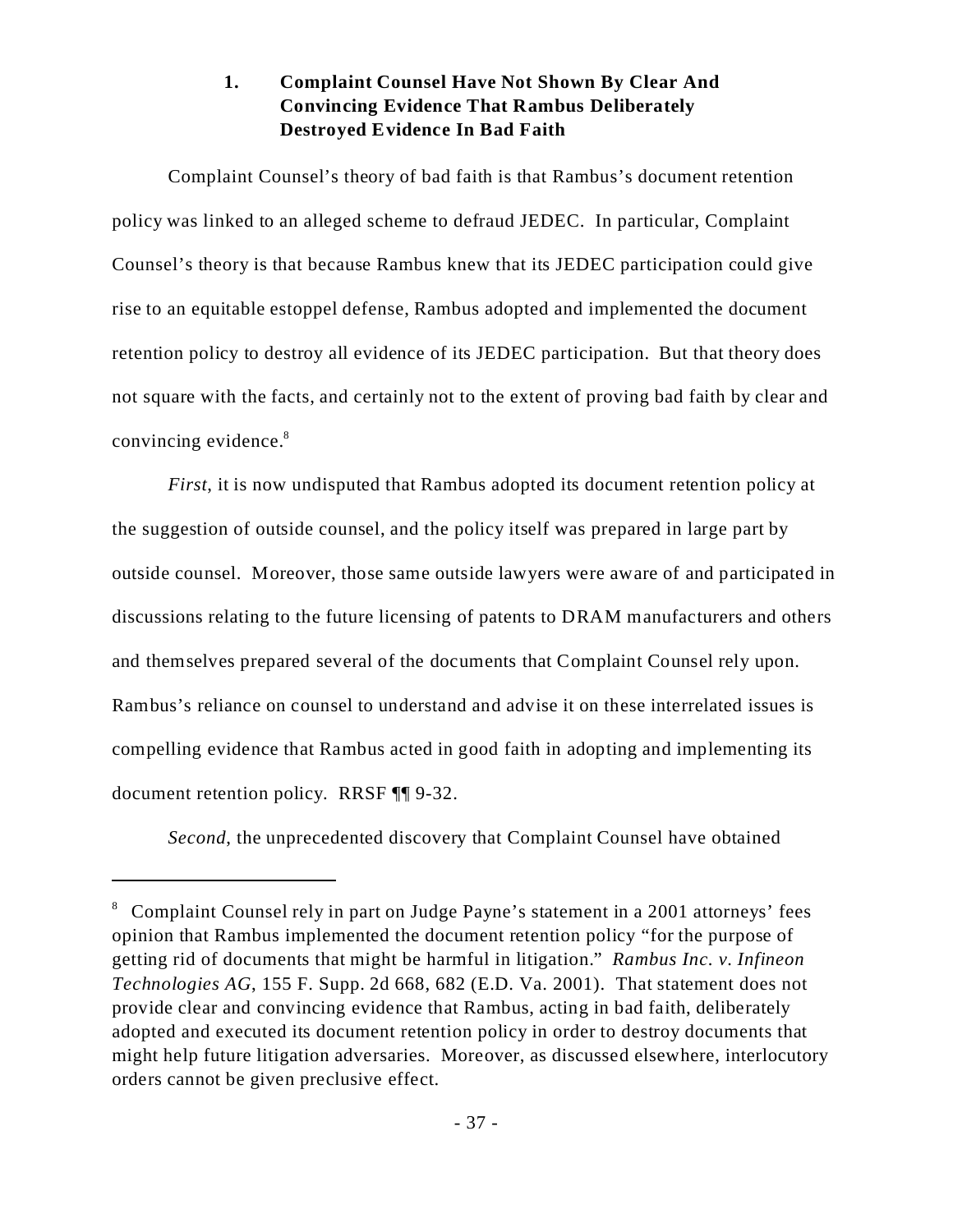# **1. Complaint Counsel Have Not Shown By Clear And Convincing Evidence That Rambus Deliberately Destroyed Evidence In Bad Faith**

Complaint Counsel's theory of bad faith is that Rambus's document retention policy was linked to an alleged scheme to defraud JEDEC. In particular, Complaint Counsel's theory is that because Rambus knew that its JEDEC participation could give rise to an equitable estoppel defense, Rambus adopted and implemented the document retention policy to destroy all evidence of its JEDEC participation. But that theory does not square with the facts, and certainly not to the extent of proving bad faith by clear and convincing evidence.<sup>8</sup>

*First*, it is now undisputed that Rambus adopted its document retention policy at the suggestion of outside counsel, and the policy itself was prepared in large part by outside counsel. Moreover, those same outside lawyers were aware of and participated in discussions relating to the future licensing of patents to DRAM manufacturers and others and themselves prepared several of the documents that Complaint Counsel rely upon. Rambus's reliance on counsel to understand and advise it on these interrelated issues is compelling evidence that Rambus acted in good faith in adopting and implementing its document retention policy. RRSF ¶¶ 9-32.

*Second*, the unprecedented discovery that Complaint Counsel have obtained

<sup>&</sup>lt;sup>8</sup> Complaint Counsel rely in part on Judge Payne's statement in a 2001 attorneys' fees opinion that Rambus implemented the document retention policy "for the purpose of getting rid of documents that might be harmful in litigation." *Rambus Inc. v. Infineon Technologies AG*, 155 F. Supp. 2d 668, 682 (E.D. Va. 2001). That statement does not provide clear and convincing evidence that Rambus, acting in bad faith, deliberately adopted and executed its document retention policy in order to destroy documents that might help future litigation adversaries. Moreover, as discussed elsewhere, interlocutory orders cannot be given preclusive effect.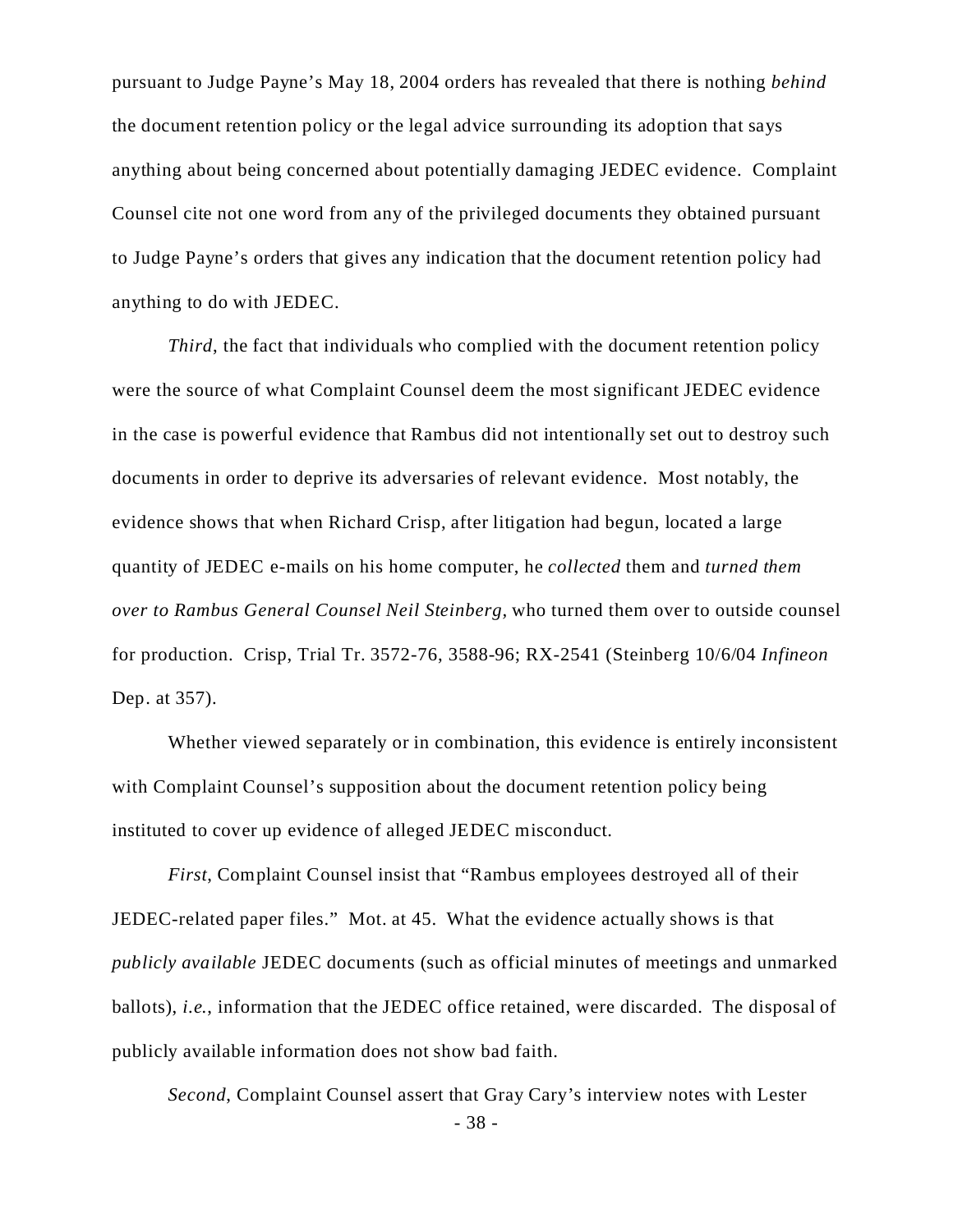pursuant to Judge Payne's May 18, 2004 orders has revealed that there is nothing *behind* the document retention policy or the legal advice surrounding its adoption that says anything about being concerned about potentially damaging JEDEC evidence. Complaint Counsel cite not one word from any of the privileged documents they obtained pursuant to Judge Payne's orders that gives any indication that the document retention policy had anything to do with JEDEC.

*Third*, the fact that individuals who complied with the document retention policy were the source of what Complaint Counsel deem the most significant JEDEC evidence in the case is powerful evidence that Rambus did not intentionally set out to destroy such documents in order to deprive its adversaries of relevant evidence. Most notably, the evidence shows that when Richard Crisp, after litigation had begun, located a large quantity of JEDEC e-mails on his home computer, he *collected* them and *turned them over to Rambus General Counsel Neil Steinberg,* who turned them over to outside counsel for production. Crisp, Trial Tr. 3572-76, 3588-96; RX-2541 (Steinberg 10/6/04 *Infineon* Dep. at 357).

Whether viewed separately or in combination, this evidence is entirely inconsistent with Complaint Counsel's supposition about the document retention policy being instituted to cover up evidence of alleged JEDEC misconduct.

*First*, Complaint Counsel insist that "Rambus employees destroyed all of their JEDEC-related paper files." Mot. at 45. What the evidence actually shows is that *publicly available* JEDEC documents (such as official minutes of meetings and unmarked ballots), *i.e.*, information that the JEDEC office retained, were discarded. The disposal of publicly available information does not show bad faith.

*Second*, Complaint Counsel assert that Gray Cary's interview notes with Lester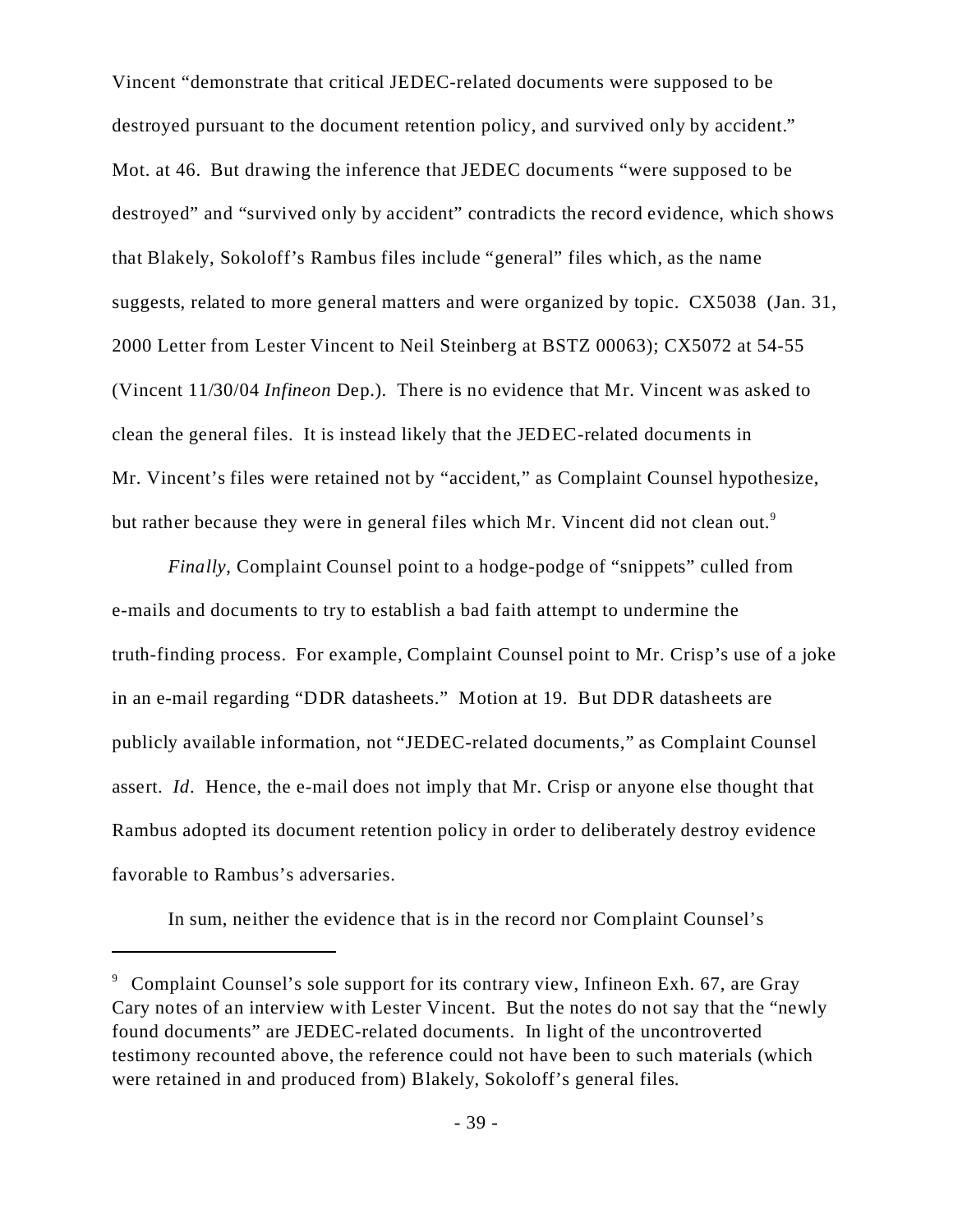Vincent "demonstrate that critical JEDEC-related documents were supposed to be destroyed pursuant to the document retention policy, and survived only by accident." Mot. at 46. But drawing the inference that JEDEC documents "were supposed to be destroyed" and "survived only by accident" contradicts the record evidence, which shows that Blakely, Sokoloff's Rambus files include "general" files which, as the name suggests, related to more general matters and were organized by topic. CX5038 (Jan. 31, 2000 Letter from Lester Vincent to Neil Steinberg at BSTZ 00063); CX5072 at 54-55 (Vincent 11/30/04 *Infineon* Dep.). There is no evidence that Mr. Vincent was asked to clean the general files. It is instead likely that the JEDEC-related documents in Mr. Vincent's files were retained not by "accident," as Complaint Counsel hypothesize, but rather because they were in general files which Mr. Vincent did not clean out.<sup>9</sup>

*Finally*, Complaint Counsel point to a hodge-podge of "snippets" culled from e-mails and documents to try to establish a bad faith attempt to undermine the truth-finding process. For example, Complaint Counsel point to Mr. Crisp's use of a joke in an e-mail regarding "DDR datasheets." Motion at 19. But DDR datasheets are publicly available information, not "JEDEC-related documents," as Complaint Counsel assert. *Id*. Hence, the e-mail does not imply that Mr. Crisp or anyone else thought that Rambus adopted its document retention policy in order to deliberately destroy evidence favorable to Rambus's adversaries.

In sum, neither the evidence that is in the record nor Complaint Counsel's

<sup>&</sup>lt;sup>9</sup> Complaint Counsel's sole support for its contrary view, Infineon Exh. 67, are Gray Cary notes of an interview with Lester Vincent. But the notes do not say that the "newly found documents" are JEDEC-related documents. In light of the uncontroverted testimony recounted above, the reference could not have been to such materials (which were retained in and produced from) Blakely, Sokoloff's general files.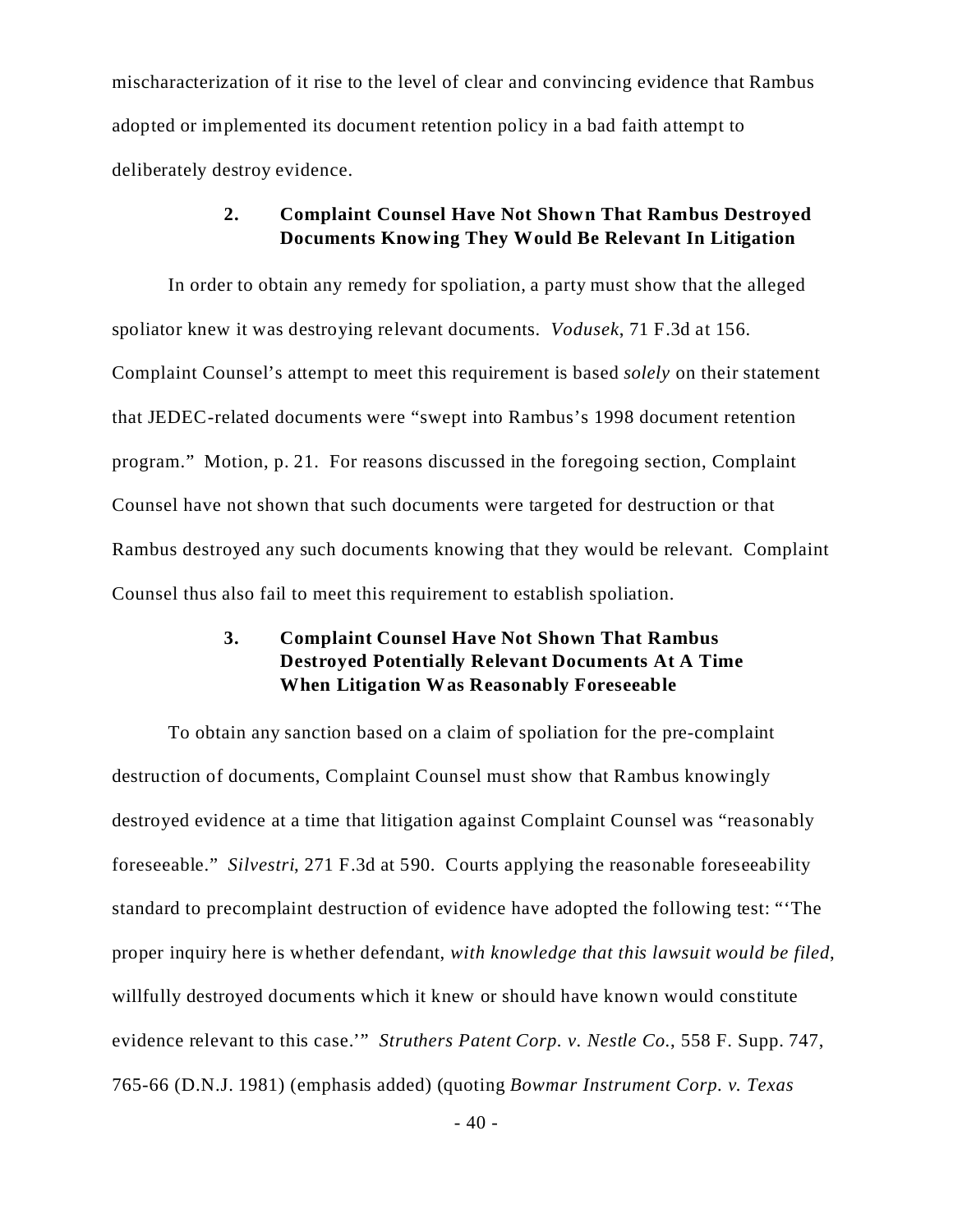mischaracterization of it rise to the level of clear and convincing evidence that Rambus adopted or implemented its document retention policy in a bad faith attempt to deliberately destroy evidence.

### **2. Complaint Counsel Have Not Shown That Rambus Destroyed Documents Knowing They Would Be Relevant In Litigation**

In order to obtain any remedy for spoliation, a party must show that the alleged spoliator knew it was destroying relevant documents. *Vodusek*, 71 F.3d at 156. Complaint Counsel's attempt to meet this requirement is based *solely* on their statement that JEDEC-related documents were "swept into Rambus's 1998 document retention program." Motion, p. 21. For reasons discussed in the foregoing section, Complaint Counsel have not shown that such documents were targeted for destruction or that Rambus destroyed any such documents knowing that they would be relevant. Complaint Counsel thus also fail to meet this requirement to establish spoliation.

# **3. Complaint Counsel Have Not Shown That Rambus Destroyed Potentially Relevant Documents At A Time When Litigation Was Reasonably Foreseeable**

To obtain any sanction based on a claim of spoliation for the pre-complaint destruction of documents, Complaint Counsel must show that Rambus knowingly destroyed evidence at a time that litigation against Complaint Counsel was "reasonably foreseeable." *Silvestri*, 271 F.3d at 590. Courts applying the reasonable foreseeability standard to precomplaint destruction of evidence have adopted the following test: "'The proper inquiry here is whether defendant, *with knowledge that this lawsuit would be filed*, willfully destroyed documents which it knew or should have known would constitute evidence relevant to this case.'" *Struthers Patent Corp. v. Nestle Co.*, 558 F. Supp. 747, 765-66 (D.N.J. 1981) (emphasis added) (quoting *Bowmar Instrument Corp. v. Texas*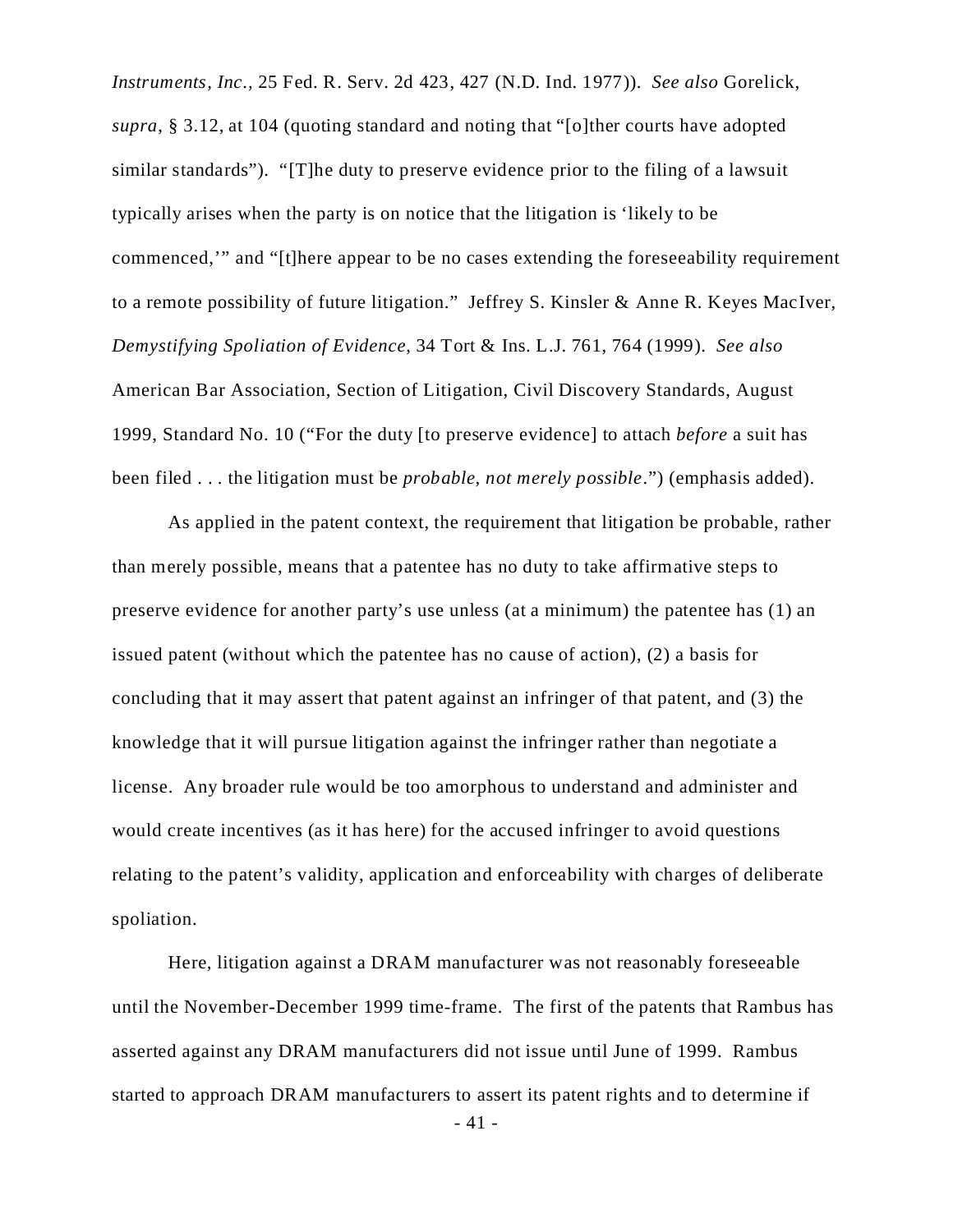*Instruments, Inc.,* 25 Fed. R. Serv. 2d 423, 427 (N.D. Ind. 1977)). *See also* Gorelick, *supra*, § 3.12, at 104 (quoting standard and noting that "[o]ther courts have adopted similar standards"). "[T]he duty to preserve evidence prior to the filing of a lawsuit typically arises when the party is on notice that the litigation is 'likely to be commenced,'" and "[t]here appear to be no cases extending the foreseeability requirement to a remote possibility of future litigation." Jeffrey S. Kinsler & Anne R. Keyes MacIver, *Demystifying Spoliation of Evidence*, 34 Tort & Ins. L.J. 761, 764 (1999). *See also* American Bar Association, Section of Litigation, Civil Discovery Standards, August 1999, Standard No. 10 ("For the duty [to preserve evidence] to attach *before* a suit has been filed . . . the litigation must be *probable, not merely possible*.") (emphasis added).

As applied in the patent context, the requirement that litigation be probable, rather than merely possible, means that a patentee has no duty to take affirmative steps to preserve evidence for another party's use unless (at a minimum) the patentee has (1) an issued patent (without which the patentee has no cause of action), (2) a basis for concluding that it may assert that patent against an infringer of that patent, and (3) the knowledge that it will pursue litigation against the infringer rather than negotiate a license. Any broader rule would be too amorphous to understand and administer and would create incentives (as it has here) for the accused infringer to avoid questions relating to the patent's validity, application and enforceability with charges of deliberate spoliation.

Here, litigation against a DRAM manufacturer was not reasonably foreseeable until the November-December 1999 time-frame. The first of the patents that Rambus has asserted against any DRAM manufacturers did not issue until June of 1999. Rambus started to approach DRAM manufacturers to assert its patent rights and to determine if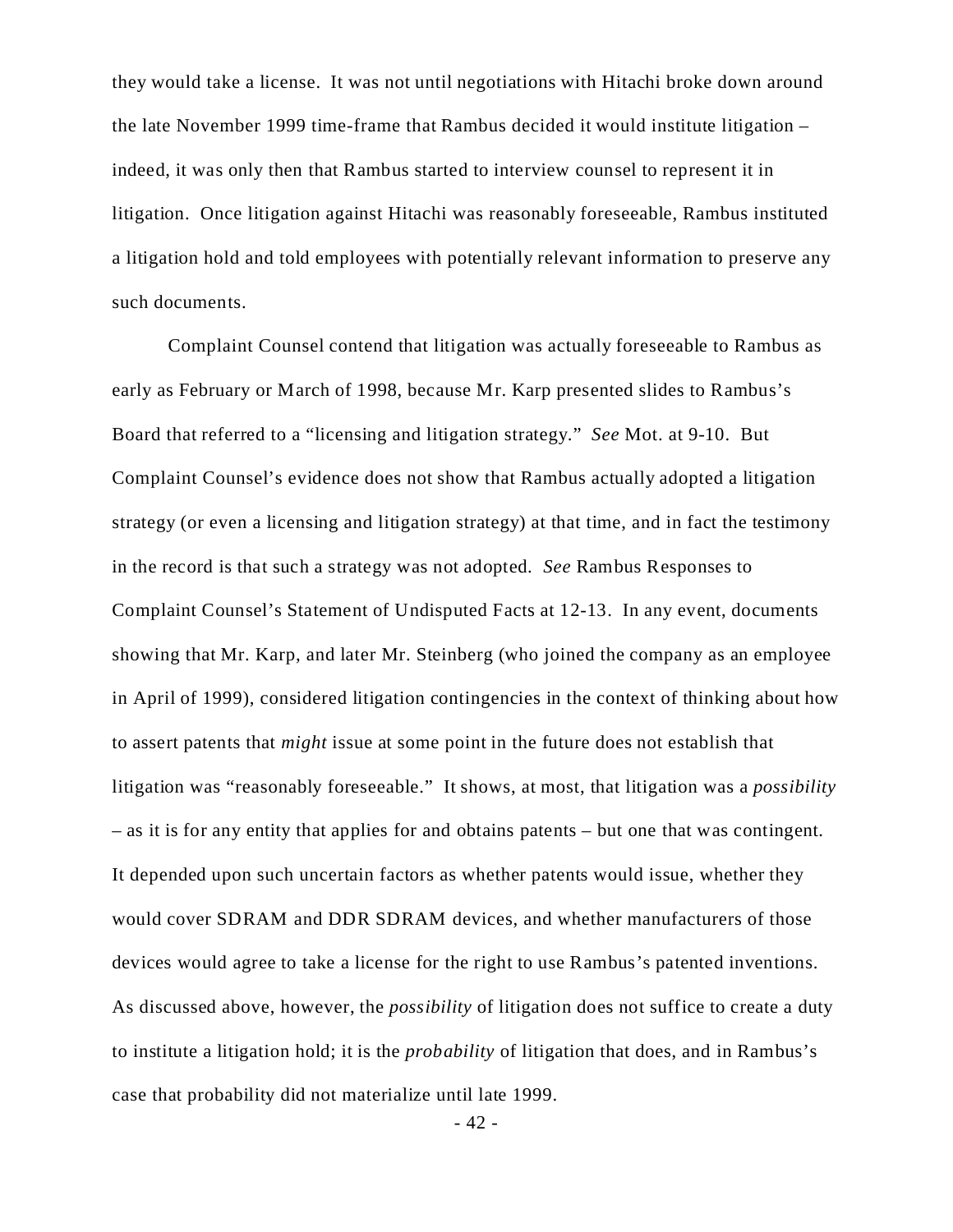they would take a license. It was not until negotiations with Hitachi broke down around the late November 1999 time-frame that Rambus decided it would institute litigation – indeed, it was only then that Rambus started to interview counsel to represent it in litigation. Once litigation against Hitachi was reasonably foreseeable, Rambus instituted a litigation hold and told employees with potentially relevant information to preserve any such documents.

Complaint Counsel contend that litigation was actually foreseeable to Rambus as early as February or March of 1998, because Mr. Karp presented slides to Rambus's Board that referred to a "licensing and litigation strategy." *See* Mot. at 9-10. But Complaint Counsel's evidence does not show that Rambus actually adopted a litigation strategy (or even a licensing and litigation strategy) at that time, and in fact the testimony in the record is that such a strategy was not adopted. *See* Rambus Responses to Complaint Counsel's Statement of Undisputed Facts at 12-13. In any event, documents showing that Mr. Karp, and later Mr. Steinberg (who joined the company as an employee in April of 1999), considered litigation contingencies in the context of thinking about how to assert patents that *might* issue at some point in the future does not establish that litigation was "reasonably foreseeable." It shows, at most, that litigation was a *possibility* – as it is for any entity that applies for and obtains patents – but one that was contingent. It depended upon such uncertain factors as whether patents would issue, whether they would cover SDRAM and DDR SDRAM devices, and whether manufacturers of those devices would agree to take a license for the right to use Rambus's patented inventions. As discussed above, however, the *possibility* of litigation does not suffice to create a duty to institute a litigation hold; it is the *probability* of litigation that does, and in Rambus's case that probability did not materialize until late 1999.

- 42 -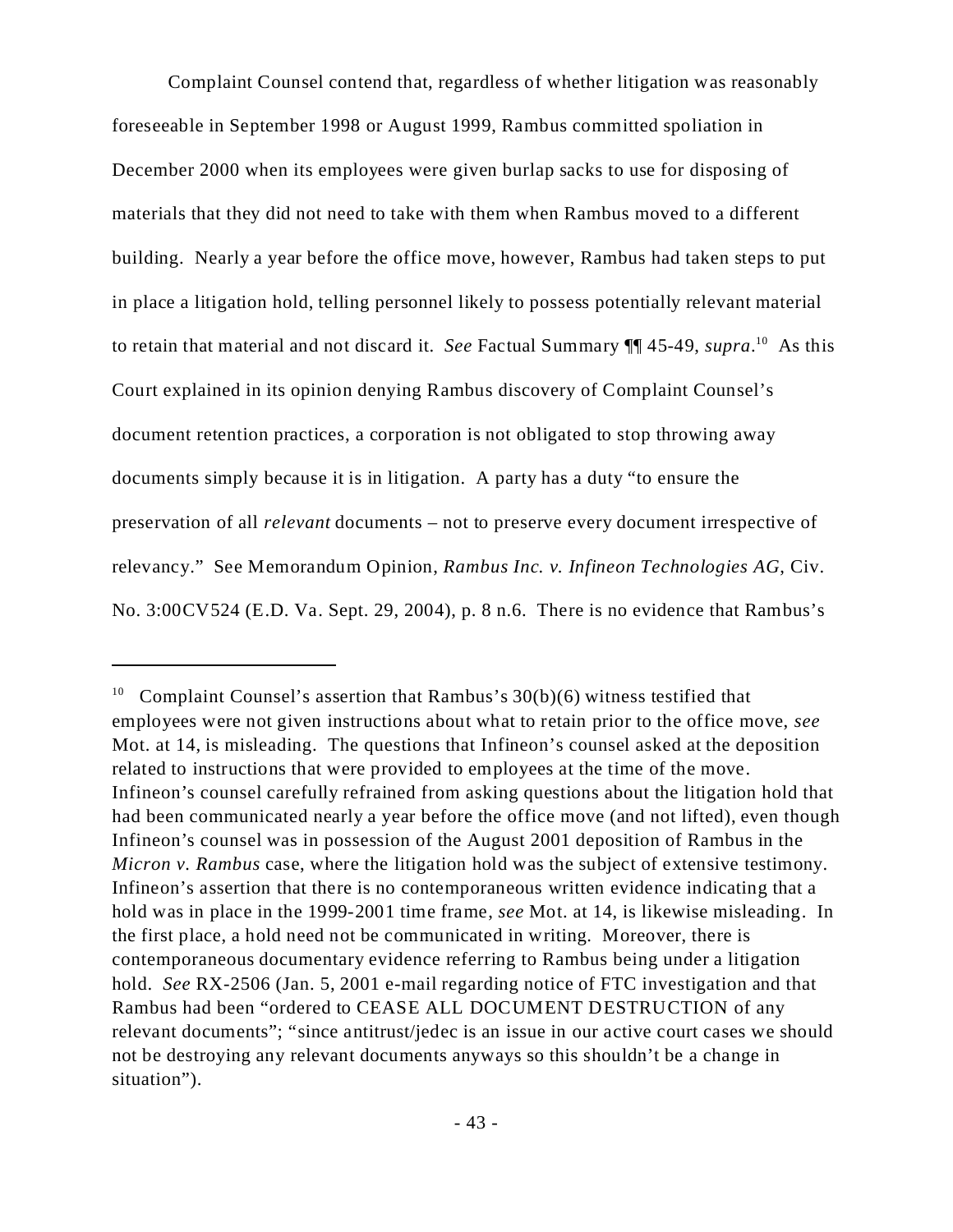Complaint Counsel contend that, regardless of whether litigation was reasonably foreseeable in September 1998 or August 1999, Rambus committed spoliation in December 2000 when its employees were given burlap sacks to use for disposing of materials that they did not need to take with them when Rambus moved to a different building. Nearly a year before the office move, however, Rambus had taken steps to put in place a litigation hold, telling personnel likely to possess potentially relevant material to retain that material and not discard it. *See* Factual Summary ¶¶ 45-49, *supra*. <sup>10</sup> As this Court explained in its opinion denying Rambus discovery of Complaint Counsel's document retention practices, a corporation is not obligated to stop throwing away documents simply because it is in litigation. A party has a duty "to ensure the preservation of all *relevant* documents – not to preserve every document irrespective of relevancy." See Memorandum Opinion, *Rambus Inc. v. Infineon Technologies AG*, Civ. No. 3:00CV524 (E.D. Va. Sept. 29, 2004), p. 8 n.6. There is no evidence that Rambus's

Complaint Counsel's assertion that Rambus's  $30(b)(6)$  witness testified that employees were not given instructions about what to retain prior to the office move, *see* Mot. at 14, is misleading. The questions that Infineon's counsel asked at the deposition related to instructions that were provided to employees at the time of the move. Infineon's counsel carefully refrained from asking questions about the litigation hold that had been communicated nearly a year before the office move (and not lifted), even though Infineon's counsel was in possession of the August 2001 deposition of Rambus in the *Micron v. Rambus* case, where the litigation hold was the subject of extensive testimony. Infineon's assertion that there is no contemporaneous written evidence indicating that a hold was in place in the 1999-2001 time frame, *see* Mot. at 14, is likewise misleading. In the first place, a hold need not be communicated in writing. Moreover, there is contemporaneous documentary evidence referring to Rambus being under a litigation hold. *See* RX-2506 (Jan. 5, 2001 e-mail regarding notice of FTC investigation and that Rambus had been "ordered to CEASE ALL DOCUMENT DESTRUCTION of any relevant documents"; "since antitrust/jedec is an issue in our active court cases we should not be destroying any relevant documents anyways so this shouldn't be a change in situation").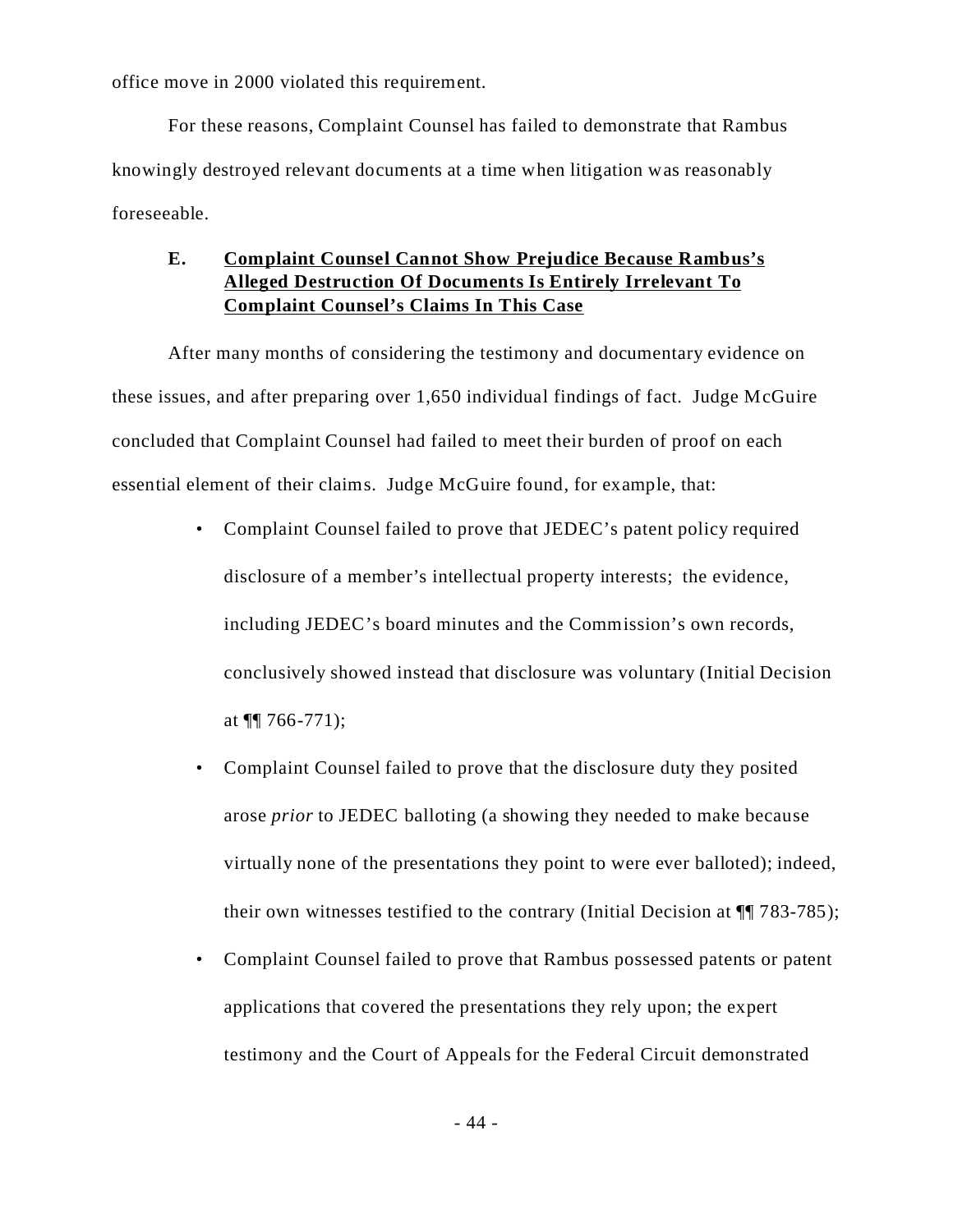office move in 2000 violated this requirement.

For these reasons, Complaint Counsel has failed to demonstrate that Rambus knowingly destroyed relevant documents at a time when litigation was reasonably foreseeable.

# **E. Complaint Counsel Cannot Show Prejudice Because Rambus's Alleged Destruction Of Documents Is Entirely Irrelevant To Complaint Counsel's Claims In This Case**

After many months of considering the testimony and documentary evidence on these issues, and after preparing over 1,650 individual findings of fact. Judge McGuire concluded that Complaint Counsel had failed to meet their burden of proof on each essential element of their claims. Judge McGuire found, for example, that:

- Complaint Counsel failed to prove that JEDEC's patent policy required disclosure of a member's intellectual property interests; the evidence, including JEDEC's board minutes and the Commission's own records, conclusively showed instead that disclosure was voluntary (Initial Decision at  $\P\P$  766-771);
- Complaint Counsel failed to prove that the disclosure duty they posited arose *prior* to JEDEC balloting (a showing they needed to make because virtually none of the presentations they point to were ever balloted); indeed, their own witnesses testified to the contrary (Initial Decision at ¶¶ 783-785);
- Complaint Counsel failed to prove that Rambus possessed patents or patent applications that covered the presentations they rely upon; the expert testimony and the Court of Appeals for the Federal Circuit demonstrated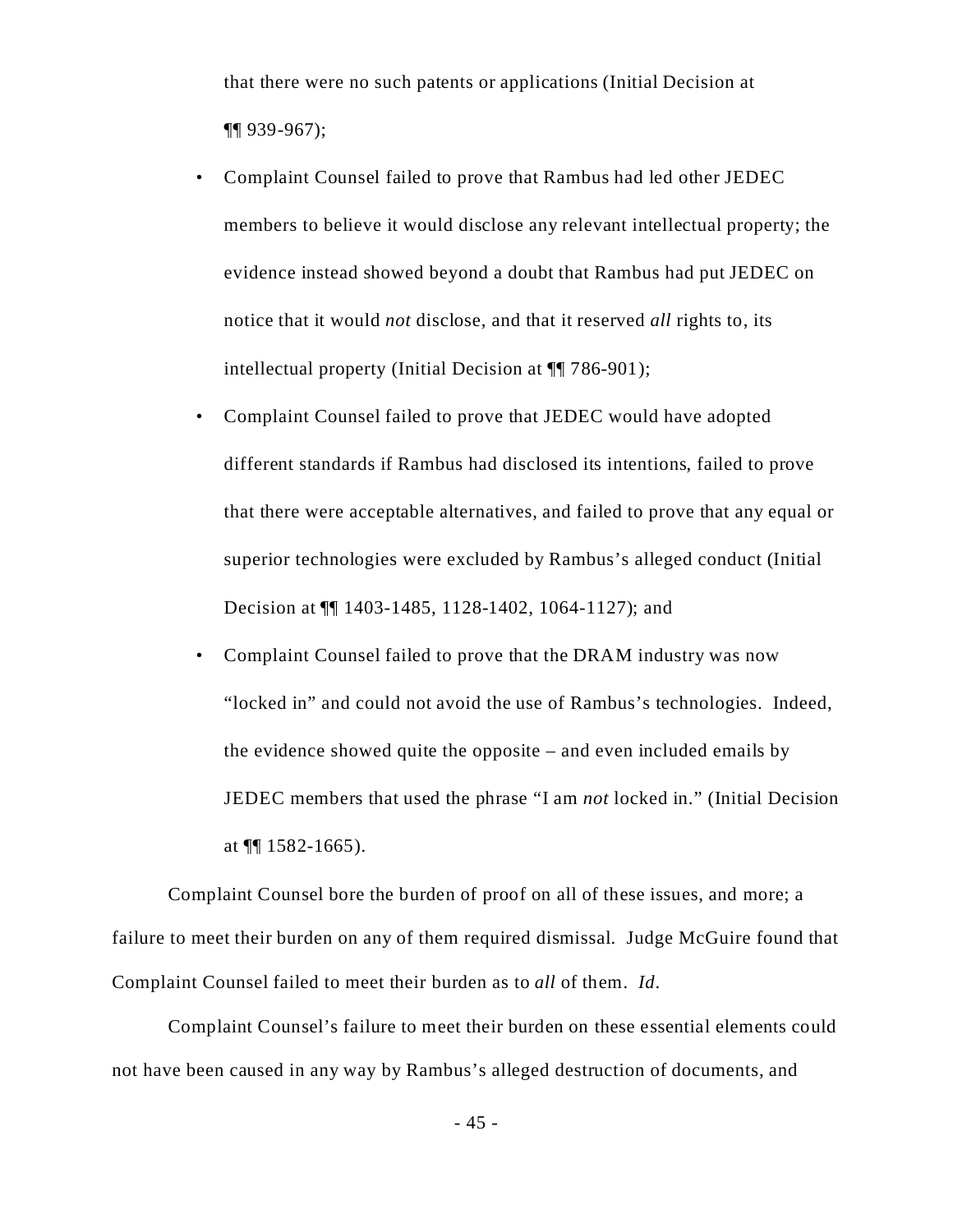that there were no such patents or applications (Initial Decision at ¶¶ 939-967);

- Complaint Counsel failed to prove that Rambus had led other JEDEC members to believe it would disclose any relevant intellectual property; the evidence instead showed beyond a doubt that Rambus had put JEDEC on notice that it would *not* disclose, and that it reserved *all* rights to, its intellectual property (Initial Decision at ¶¶ 786-901);
- Complaint Counsel failed to prove that JEDEC would have adopted different standards if Rambus had disclosed its intentions, failed to prove that there were acceptable alternatives, and failed to prove that any equal or superior technologies were excluded by Rambus's alleged conduct (Initial Decision at ¶¶ 1403-1485, 1128-1402, 1064-1127); and
- Complaint Counsel failed to prove that the DRAM industry was now "locked in" and could not avoid the use of Rambus's technologies. Indeed, the evidence showed quite the opposite – and even included emails by JEDEC members that used the phrase "I am *not* locked in." (Initial Decision at  $\P$ [ 1582-1665).

Complaint Counsel bore the burden of proof on all of these issues, and more; a failure to meet their burden on any of them required dismissal. Judge McGuire found that Complaint Counsel failed to meet their burden as to *all* of them. *Id*.

Complaint Counsel's failure to meet their burden on these essential elements could not have been caused in any way by Rambus's alleged destruction of documents, and

- 45 -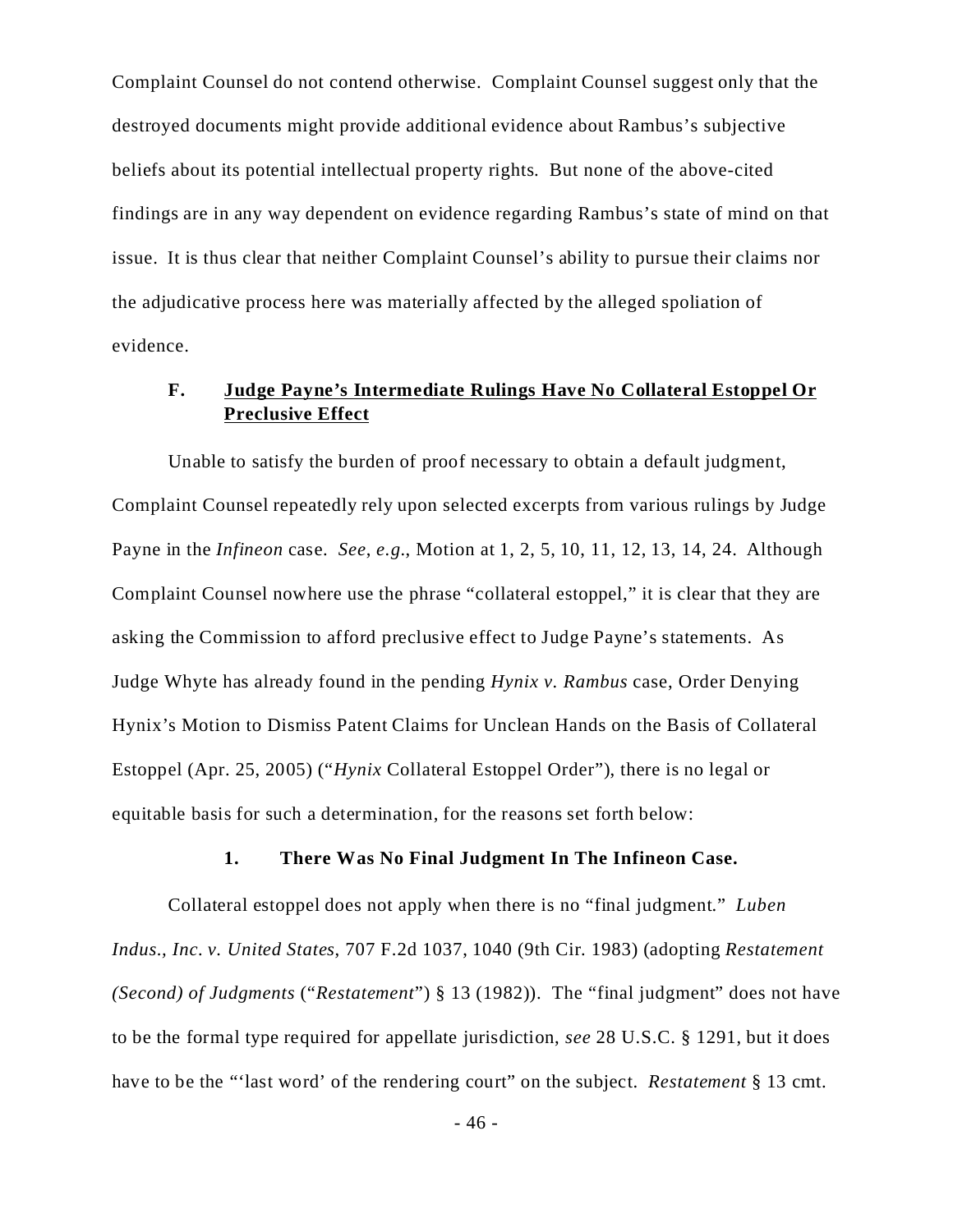Complaint Counsel do not contend otherwise. Complaint Counsel suggest only that the destroyed documents might provide additional evidence about Rambus's subjective beliefs about its potential intellectual property rights. But none of the above-cited findings are in any way dependent on evidence regarding Rambus's state of mind on that issue. It is thus clear that neither Complaint Counsel's ability to pursue their claims nor the adjudicative process here was materially affected by the alleged spoliation of evidence.

### **F. Judge Payne's Intermediate Rulings Have No Collateral Estoppel Or Preclusive Effect**

Unable to satisfy the burden of proof necessary to obtain a default judgment, Complaint Counsel repeatedly rely upon selected excerpts from various rulings by Judge Payne in the *Infineon* case. *See*, *e.g.*, Motion at 1, 2, 5, 10, 11, 12, 13, 14, 24. Although Complaint Counsel nowhere use the phrase "collateral estoppel," it is clear that they are asking the Commission to afford preclusive effect to Judge Payne's statements. As Judge Whyte has already found in the pending *Hynix v. Rambus* case, Order Denying Hynix's Motion to Dismiss Patent Claims for Unclean Hands on the Basis of Collateral Estoppel (Apr. 25, 2005) ("*Hynix* Collateral Estoppel Order"), there is no legal or equitable basis for such a determination, for the reasons set forth below:

#### **1. There Was No Final Judgment In The Infineon Case.**

Collateral estoppel does not apply when there is no "final judgment." *Luben Indus., Inc. v. United States*, 707 F.2d 1037, 1040 (9th Cir. 1983) (adopting *Restatement (Second) of Judgments* ("*Restatement*") § 13 (1982)). The "final judgment" does not have to be the formal type required for appellate jurisdiction, *see* 28 U.S.C. § 1291, but it does have to be the "'last word' of the rendering court" on the subject. *Restatement* § 13 cmt.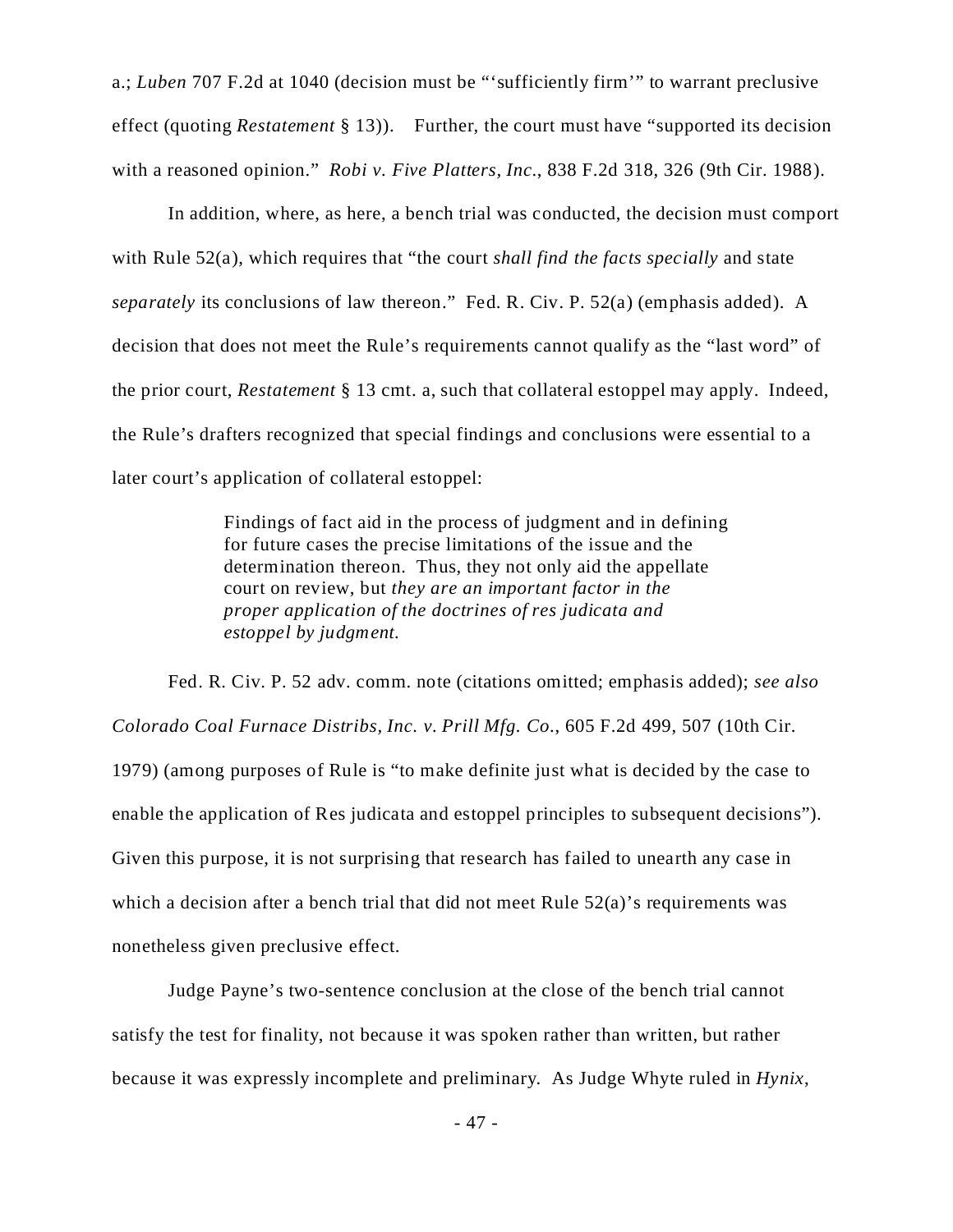a.; *Luben* 707 F.2d at 1040 (decision must be "'sufficiently firm'" to warrant preclusive effect (quoting *Restatement* § 13)). Further, the court must have "supported its decision with a reasoned opinion." *Robi v. Five Platters, Inc.*, 838 F.2d 318, 326 (9th Cir. 1988).

In addition, where, as here, a bench trial was conducted, the decision must comport with Rule 52(a), which requires that "the court *shall find the facts specially* and state *separately* its conclusions of law thereon." Fed. R. Civ. P. 52(a) (emphasis added). A decision that does not meet the Rule's requirements cannot qualify as the "last word" of the prior court, *Restatement* § 13 cmt. a, such that collateral estoppel may apply. Indeed, the Rule's drafters recognized that special findings and conclusions were essential to a later court's application of collateral estoppel:

> Findings of fact aid in the process of judgment and in defining for future cases the precise limitations of the issue and the determination thereon. Thus, they not only aid the appellate court on review, but *they are an important factor in the proper application of the doctrines of res judicata and estoppel by judgment.*

Fed. R. Civ. P. 52 adv. comm. note (citations omitted; emphasis added); *see also Colorado Coal Furnace Distribs, Inc. v. Prill Mfg. Co.*, 605 F.2d 499, 507 (10th Cir. 1979) (among purposes of Rule is "to make definite just what is decided by the case to enable the application of Res judicata and estoppel principles to subsequent decisions"). Given this purpose, it is not surprising that research has failed to unearth any case in which a decision after a bench trial that did not meet Rule  $52(a)$ 's requirements was nonetheless given preclusive effect.

Judge Payne's two-sentence conclusion at the close of the bench trial cannot satisfy the test for finality, not because it was spoken rather than written, but rather because it was expressly incomplete and preliminary. As Judge Whyte ruled in *Hynix*,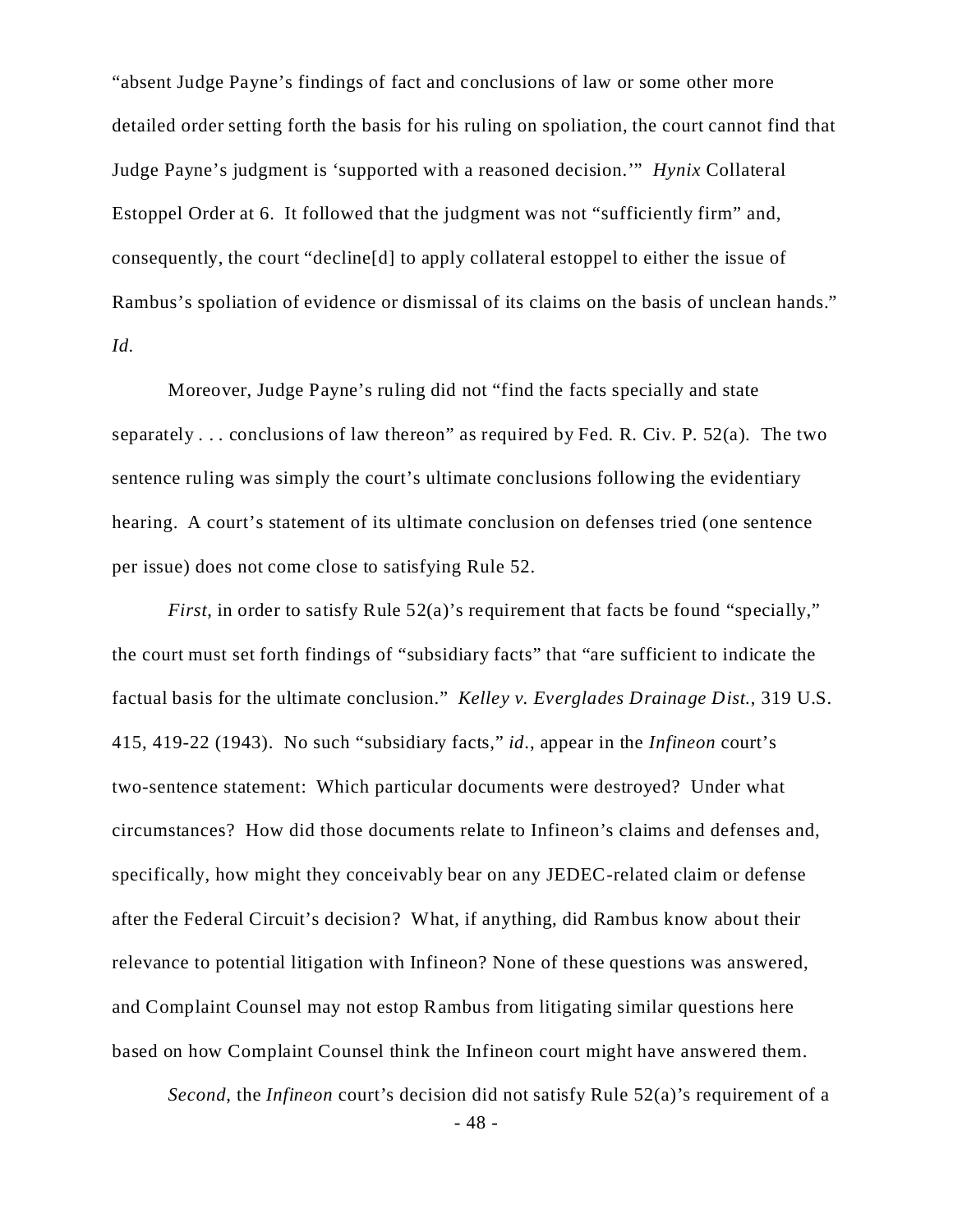"absent Judge Payne's findings of fact and conclusions of law or some other more detailed order setting forth the basis for his ruling on spoliation, the court cannot find that Judge Payne's judgment is 'supported with a reasoned decision.'" *Hynix* Collateral Estoppel Order at 6. It followed that the judgment was not "sufficiently firm" and, consequently, the court "decline[d] to apply collateral estoppel to either the issue of Rambus's spoliation of evidence or dismissal of its claims on the basis of unclean hands." *Id.*

Moreover, Judge Payne's ruling did not "find the facts specially and state separately ... conclusions of law thereon" as required by Fed. R. Civ. P.  $52(a)$ . The two sentence ruling was simply the court's ultimate conclusions following the evidentiary hearing. A court's statement of its ultimate conclusion on defenses tried (one sentence per issue) does not come close to satisfying Rule 52.

*First*, in order to satisfy Rule 52(a)'s requirement that facts be found "specially," the court must set forth findings of "subsidiary facts" that "are sufficient to indicate the factual basis for the ultimate conclusion." *Kelley v. Everglades Drainage Dist.*, 319 U.S. 415, 419-22 (1943). No such "subsidiary facts," *id*., appear in the *Infineon* court's two-sentence statement: Which particular documents were destroyed? Under what circumstances? How did those documents relate to Infineon's claims and defenses and, specifically, how might they conceivably bear on any JEDEC-related claim or defense after the Federal Circuit's decision? What, if anything, did Rambus know about their relevance to potential litigation with Infineon? None of these questions was answered, and Complaint Counsel may not estop Rambus from litigating similar questions here based on how Complaint Counsel think the Infineon court might have answered them.

*Second*, the *Infineon* court's decision did not satisfy Rule 52(a)'s requirement of a

- 48 -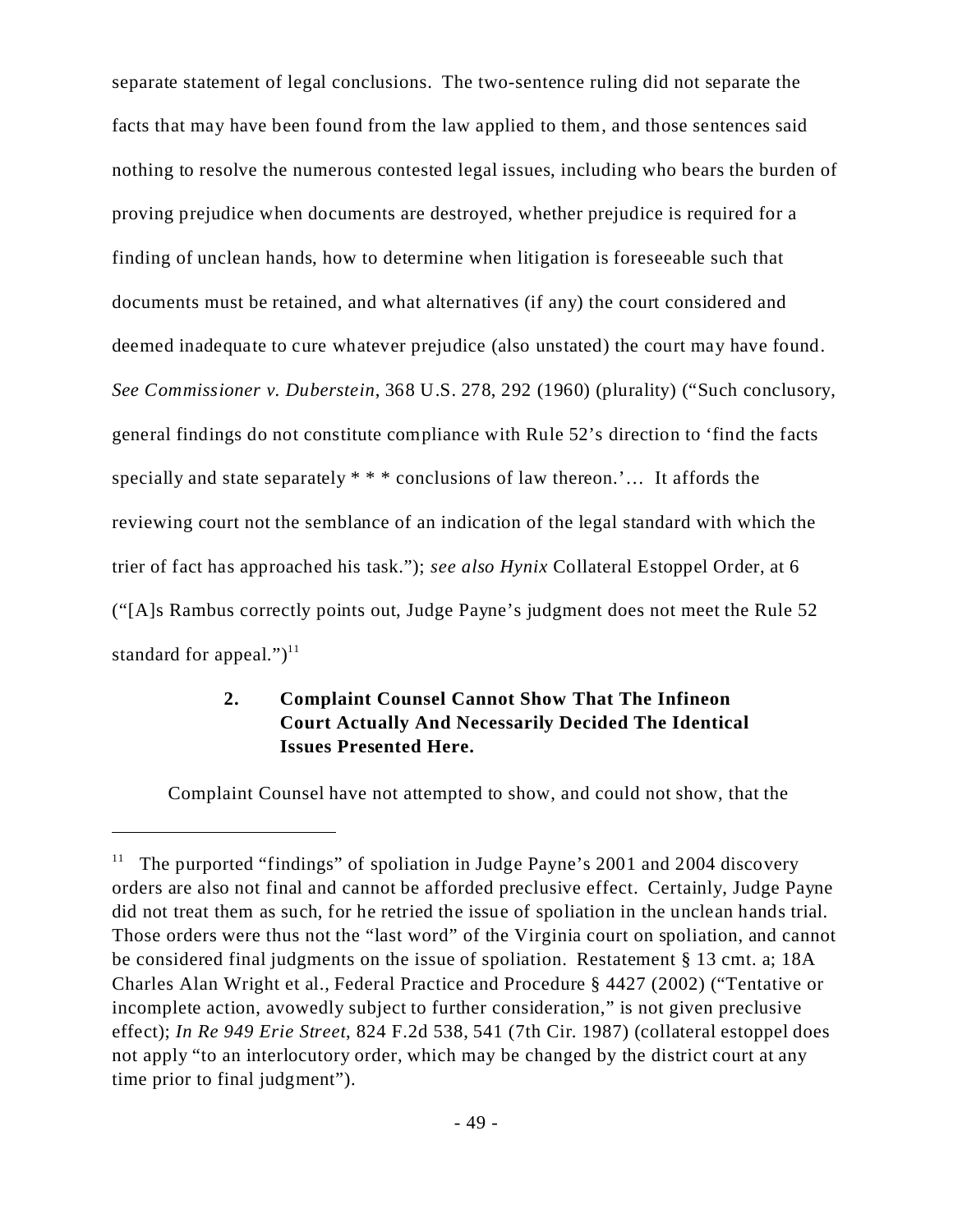separate statement of legal conclusions. The two-sentence ruling did not separate the facts that may have been found from the law applied to them, and those sentences said nothing to resolve the numerous contested legal issues, including who bears the burden of proving prejudice when documents are destroyed, whether prejudice is required for a finding of unclean hands, how to determine when litigation is foreseeable such that documents must be retained, and what alternatives (if any) the court considered and deemed inadequate to cure whatever prejudice (also unstated) the court may have found. *See Commissioner v. Duberstein*, 368 U.S. 278, 292 (1960) (plurality) ("Such conclusory, general findings do not constitute compliance with Rule 52's direction to 'find the facts specially and state separately \* \* \* conclusions of law thereon.'… It affords the reviewing court not the semblance of an indication of the legal standard with which the trier of fact has approached his task."); *see also Hynix* Collateral Estoppel Order, at 6 ("[A]s Rambus correctly points out, Judge Payne's judgment does not meet the Rule 52 standard for appeal." $)^{11}$ 

# **2. Complaint Counsel Cannot Show That The Infineon Court Actually And Necessarily Decided The Identical Issues Presented Here.**

Complaint Counsel have not attempted to show, and could not show, that the

The purported "findings" of spoliation in Judge Payne's 2001 and 2004 discovery orders are also not final and cannot be afforded preclusive effect. Certainly, Judge Payne did not treat them as such, for he retried the issue of spoliation in the unclean hands trial. Those orders were thus not the "last word" of the Virginia court on spoliation, and cannot be considered final judgments on the issue of spoliation. Restatement § 13 cmt. a; 18A Charles Alan Wright et al., Federal Practice and Procedure § 4427 (2002) ("Tentative or incomplete action, avowedly subject to further consideration," is not given preclusive effect); *In Re 949 Erie Street*, 824 F.2d 538, 541 (7th Cir. 1987) (collateral estoppel does not apply "to an interlocutory order, which may be changed by the district court at any time prior to final judgment").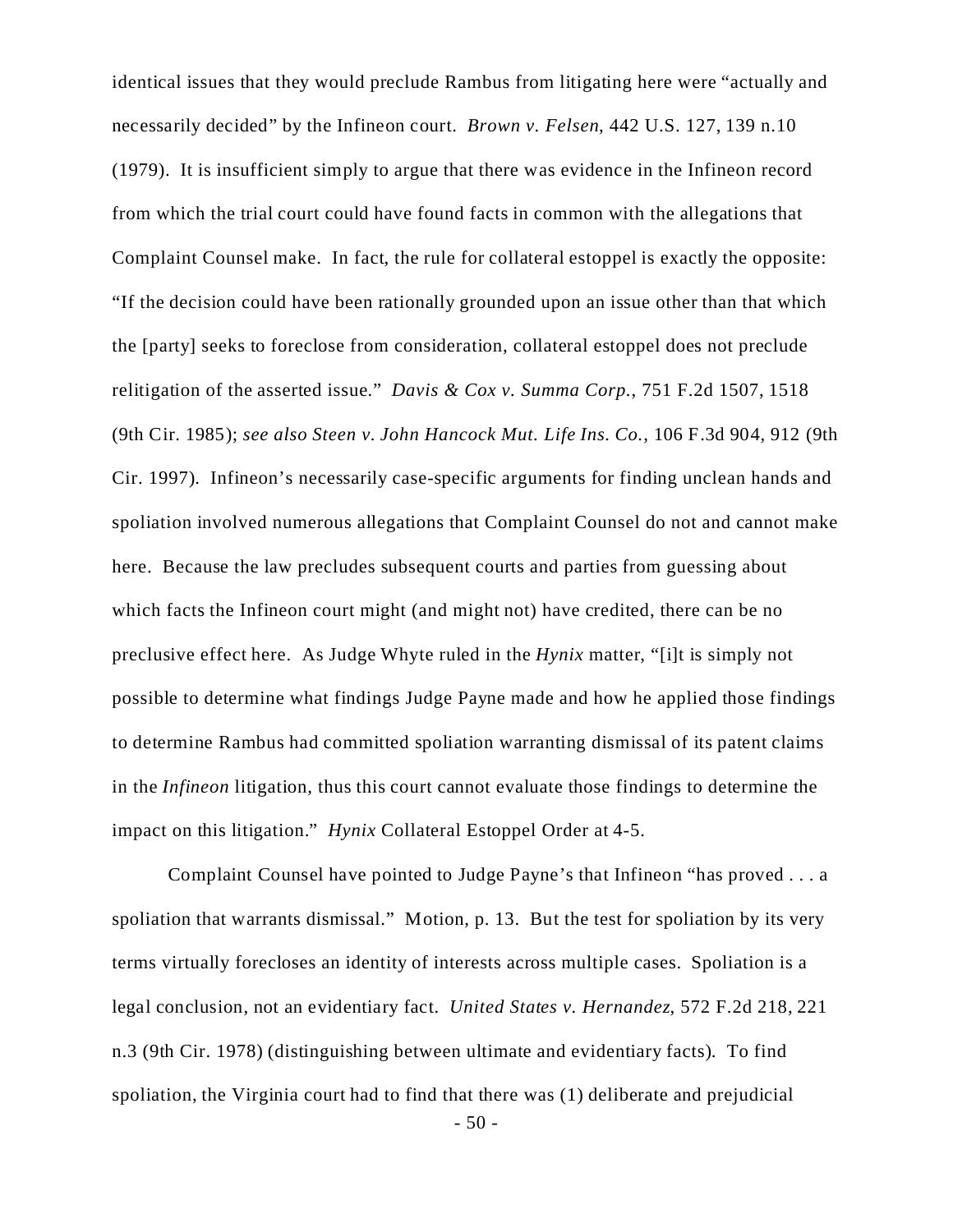identical issues that they would preclude Rambus from litigating here were "actually and necessarily decided" by the Infineon court. *Brown v. Felsen*, 442 U.S. 127, 139 n.10 (1979). It is insufficient simply to argue that there was evidence in the Infineon record from which the trial court could have found facts in common with the allegations that Complaint Counsel make. In fact, the rule for collateral estoppel is exactly the opposite: "If the decision could have been rationally grounded upon an issue other than that which the [party] seeks to foreclose from consideration, collateral estoppel does not preclude relitigation of the asserted issue." *Davis & Cox v. Summa Corp.*, 751 F.2d 1507, 1518 (9th Cir. 1985); *see also Steen v. John Hancock Mut. Life Ins. Co.*, 106 F.3d 904, 912 (9th Cir. 1997). Infineon's necessarily case-specific arguments for finding unclean hands and spoliation involved numerous allegations that Complaint Counsel do not and cannot make here. Because the law precludes subsequent courts and parties from guessing about which facts the Infineon court might (and might not) have credited, there can be no preclusive effect here. As Judge Whyte ruled in the *Hynix* matter, "[i]t is simply not possible to determine what findings Judge Payne made and how he applied those findings to determine Rambus had committed spoliation warranting dismissal of its patent claims in the *Infineon* litigation, thus this court cannot evaluate those findings to determine the impact on this litigation." *Hynix* Collateral Estoppel Order at 4-5.

Complaint Counsel have pointed to Judge Payne's that Infineon "has proved . . . a spoliation that warrants dismissal." Motion, p. 13. But the test for spoliation by its very terms virtually forecloses an identity of interests across multiple cases. Spoliation is a legal conclusion, not an evidentiary fact. *United States v. Hernandez*, 572 F.2d 218, 221 n.3 (9th Cir. 1978) (distinguishing between ultimate and evidentiary facts). To find spoliation, the Virginia court had to find that there was (1) deliberate and prejudicial

- 50 -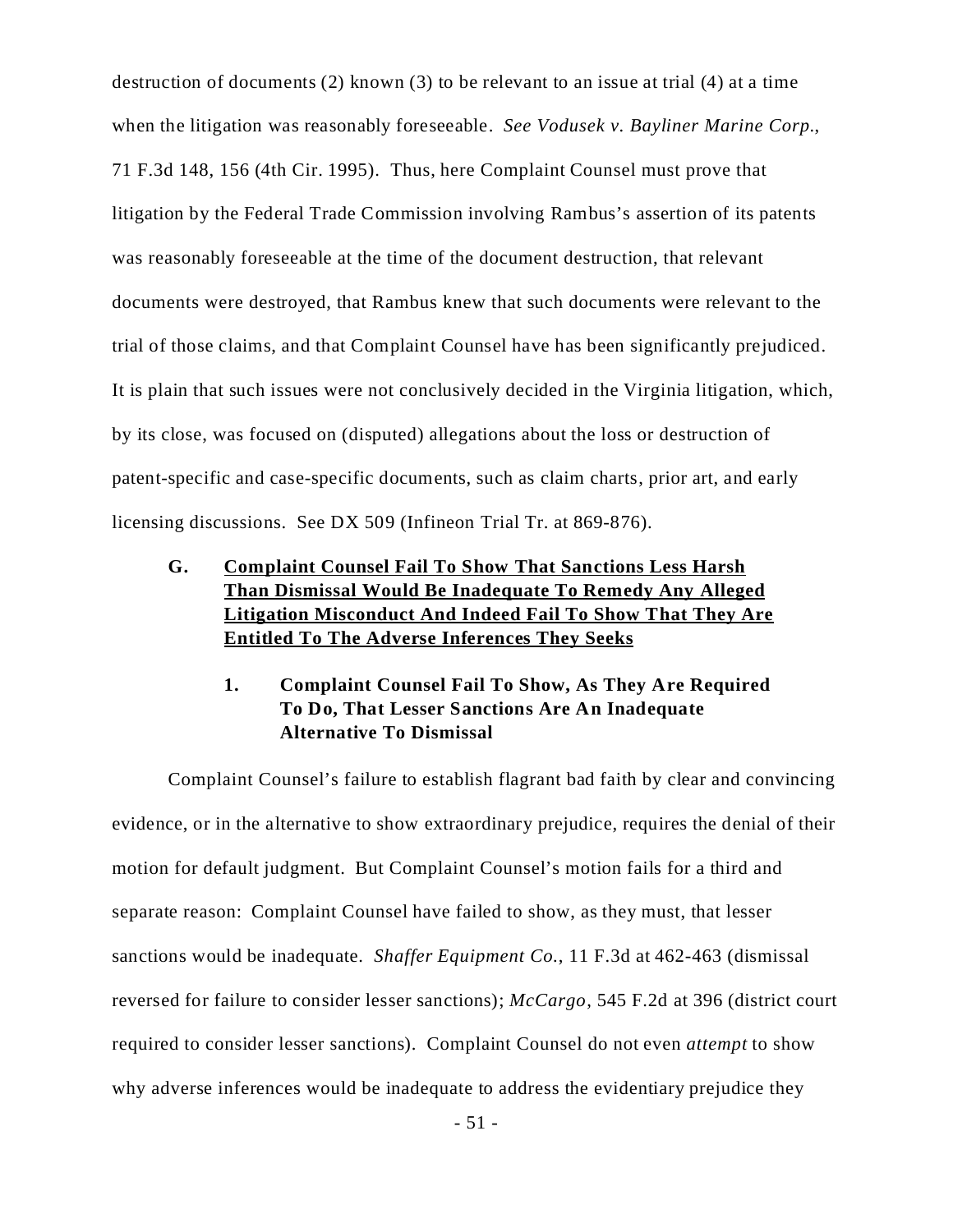destruction of documents (2) known (3) to be relevant to an issue at trial (4) at a time when the litigation was reasonably foreseeable. *See Vodusek v. Bayliner Marine Corp.*, 71 F.3d 148, 156 (4th Cir. 1995). Thus, here Complaint Counsel must prove that litigation by the Federal Trade Commission involving Rambus's assertion of its patents was reasonably foreseeable at the time of the document destruction, that relevant documents were destroyed, that Rambus knew that such documents were relevant to the trial of those claims, and that Complaint Counsel have has been significantly prejudiced. It is plain that such issues were not conclusively decided in the Virginia litigation, which, by its close, was focused on (disputed) allegations about the loss or destruction of patent-specific and case-specific documents, such as claim charts, prior art, and early licensing discussions. See DX 509 (Infineon Trial Tr. at 869-876).

- **G. Complaint Counsel Fail To Show That Sanctions Less Harsh Than Dismissal Would Be Inadequate To Remedy Any Alleged Litigation Misconduct And Indeed Fail To Show That They Are Entitled To The Adverse Inferences They Seeks**
	- **1. Complaint Counsel Fail To Show, As They Are Required To Do, That Lesser Sanctions Are An Inadequate Alternative To Dismissal**

Complaint Counsel's failure to establish flagrant bad faith by clear and convincing evidence, or in the alternative to show extraordinary prejudice, requires the denial of their motion for default judgment. But Complaint Counsel's motion fails for a third and separate reason: Complaint Counsel have failed to show, as they must, that lesser sanctions would be inadequate. *Shaffer Equipment Co.*, 11 F.3d at 462-463 (dismissal reversed for failure to consider lesser sanctions); *McCargo*, 545 F.2d at 396 (district court required to consider lesser sanctions). Complaint Counsel do not even *attempt* to show why adverse inferences would be inadequate to address the evidentiary prejudice they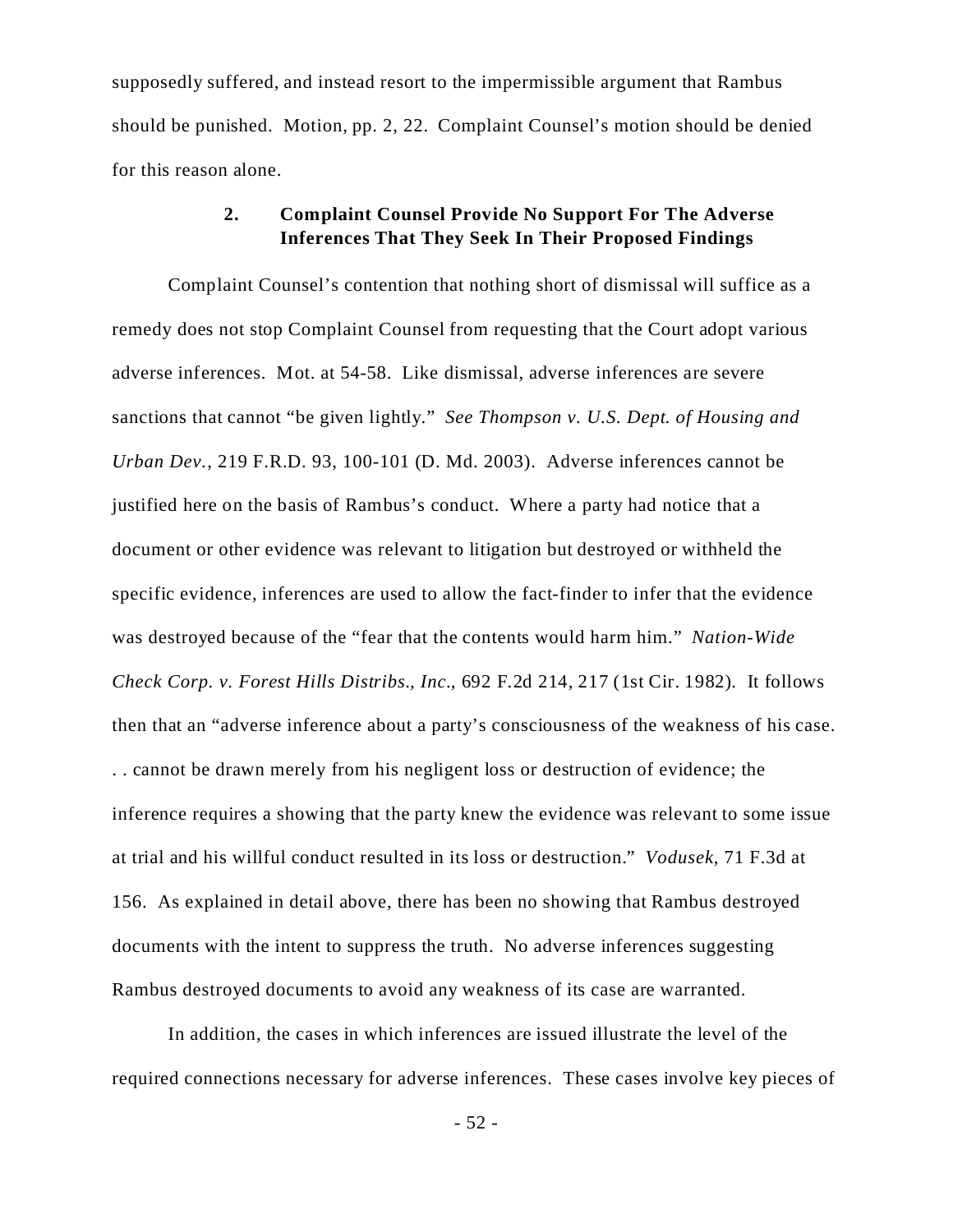supposedly suffered, and instead resort to the impermissible argument that Rambus should be punished. Motion, pp. 2, 22. Complaint Counsel's motion should be denied for this reason alone.

### **2. Complaint Counsel Provide No Support For The Adverse Inferences That They Seek In Their Proposed Findings**

Complaint Counsel's contention that nothing short of dismissal will suffice as a remedy does not stop Complaint Counsel from requesting that the Court adopt various adverse inferences. Mot. at 54-58. Like dismissal, adverse inferences are severe sanctions that cannot "be given lightly." *See Thompson v. U.S. Dept. of Housing and Urban Dev.*, 219 F.R.D. 93, 100-101 (D. Md. 2003). Adverse inferences cannot be justified here on the basis of Rambus's conduct. Where a party had notice that a document or other evidence was relevant to litigation but destroyed or withheld the specific evidence, inferences are used to allow the fact-finder to infer that the evidence was destroyed because of the "fear that the contents would harm him." *Nation-Wide Check Corp. v. Forest Hills Distribs., Inc.*, 692 F.2d 214, 217 (1st Cir. 1982). It follows then that an "adverse inference about a party's consciousness of the weakness of his case. . . cannot be drawn merely from his negligent loss or destruction of evidence; the inference requires a showing that the party knew the evidence was relevant to some issue at trial and his willful conduct resulted in its loss or destruction." *Vodusek*, 71 F.3d at 156. As explained in detail above, there has been no showing that Rambus destroyed documents with the intent to suppress the truth. No adverse inferences suggesting Rambus destroyed documents to avoid any weakness of its case are warranted.

In addition, the cases in which inferences are issued illustrate the level of the required connections necessary for adverse inferences. These cases involve key pieces of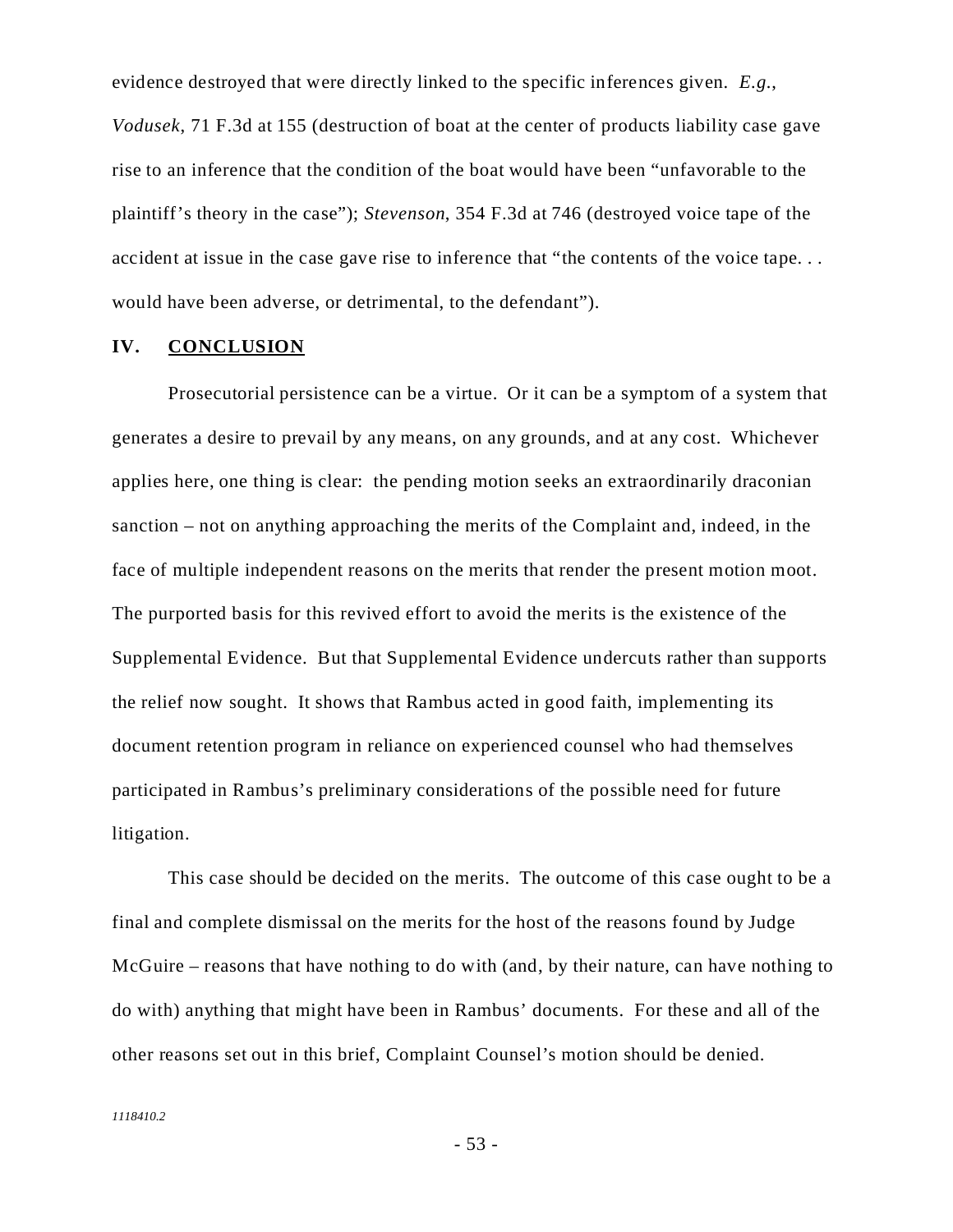evidence destroyed that were directly linked to the specific inferences given. *E.g.*, *Vodusek*, 71 F.3d at 155 (destruction of boat at the center of products liability case gave rise to an inference that the condition of the boat would have been "unfavorable to the plaintiff's theory in the case"); *Stevenson*, 354 F.3d at 746 (destroyed voice tape of the accident at issue in the case gave rise to inference that "the contents of the voice tape. . . would have been adverse, or detrimental, to the defendant").

#### **IV. CONCLUSION**

Prosecutorial persistence can be a virtue. Or it can be a symptom of a system that generates a desire to prevail by any means, on any grounds, and at any cost. Whichever applies here, one thing is clear: the pending motion seeks an extraordinarily draconian sanction – not on anything approaching the merits of the Complaint and, indeed, in the face of multiple independent reasons on the merits that render the present motion moot. The purported basis for this revived effort to avoid the merits is the existence of the Supplemental Evidence. But that Supplemental Evidence undercuts rather than supports the relief now sought. It shows that Rambus acted in good faith, implementing its document retention program in reliance on experienced counsel who had themselves participated in Rambus's preliminary considerations of the possible need for future litigation.

This case should be decided on the merits. The outcome of this case ought to be a final and complete dismissal on the merits for the host of the reasons found by Judge McGuire – reasons that have nothing to do with (and, by their nature, can have nothing to do with) anything that might have been in Rambus' documents. For these and all of the other reasons set out in this brief, Complaint Counsel's motion should be denied.

- 53 -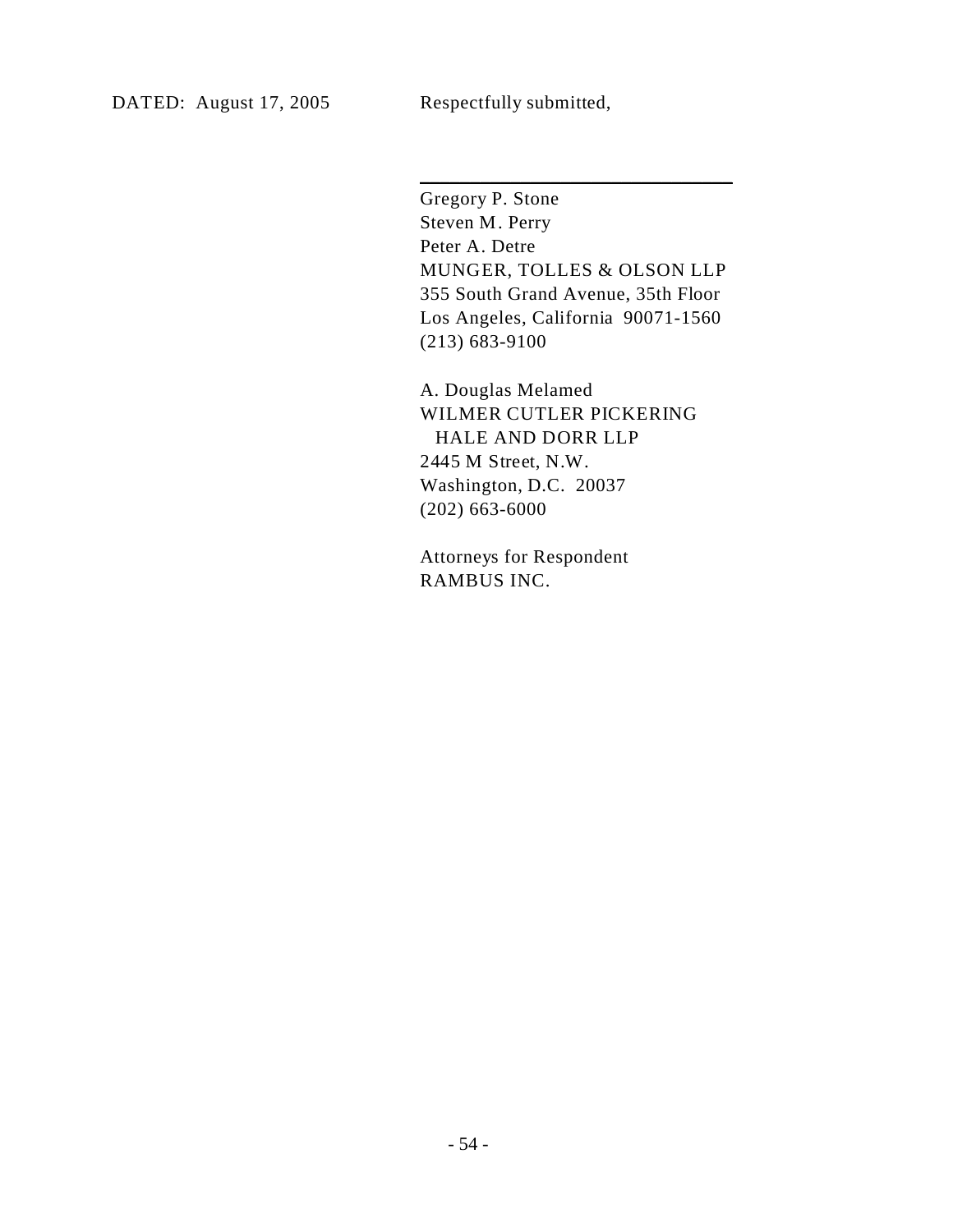Gregory P. Stone Steven M. Perry Peter A. Detre MUNGER, TOLLES & OLSON LLP 355 South Grand Avenue, 35th Floor Los Angeles, California 90071-1560 (213) 683-9100

\_\_\_\_\_\_\_\_\_\_\_\_\_\_\_\_\_\_\_\_\_\_\_\_\_\_\_\_\_\_\_

A. Douglas Melamed WILMER CUTLER PICKERING HALE AND DORR LLP 2445 M Street, N.W. Washington, D.C. 20037 (202) 663-6000

Attorneys for Respondent RAMBUS INC.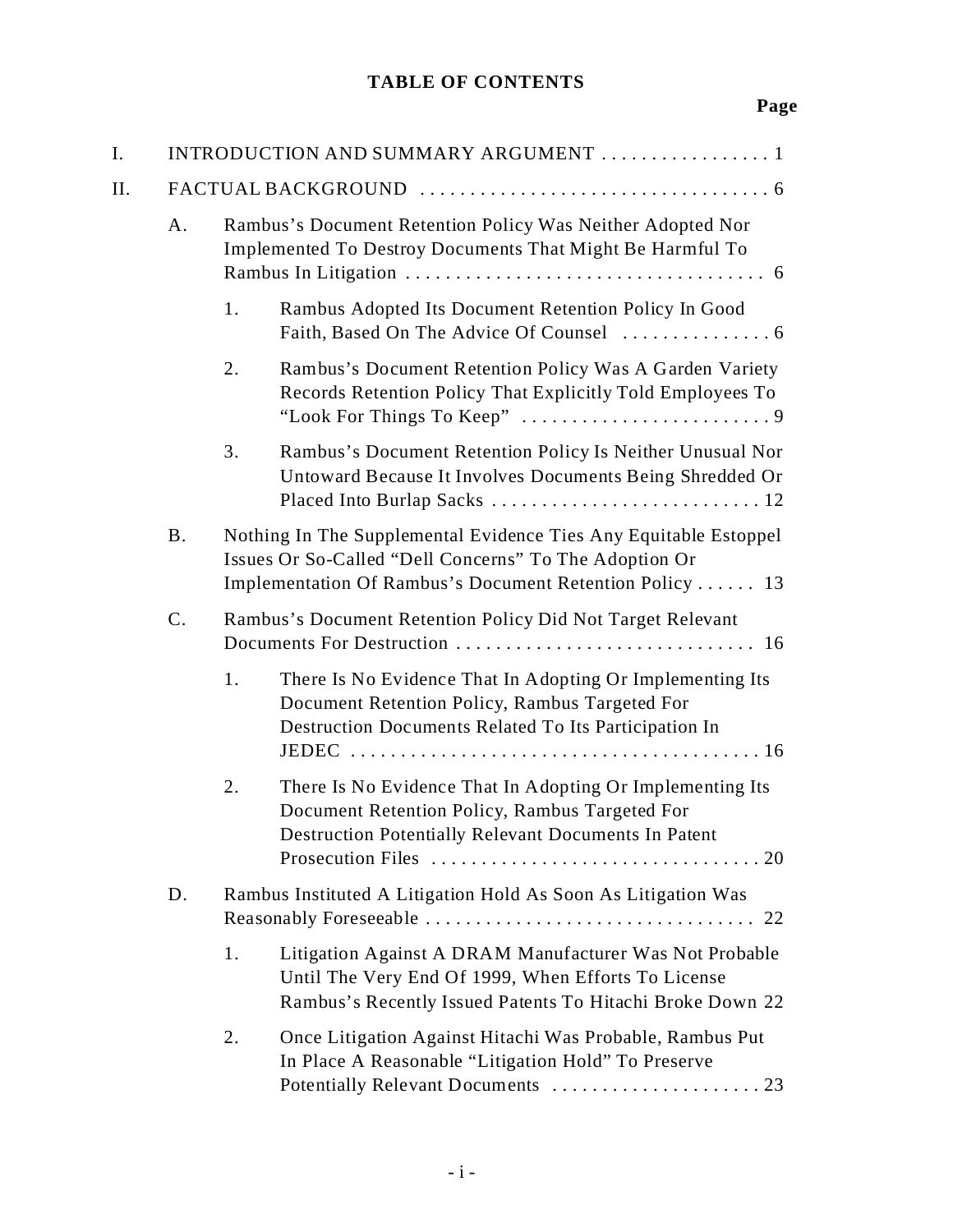# **TABLE OF CONTENTS**

# **Page**

| I. |             |                                                                                                                         | INTRODUCTION AND SUMMARY ARGUMENT  1                                                                                                                                                   |  |
|----|-------------|-------------------------------------------------------------------------------------------------------------------------|----------------------------------------------------------------------------------------------------------------------------------------------------------------------------------------|--|
| Η. |             |                                                                                                                         |                                                                                                                                                                                        |  |
|    | A.          | Rambus's Document Retention Policy Was Neither Adopted Nor<br>Implemented To Destroy Documents That Might Be Harmful To |                                                                                                                                                                                        |  |
|    |             | 1.                                                                                                                      | Rambus Adopted Its Document Retention Policy In Good                                                                                                                                   |  |
|    |             | 2.                                                                                                                      | Rambus's Document Retention Policy Was A Garden Variety<br>Records Retention Policy That Explicitly Told Employees To                                                                  |  |
|    |             | 3.                                                                                                                      | Rambus's Document Retention Policy Is Neither Unusual Nor<br>Untoward Because It Involves Documents Being Shredded Or                                                                  |  |
|    | <b>B.</b>   |                                                                                                                         | Nothing In The Supplemental Evidence Ties Any Equitable Estoppel<br>Issues Or So-Called "Dell Concerns" To The Adoption Or<br>Implementation Of Rambus's Document Retention Policy  13 |  |
|    | $C_{\cdot}$ |                                                                                                                         | Rambus's Document Retention Policy Did Not Target Relevant                                                                                                                             |  |
|    |             | 1.                                                                                                                      | There Is No Evidence That In Adopting Or Implementing Its<br>Document Retention Policy, Rambus Targeted For<br>Destruction Documents Related To Its Participation In                   |  |
|    |             | 2.                                                                                                                      | There Is No Evidence That In Adopting Or Implementing Its<br>Document Retention Policy, Rambus Targeted For<br>Destruction Potentially Relevant Documents In Patent                    |  |
|    | D.          |                                                                                                                         | Rambus Instituted A Litigation Hold As Soon As Litigation Was                                                                                                                          |  |
|    |             | 1.                                                                                                                      | Litigation Against A DRAM Manufacturer Was Not Probable<br>Until The Very End Of 1999, When Efforts To License<br>Rambus's Recently Issued Patents To Hitachi Broke Down 22            |  |
|    |             | 2.                                                                                                                      | Once Litigation Against Hitachi Was Probable, Rambus Put<br>In Place A Reasonable "Litigation Hold" To Preserve                                                                        |  |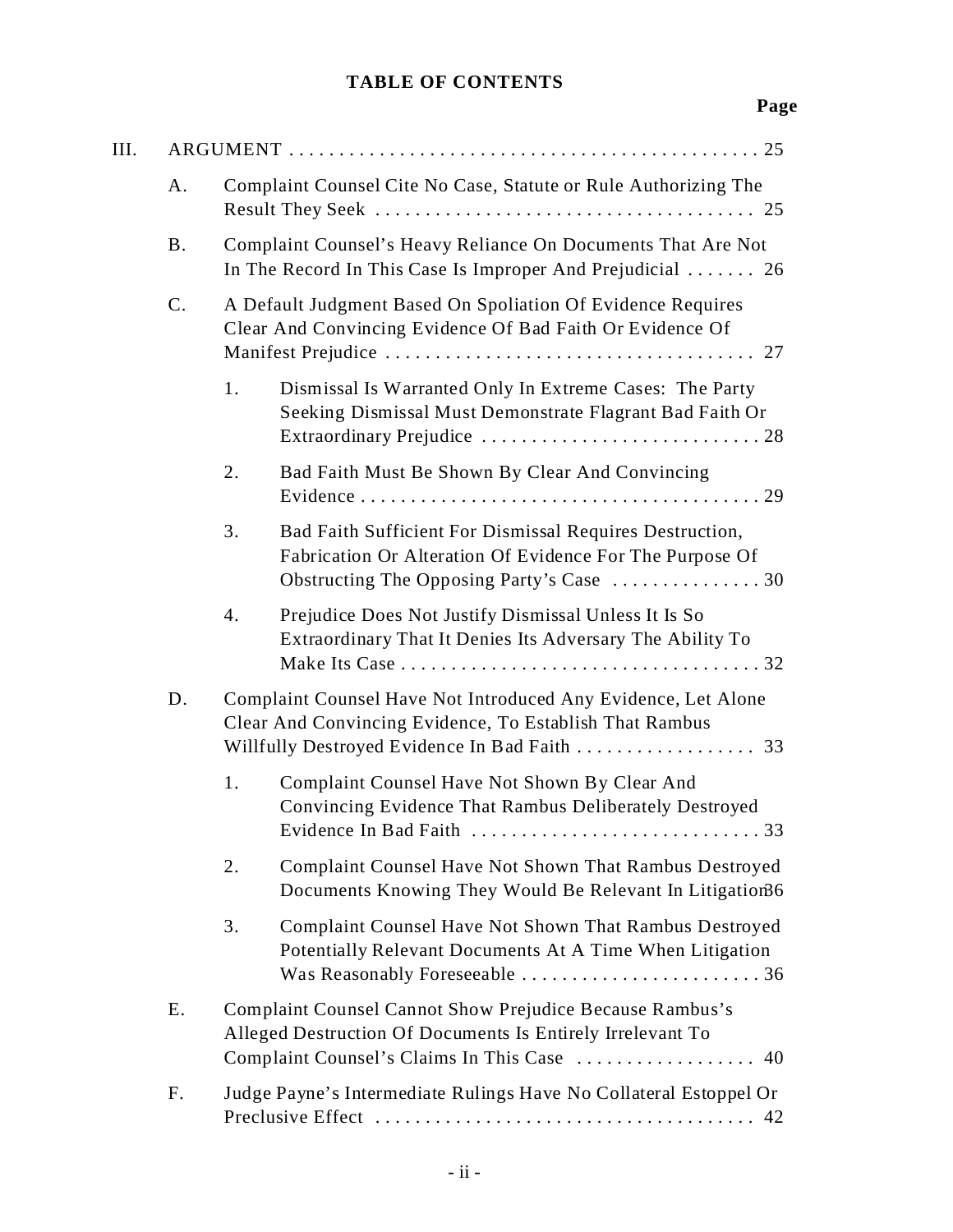# **TABLE OF CONTENTS**

# **Page**

| Ш. |             |                                                                                                                                                                         |  |  |
|----|-------------|-------------------------------------------------------------------------------------------------------------------------------------------------------------------------|--|--|
|    | A.          | Complaint Counsel Cite No Case, Statute or Rule Authorizing The                                                                                                         |  |  |
|    | <b>B.</b>   | Complaint Counsel's Heavy Reliance On Documents That Are Not<br>In The Record In This Case Is Improper And Prejudicial $\ldots$ 26                                      |  |  |
|    | $C_{\cdot}$ | A Default Judgment Based On Spoliation Of Evidence Requires<br>Clear And Convincing Evidence Of Bad Faith Or Evidence Of                                                |  |  |
|    |             | 1.<br>Dismissal Is Warranted Only In Extreme Cases: The Party<br>Seeking Dismissal Must Demonstrate Flagrant Bad Faith Or                                               |  |  |
|    |             | Bad Faith Must Be Shown By Clear And Convincing<br>2.                                                                                                                   |  |  |
|    |             | Bad Faith Sufficient For Dismissal Requires Destruction,<br>3.<br>Fabrication Or Alteration Of Evidence For The Purpose Of<br>Obstructing The Opposing Party's Case  30 |  |  |
|    |             | Prejudice Does Not Justify Dismissal Unless It Is So<br>4.<br>Extraordinary That It Denies Its Adversary The Ability To                                                 |  |  |
|    | D.          | Complaint Counsel Have Not Introduced Any Evidence, Let Alone<br>Clear And Convincing Evidence, To Establish That Rambus                                                |  |  |
|    |             | Complaint Counsel Have Not Shown By Clear And<br>1.<br>Convincing Evidence That Rambus Deliberately Destroyed<br>Evidence In Bad Faith<br>33.                           |  |  |
|    |             | 2.<br>Complaint Counsel Have Not Shown That Rambus Destroyed<br>Documents Knowing They Would Be Relevant In Litigation66                                                |  |  |
|    |             | 3.<br>Complaint Counsel Have Not Shown That Rambus Destroyed<br>Potentially Relevant Documents At A Time When Litigation                                                |  |  |
|    | E.          | Complaint Counsel Cannot Show Prejudice Because Rambus's<br>Alleged Destruction Of Documents Is Entirely Irrelevant To<br>Complaint Counsel's Claims In This Case  40   |  |  |
|    | F.          | Judge Payne's Intermediate Rulings Have No Collateral Estoppel Or                                                                                                       |  |  |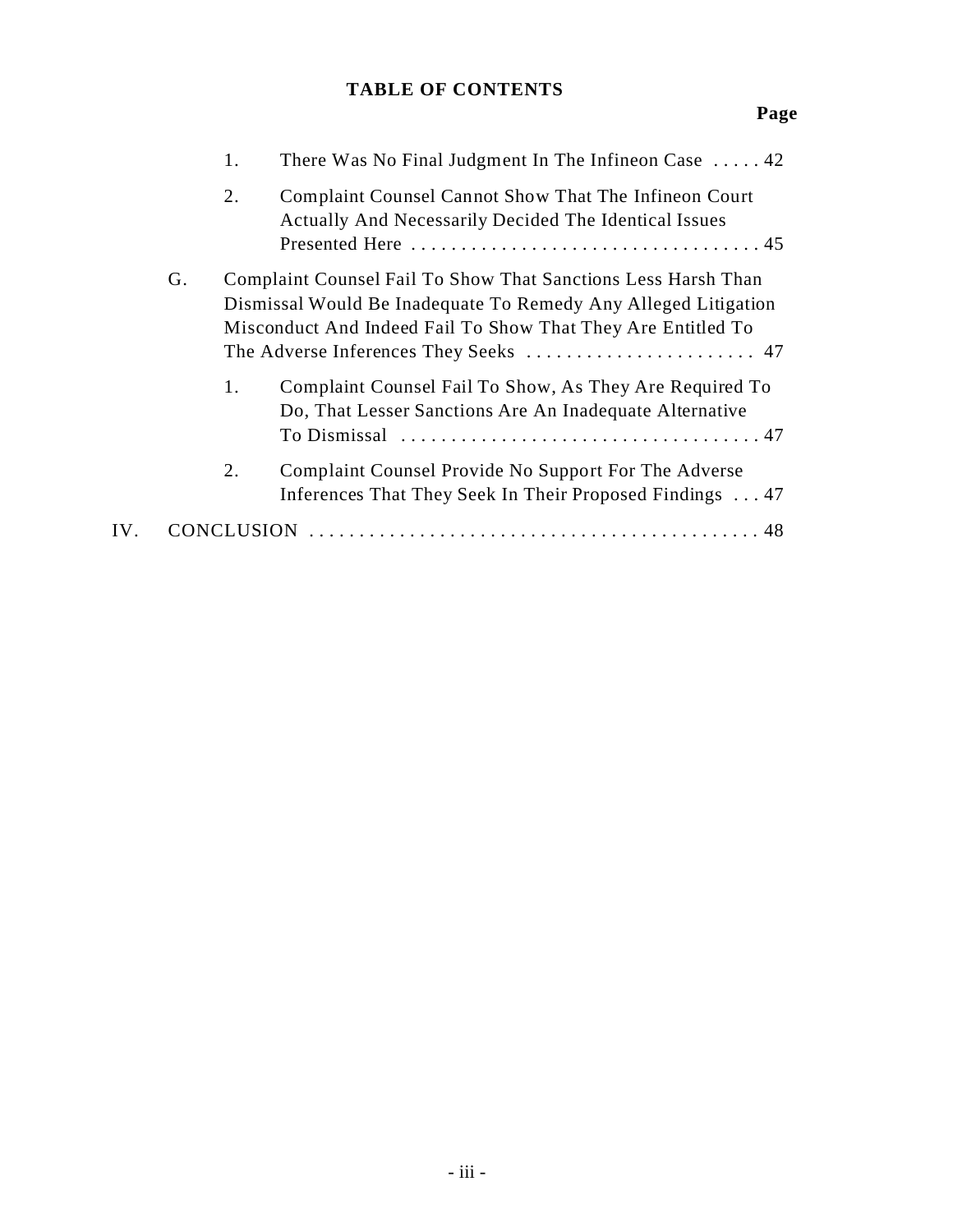# **TABLE OF CONTENTS**

# **Page**

|     |    | 1. | There Was No Final Judgment In The Infineon Case $\dots$ 42                                                                                                                                                       |
|-----|----|----|-------------------------------------------------------------------------------------------------------------------------------------------------------------------------------------------------------------------|
|     |    | 2. | Complaint Counsel Cannot Show That The Infineon Court<br>Actually And Necessarily Decided The Identical Issues                                                                                                    |
|     | G. |    | Complaint Counsel Fail To Show That Sanctions Less Harsh Than<br>Dismissal Would Be Inadequate To Remedy Any Alleged Litigation<br>Misconduct And Indeed Fail To Show That They Are Entitled To                   |
|     |    | 1. | Complaint Counsel Fail To Show, As They Are Required To<br>Do, That Lesser Sanctions Are An Inadequate Alternative<br>To Dismissal $\ldots \ldots \ldots \ldots \ldots \ldots \ldots \ldots \ldots \ldots \ldots$ |
|     |    | 2. | Complaint Counsel Provide No Support For The Adverse<br>Inferences That They Seek In Their Proposed Findings  47                                                                                                  |
| IV. |    |    |                                                                                                                                                                                                                   |
|     |    |    |                                                                                                                                                                                                                   |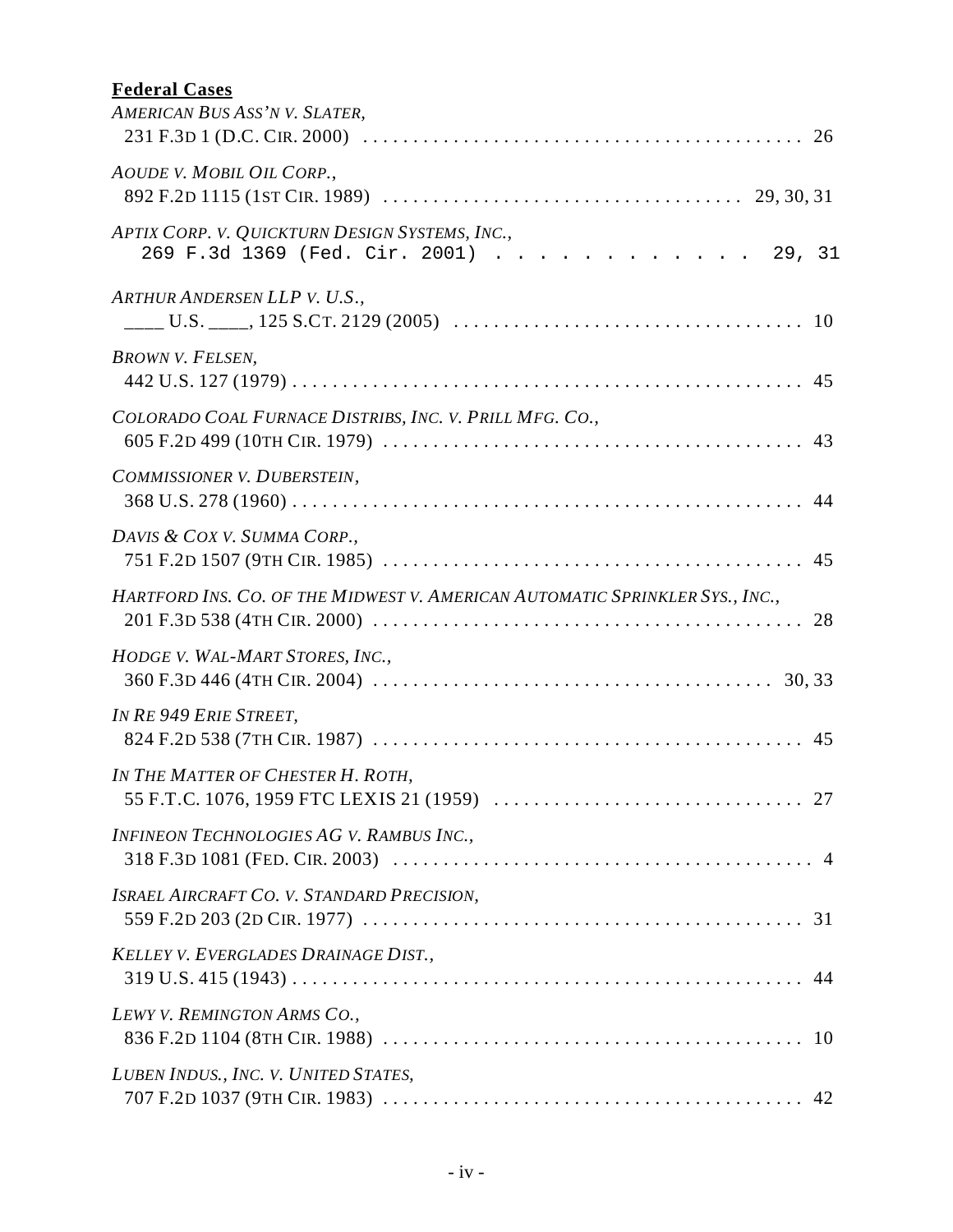# **Federal Cases**

| AMERICAN BUS ASS'N V. SLATER,                                                           |  |
|-----------------------------------------------------------------------------------------|--|
| AOUDE V. MOBIL OIL CORP.,                                                               |  |
| APTIX CORP. V. QUICKTURN DESIGN SYSTEMS, INC.,<br>269 F.3d 1369 (Fed. Cir. 2001) 29, 31 |  |
| ARTHUR ANDERSEN LLP V. U.S.,                                                            |  |
| <b>BROWN V. FELSEN,</b>                                                                 |  |
| COLORADO COAL FURNACE DISTRIBS, INC. V. PRILL MFG. CO.,                                 |  |
| COMMISSIONER V. DUBERSTEIN,                                                             |  |
| DAVIS & COX V. SUMMA CORP.,                                                             |  |
| HARTFORD INS. CO. OF THE MIDWEST V. AMERICAN AUTOMATIC SPRINKLER SYS., INC.,            |  |
| HODGE V. WAL-MART STORES, INC.,                                                         |  |
| IN RE 949 ERIE STREET,                                                                  |  |
| IN THE MATTER OF CHESTER H. ROTH,<br>. 27<br>55 F.T.C. 1076, 1959 FTC LEXIS 21 (1959)   |  |
| INFINEON TECHNOLOGIES AG V. RAMBUS INC.,                                                |  |
| <b>ISRAEL AIRCRAFT CO. V. STANDARD PRECISION,</b>                                       |  |
| KELLEY V. EVERGLADES DRAINAGE DIST.,                                                    |  |
| LEWY V. REMINGTON ARMS CO.,                                                             |  |
| LUBEN INDUS., INC. V. UNITED STATES,                                                    |  |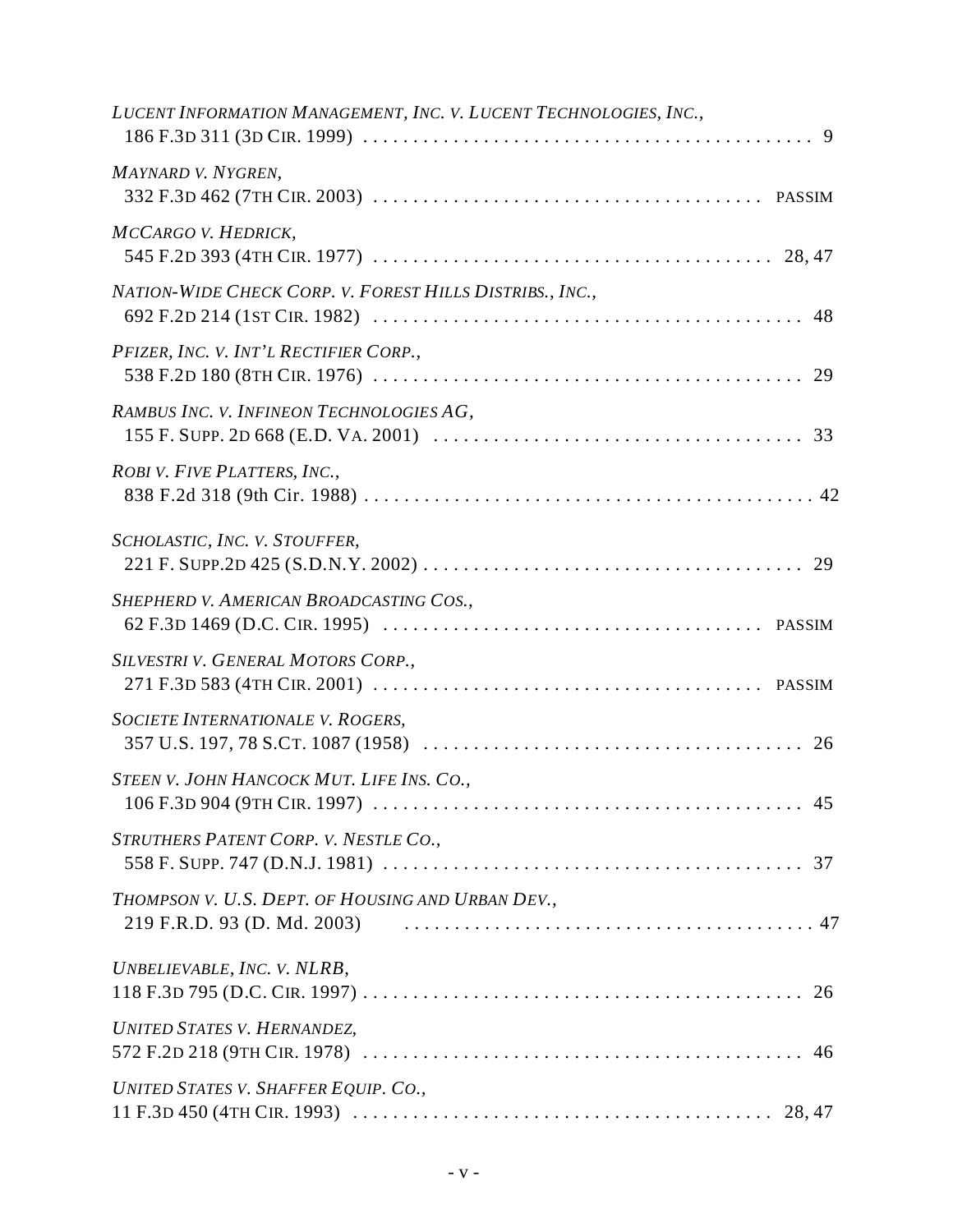| LUCENT INFORMATION MANAGEMENT, INC. V. LUCENT TECHNOLOGIES, INC., |
|-------------------------------------------------------------------|
| MAYNARD V. NYGREN,                                                |
| MCCARGO V. HEDRICK,                                               |
| NATION-WIDE CHECK CORP. V. FOREST HILLS DISTRIBS., INC.,          |
| PFIZER, INC. V. INT'L RECTIFIER CORP.,                            |
| RAMBUS INC. V. INFINEON TECHNOLOGIES AG,                          |
| ROBI V. FIVE PLATTERS, INC.,                                      |
| SCHOLASTIC, INC. V. STOUFFER,                                     |
| SHEPHERD V. AMERICAN BROADCASTING COS.,                           |
| SILVESTRI V. GENERAL MOTORS CORP.,                                |
| SOCIETE INTERNATIONALE V. ROGERS,                                 |
| STEEN V. JOHN HANCOCK MUT. LIFE INS. CO.,                         |
| STRUTHERS PATENT CORP. V. NESTLE CO.,                             |
| THOMPSON V. U.S. DEPT. OF HOUSING AND URBAN DEV.,                 |
| UNBELIEVABLE, INC. V. NLRB,                                       |
| <b>UNITED STATES V. HERNANDEZ,</b>                                |
| UNITED STATES V. SHAFFER EQUIP. CO.,                              |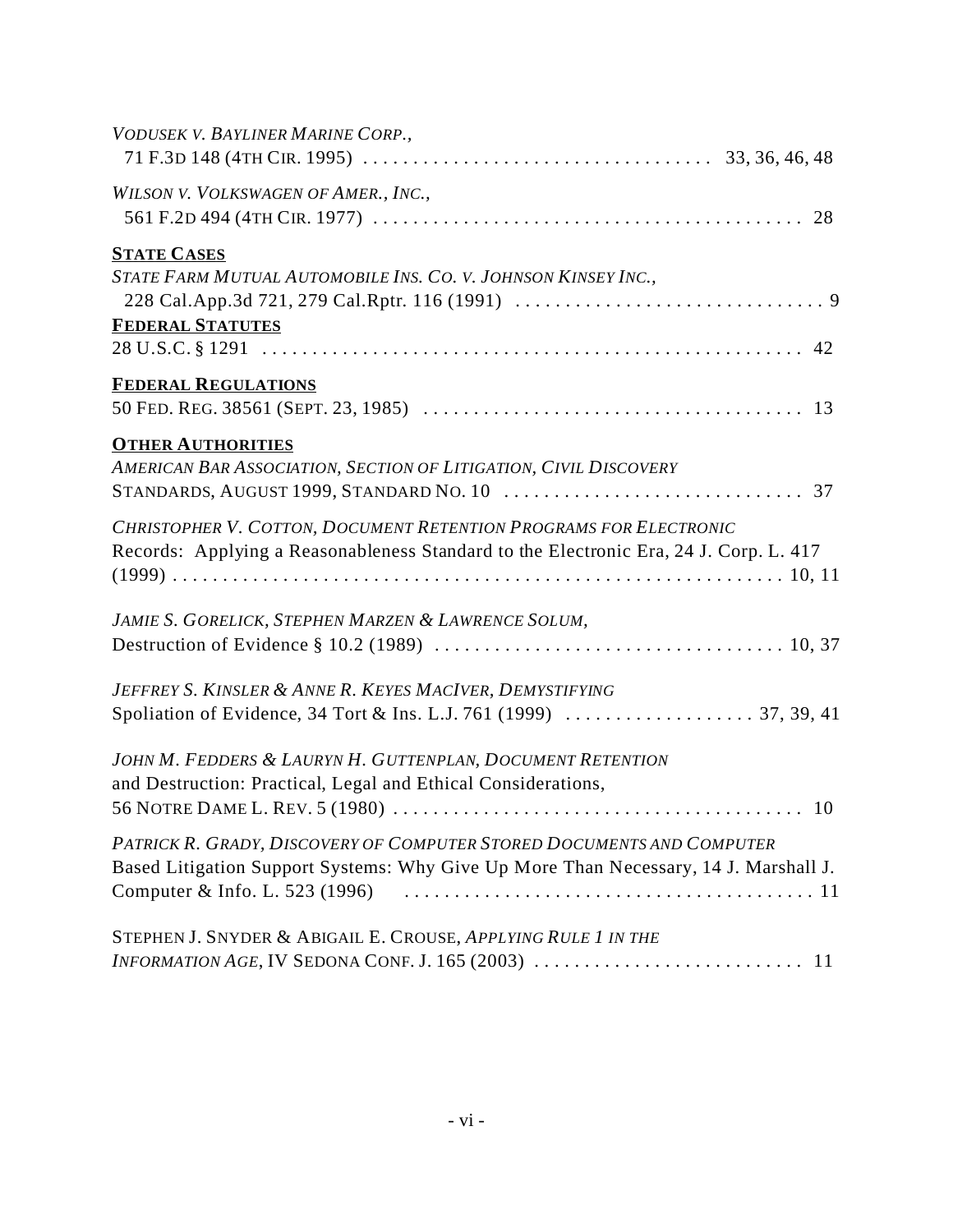| VODUSEK V. BAYLINER MARINE CORP.,                                                                                                                             |
|---------------------------------------------------------------------------------------------------------------------------------------------------------------|
|                                                                                                                                                               |
| WILSON V. VOLKSWAGEN OF AMER., INC.,                                                                                                                          |
| <b>STATE CASES</b>                                                                                                                                            |
| STATE FARM MUTUAL AUTOMOBILE INS. CO. V. JOHNSON KINSEY INC.,                                                                                                 |
| <b>FEDERAL STATUTES</b>                                                                                                                                       |
| <b>FEDERAL REGULATIONS</b>                                                                                                                                    |
|                                                                                                                                                               |
| <b>OTHER AUTHORITIES</b><br>AMERICAN BAR ASSOCIATION, SECTION OF LITIGATION, CIVIL DISCOVERY                                                                  |
| CHRISTOPHER V. COTTON, DOCUMENT RETENTION PROGRAMS FOR ELECTRONIC<br>Records: Applying a Reasonableness Standard to the Electronic Era, 24 J. Corp. L. 417    |
| JAMIE S. GORELICK, STEPHEN MARZEN & LAWRENCE SOLUM,                                                                                                           |
| JEFFREY S. KINSLER & ANNE R. KEYES MACIVER, DEMYSTIFYING                                                                                                      |
| JOHN M. FEDDERS & LAURYN H. GUTTENPLAN, DOCUMENT RETENTION<br>and Destruction: Practical, Legal and Ethical Considerations,                                   |
| PATRICK R. GRADY, DISCOVERY OF COMPUTER STORED DOCUMENTS AND COMPUTER<br>Based Litigation Support Systems: Why Give Up More Than Necessary, 14 J. Marshall J. |
| STEPHEN J. SNYDER & ABIGAIL E. CROUSE, APPLYING RULE 1 IN THE                                                                                                 |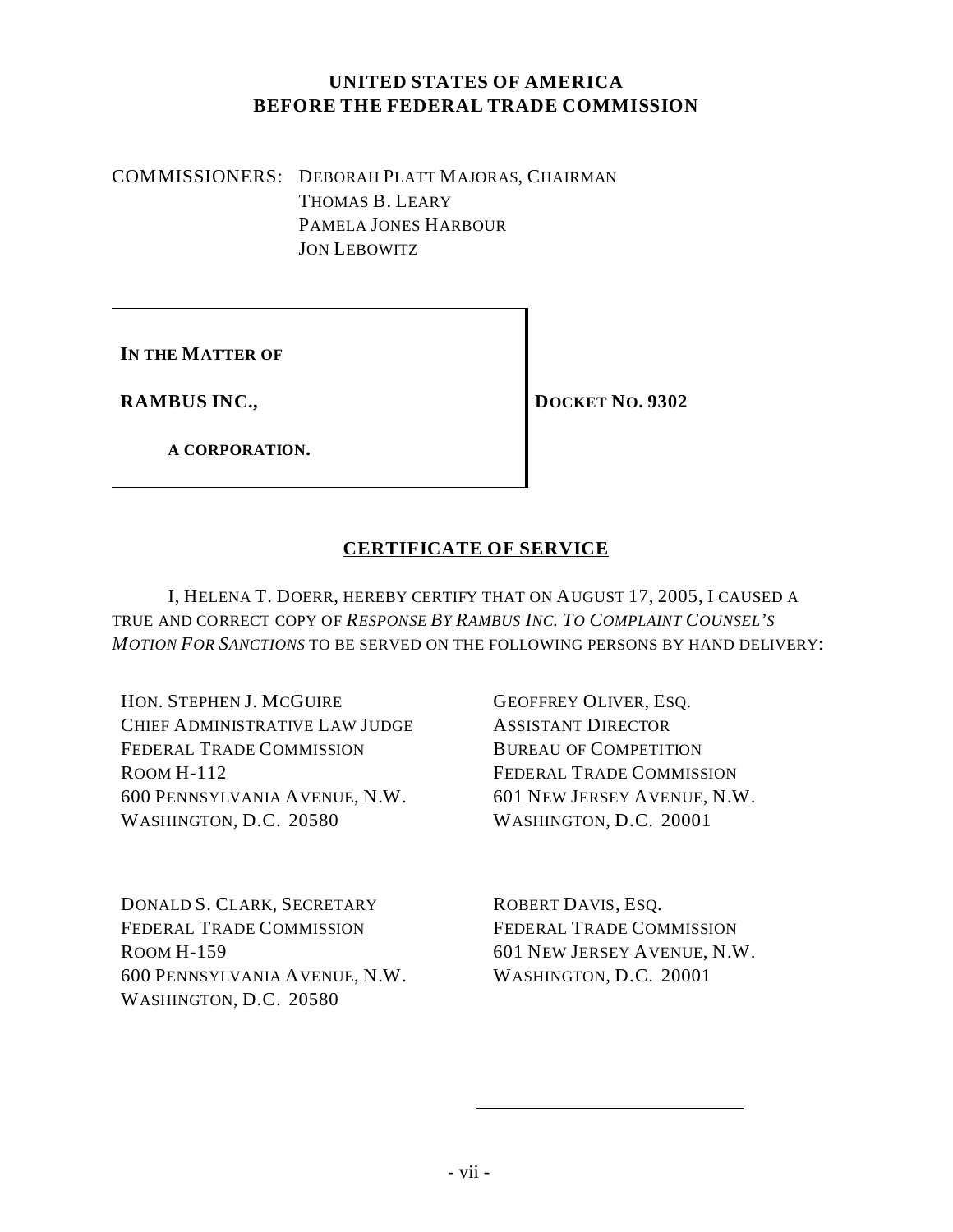# **UNITED STATES OF AMERICA BEFORE THE FEDERAL TRADE COMMISSION**

COMMISSIONERS: DEBORAH PLATT MAJORAS, CHAIRMAN THOMAS B. LEARY PAMELA JONES HARBOUR JON LEBOWITZ

**IN THE MATTER OF**

**RAMBUS INC.,**

**DOCKET NO. 9302**

**A CORPORATION.**

# **CERTIFICATE OF SERVICE**

I, HELENA T. DOERR, HEREBY CERTIFY THAT ON AUGUST 17, 2005, I CAUSED A TRUE AND CORRECT COPY OF *RESPONSE BY RAMBUS INC. TO COMPLAINT COUNSEL'S MOTION FOR SANCTIONS* TO BE SERVED ON THE FOLLOWING PERSONS BY HAND DELIVERY:

HON. STEPHEN J. MCGUIRE CHIEF ADMINISTRATIVE LAW JUDGE FEDERAL TRADE COMMISSION ROOM H-112 600 PENNSYLVANIA AVENUE, N.W. WASHINGTON, D.C. 20580

DONALD S. CLARK, SECRETARY FEDERAL TRADE COMMISSION ROOM H-159 600 PENNSYLVANIA AVENUE, N.W. WASHINGTON, D.C. 20580

GEOFFREY OLIVER, ESQ. ASSISTANT DIRECTOR BUREAU OF COMPETITION FEDERAL TRADE COMMISSION 601 NEW JERSEY AVENUE, N.W. WASHINGTON, D.C. 20001

ROBERT DAVIS, ESQ. FEDERAL TRADE COMMISSION 601 NEW JERSEY AVENUE, N.W. WASHINGTON, D.C. 20001

l